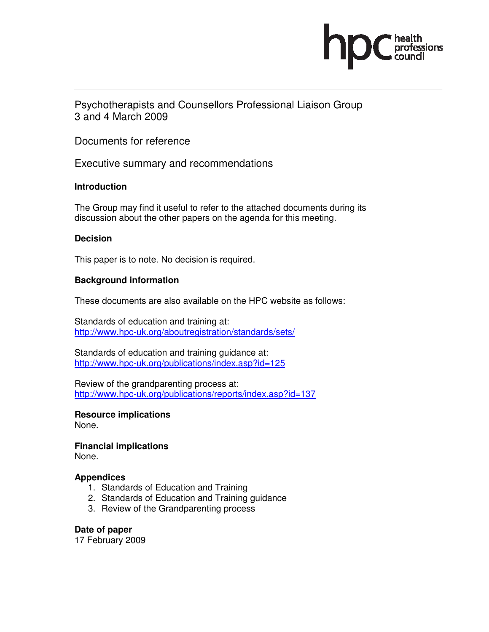

Psychotherapists and Counsellors Professional Liaison Group 3 and 4 March 2009

Documents for reference

Executive summary and recommendations

### **Introduction**

The Group may find it useful to refer to the attached documents during its discussion about the other papers on the agenda for this meeting.

### **Decision**

This paper is to note. No decision is required.

### **Background information**

These documents are also available on the HPC website as follows:

Standards of education and training at: http://www.hpc-uk.org/aboutregistration/standards/sets/

Standards of education and training guidance at: http://www.hpc-uk.org/publications/index.asp?id=125

Review of the grandparenting process at: http://www.hpc-uk.org/publications/reports/index.asp?id=137

**Resource implications**  None.

**Financial implications**  None.

### **Appendices**

- 1. Standards of Education and Training
- 2. Standards of Education and Training guidance
- 3. Review of the Grandparenting process

### **Date of paper**

17 February 2009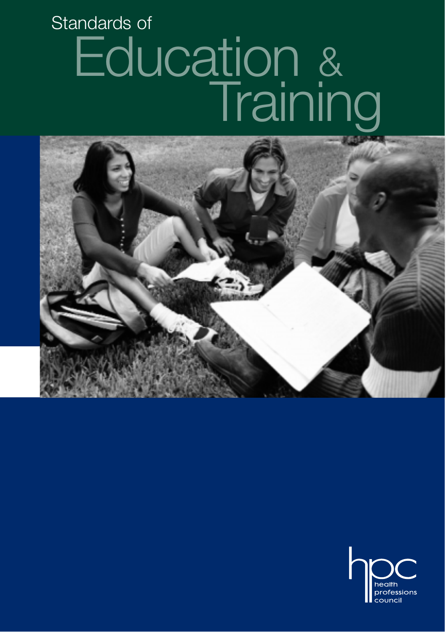# Education & Standards of Training



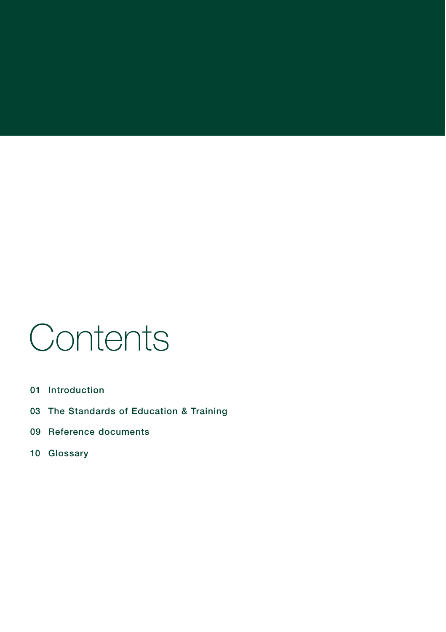# **Contents**

- **01 Introduction**
- **03 The Standards of Education & Training**
- **09 Reference documents**
- **10 Glossary**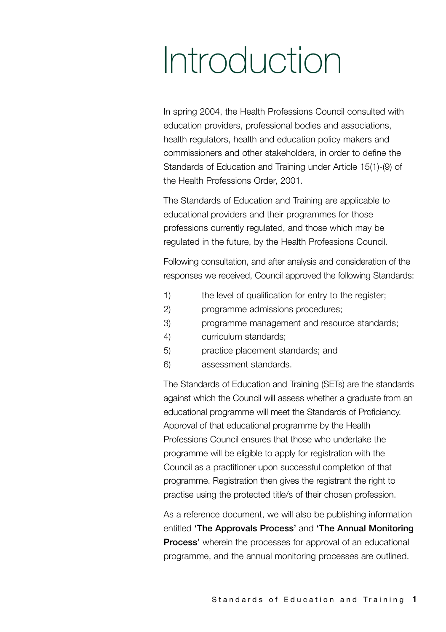# Introduction

In spring 2004, the Health Professions Council consulted with education providers, professional bodies and associations, health regulators, health and education policy makers and commissioners and other stakeholders, in order to define the Standards of Education and Training under Article 15(1)-(9) of the Health Professions Order, 2001.

The Standards of Education and Training are applicable to educational providers and their programmes for those professions currently regulated, and those which may be regulated in the future, by the Health Professions Council.

Following consultation, and after analysis and consideration of the responses we received, Council approved the following Standards:

- 1) the level of qualification for entry to the register;
- 2) programme admissions procedures;
- 3) programme management and resource standards;
- 4) curriculum standards;
- 5) practice placement standards; and
- 6) assessment standards.

The Standards of Education and Training (SETs) are the standards against which the Council will assess whether a graduate from an educational programme will meet the Standards of Proficiency. Approval of that educational programme by the Health Professions Council ensures that those who undertake the programme will be eligible to apply for registration with the Council as a practitioner upon successful completion of that programme. Registration then gives the registrant the right to practise using the protected title/s of their chosen profession.

As a reference document, we will also be publishing information entitled **'The Approvals Process'** and **'The Annual Monitoring Process'** wherein the processes for approval of an educational programme, and the annual monitoring processes are outlined.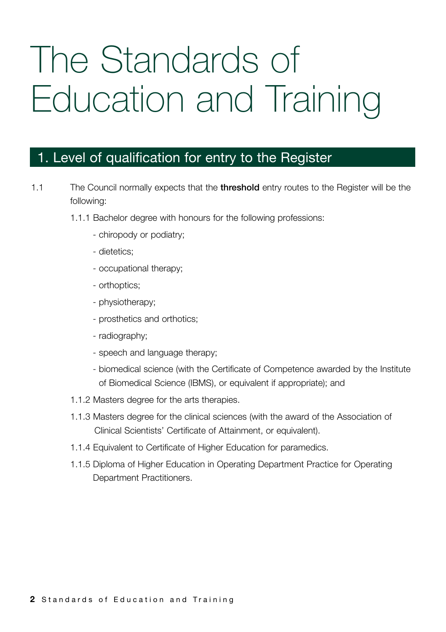# The Standards of Education and Training

### 1. Level of qualification for entry to the Register

- 1.1 The Council normally expects that the **threshold** entry routes to the Register will be the following:
	- 1.1.1 Bachelor degree with honours for the following professions:
		- chiropody or podiatry;
		- dietetics;
		- occupational therapy;
		- orthoptics;
		- physiotherapy;
		- prosthetics and orthotics;
		- radiography;
		- speech and language therapy;
		- biomedical science (with the Certificate of Competence awarded by the Institute of Biomedical Science (IBMS), or equivalent if appropriate); and
	- 1.1.2 Masters degree for the arts therapies.
	- 1.1.3 Masters degree for the clinical sciences (with the award of the Association of Clinical Scientists' Certificate of Attainment, or equivalent).
	- 1.1.4 Equivalent to Certificate of Higher Education for paramedics.
	- 1.1.5 Diploma of Higher Education in Operating Department Practice for Operating Department Practitioners.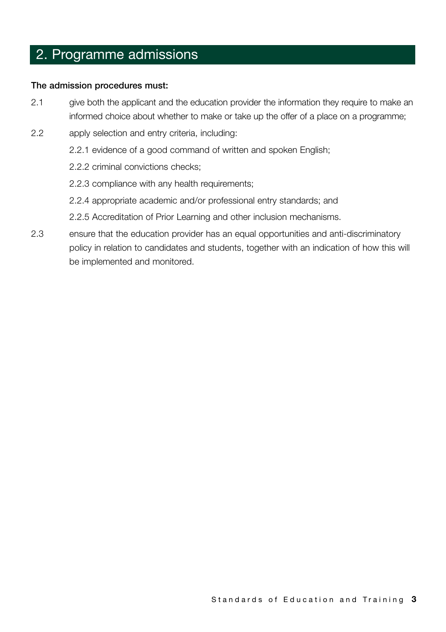### 2. Programme admissions

#### **The admission procedures must:**

- 2.1 give both the applicant and the education provider the information they require to make an informed choice about whether to make or take up the offer of a place on a programme;
- 2.2 apply selection and entry criteria, including:
	- 2.2.1 evidence of a good command of written and spoken English;
	- 2.2.2 criminal convictions checks;
	- 2.2.3 compliance with any health requirements;
	- 2.2.4 appropriate academic and/or professional entry standards; and
	- 2.2.5 Accreditation of Prior Learning and other inclusion mechanisms.
- 2.3 ensure that the education provider has an equal opportunities and anti-discriminatory policy in relation to candidates and students, together with an indication of how this will be implemented and monitored.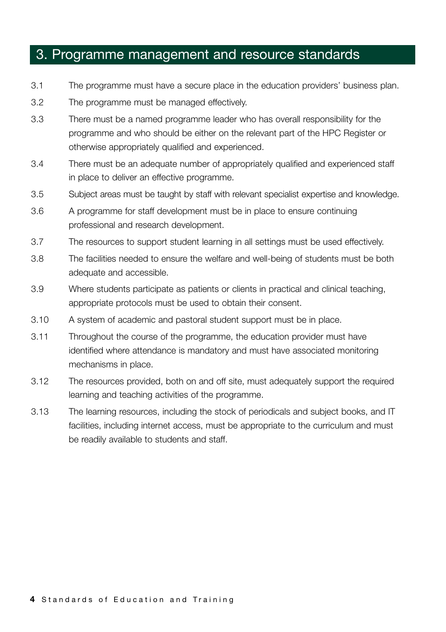- 3.1 The programme must have a secure place in the education providers' business plan.
- 3.2 The programme must be managed effectively.
- 3.3 There must be a named programme leader who has overall responsibility for the programme and who should be either on the relevant part of the HPC Register or otherwise appropriately qualified and experienced.
- 3.4 There must be an adequate number of appropriately qualified and experienced staff in place to deliver an effective programme.
- 3.5 Subject areas must be taught by staff with relevant specialist expertise and knowledge.
- 3.6 A programme for staff development must be in place to ensure continuing professional and research development.
- 3.7 The resources to support student learning in all settings must be used effectively.
- 3.8 The facilities needed to ensure the welfare and well-being of students must be both adequate and accessible.
- 3.9 Where students participate as patients or clients in practical and clinical teaching, appropriate protocols must be used to obtain their consent.
- 3.10 A system of academic and pastoral student support must be in place.
- 3.11 Throughout the course of the programme, the education provider must have identified where attendance is mandatory and must have associated monitoring mechanisms in place.
- 3.12 The resources provided, both on and off site, must adequately support the required learning and teaching activities of the programme.
- 3.13 The learning resources, including the stock of periodicals and subject books, and IT facilities, including internet access, must be appropriate to the curriculum and must be readily available to students and staff.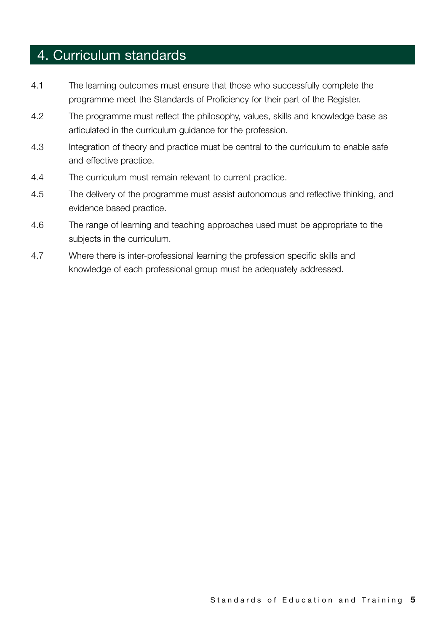## 4. Curriculum standards

- 4.1 The learning outcomes must ensure that those who successfully complete the programme meet the Standards of Proficiency for their part of the Register.
- 4.2 The programme must reflect the philosophy, values, skills and knowledge base as articulated in the curriculum guidance for the profession.
- 4.3 Integration of theory and practice must be central to the curriculum to enable safe and effective practice.
- 4.4 The curriculum must remain relevant to current practice.
- 4.5 The delivery of the programme must assist autonomous and reflective thinking, and evidence based practice.
- 4.6 The range of learning and teaching approaches used must be appropriate to the subjects in the curriculum.
- 4.7 Where there is inter-professional learning the profession specific skills and knowledge of each professional group must be adequately addressed.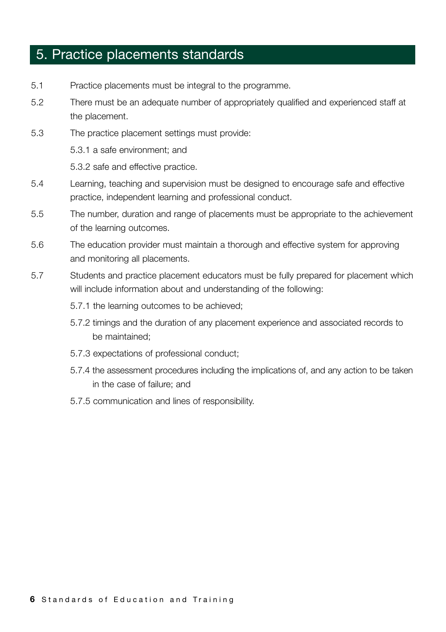## 5. Practice placements standards

- 5.1 Practice placements must be integral to the programme.
- 5.2 There must be an adequate number of appropriately qualified and experienced staff at the placement.
- 5.3 The practice placement settings must provide:

5.3.1 a safe environment; and

5.3.2 safe and effective practice.

- 5.4 Learning, teaching and supervision must be designed to encourage safe and effective practice, independent learning and professional conduct.
- 5.5 The number, duration and range of placements must be appropriate to the achievement of the learning outcomes.
- 5.6 The education provider must maintain a thorough and effective system for approving and monitoring all placements.
- 5.7 Students and practice placement educators must be fully prepared for placement which will include information about and understanding of the following:
	- 5.7.1 the learning outcomes to be achieved;
	- 5.7.2 timings and the duration of any placement experience and associated records to be maintained;
	- 5.7.3 expectations of professional conduct;
	- 5.7.4 the assessment procedures including the implications of, and any action to be taken in the case of failure; and
	- 5.7.5 communication and lines of responsibility.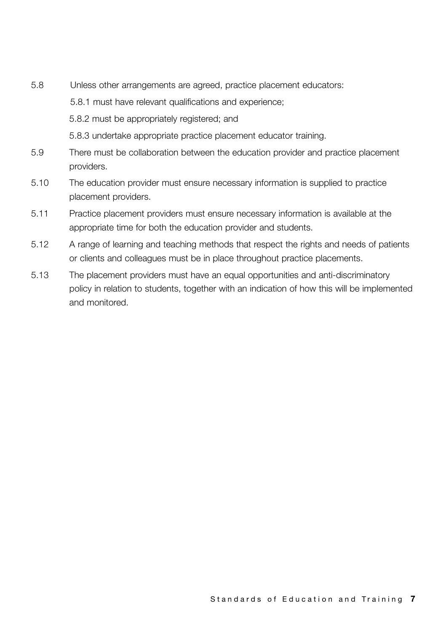5.8 Unless other arrangements are agreed, practice placement educators: 5.8.1 must have relevant qualifications and experience;

5.8.2 must be appropriately registered; and

5.8.3 undertake appropriate practice placement educator training.

- 5.9 There must be collaboration between the education provider and practice placement providers.
- 5.10 The education provider must ensure necessary information is supplied to practice placement providers.
- 5.11 Practice placement providers must ensure necessary information is available at the appropriate time for both the education provider and students.
- 5.12 A range of learning and teaching methods that respect the rights and needs of patients or clients and colleagues must be in place throughout practice placements.
- 5.13 The placement providers must have an equal opportunities and anti-discriminatory policy in relation to students, together with an indication of how this will be implemented and monitored.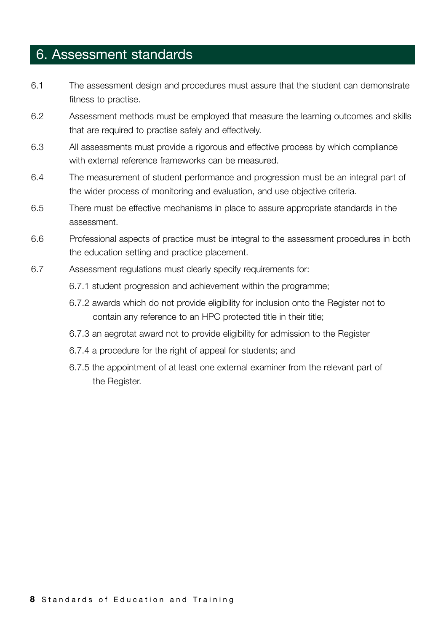### 6. Assessment standards

- 6.1 The assessment design and procedures must assure that the student can demonstrate fitness to practise.
- 6.2 Assessment methods must be employed that measure the learning outcomes and skills that are required to practise safely and effectively.
- 6.3 All assessments must provide a rigorous and effective process by which compliance with external reference frameworks can be measured.
- 6.4 The measurement of student performance and progression must be an integral part of the wider process of monitoring and evaluation, and use objective criteria.
- 6.5 There must be effective mechanisms in place to assure appropriate standards in the assessment.
- 6.6 Professional aspects of practice must be integral to the assessment procedures in both the education setting and practice placement.
- 6.7 Assessment regulations must clearly specify requirements for:
	- 6.7.1 student progression and achievement within the programme;
	- 6.7.2 awards which do not provide eligibility for inclusion onto the Register not to contain any reference to an HPC protected title in their title;
	- 6.7.3 an aegrotat award not to provide eligibility for admission to the Register
	- 6.7.4 a procedure for the right of appeal for students; and
	- 6.7.5 the appointment of at least one external examiner from the relevant part of the Register.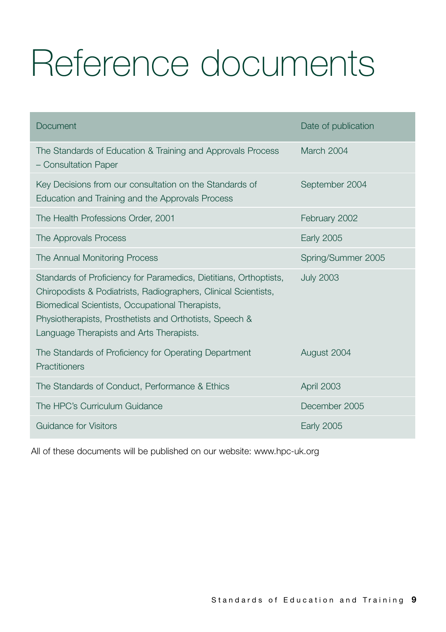# Reference documents

| Document                                                                                                                                                                                                                                                                                       | Date of publication |
|------------------------------------------------------------------------------------------------------------------------------------------------------------------------------------------------------------------------------------------------------------------------------------------------|---------------------|
| The Standards of Education & Training and Approvals Process<br>- Consultation Paper                                                                                                                                                                                                            | March 2004          |
| Key Decisions from our consultation on the Standards of<br>Education and Training and the Approvals Process                                                                                                                                                                                    | September 2004      |
| The Health Professions Order, 2001                                                                                                                                                                                                                                                             | February 2002       |
| The Approvals Process                                                                                                                                                                                                                                                                          | <b>Early 2005</b>   |
| The Annual Monitoring Process                                                                                                                                                                                                                                                                  | Spring/Summer 2005  |
| Standards of Proficiency for Paramedics, Dietitians, Orthoptists,<br>Chiropodists & Podiatrists, Radiographers, Clinical Scientists,<br>Biomedical Scientists, Occupational Therapists,<br>Physiotherapists, Prosthetists and Orthotists, Speech &<br>Language Therapists and Arts Therapists. | <b>July 2003</b>    |
| The Standards of Proficiency for Operating Department<br>Practitioners                                                                                                                                                                                                                         | August 2004         |
| The Standards of Conduct, Performance & Ethics                                                                                                                                                                                                                                                 | April 2003          |
| The HPC's Curriculum Guidance                                                                                                                                                                                                                                                                  | December 2005       |
| Guidance for Visitors                                                                                                                                                                                                                                                                          | <b>Early 2005</b>   |

All of these documents will be published on our website: www.hpc-uk.org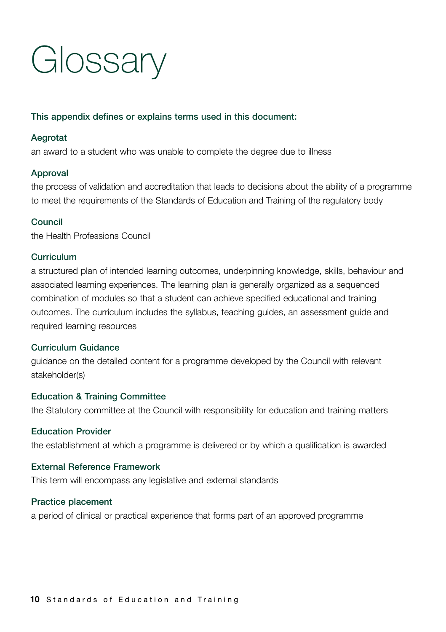# **Glossary**

#### **This appendix defines or explains terms used in this document:**

#### **Aegrotat**

an award to a student who was unable to complete the degree due to illness

#### **Approval**

the process of validation and accreditation that leads to decisions about the ability of a programme to meet the requirements of the Standards of Education and Training of the regulatory body

#### **Council**

the Health Professions Council

#### **Curriculum**

a structured plan of intended learning outcomes, underpinning knowledge, skills, behaviour and associated learning experiences. The learning plan is generally organized as a sequenced combination of modules so that a student can achieve specified educational and training outcomes. The curriculum includes the syllabus, teaching guides, an assessment guide and required learning resources

#### **Curriculum Guidance**

guidance on the detailed content for a programme developed by the Council with relevant stakeholder(s)

#### **Education & Training Committee**

the Statutory committee at the Council with responsibility for education and training matters

#### **Education Provider**

the establishment at which a programme is delivered or by which a qualification is awarded

#### **External Reference Framework**

This term will encompass any legislative and external standards

#### **Practice placement**

a period of clinical or practical experience that forms part of an approved programme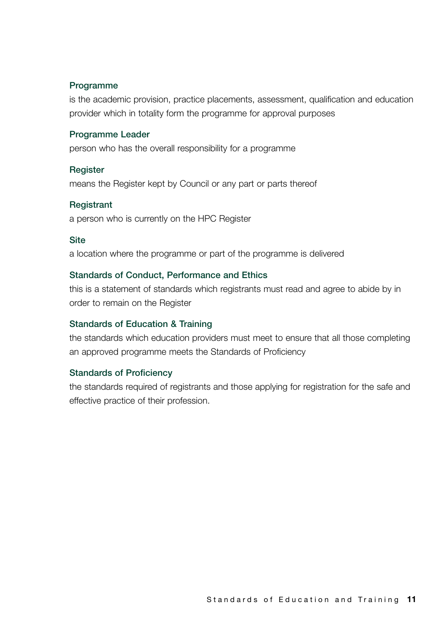#### **Programme**

is the academic provision, practice placements, assessment, qualification and education provider which in totality form the programme for approval purposes

#### **Programme Leader**

person who has the overall responsibility for a programme

#### **Register**

means the Register kept by Council or any part or parts thereof

#### **Registrant**

a person who is currently on the HPC Register

#### **Site**

a location where the programme or part of the programme is delivered

#### **Standards of Conduct, Performance and Ethics**

this is a statement of standards which registrants must read and agree to abide by in order to remain on the Register

#### **Standards of Education & Training**

the standards which education providers must meet to ensure that all those completing an approved programme meets the Standards of Proficiency

#### **Standards of Proficiency**

the standards required of registrants and those applying for registration for the safe and effective practice of their profession.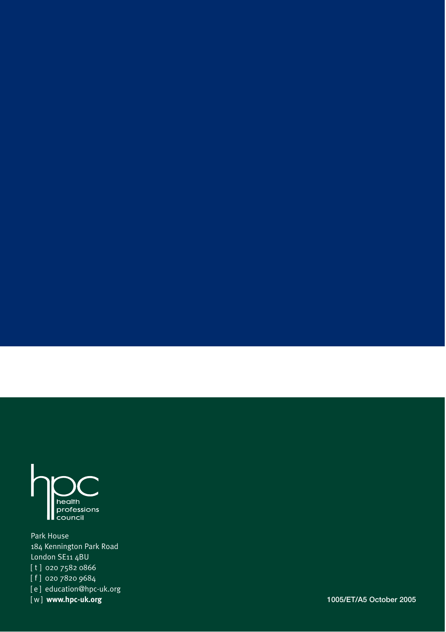

Park House 184 Kennington Park Road London SE11 4BU [ t ] 020 7582 0866 [ f ] 020 7820 9684

[ e ] education@hpc-uk.org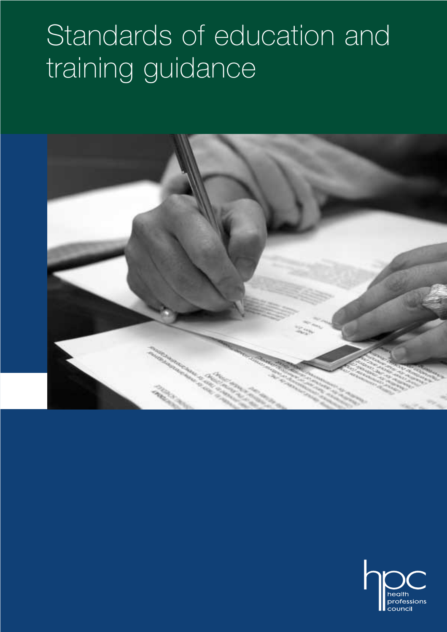# Standards of education and training guidance



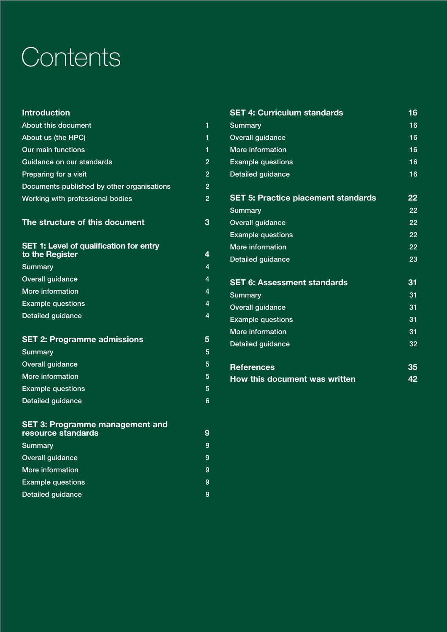# **Contents**

| <b>Introduction</b>                                        |                |
|------------------------------------------------------------|----------------|
| About this document                                        | 1              |
| About us (the HPC)                                         | 1              |
| <b>Our main functions</b>                                  | 1              |
| Guidance on our standards                                  | $\overline{2}$ |
| Preparing for a visit                                      | $\overline{2}$ |
| Documents published by other organisations                 | $\overline{c}$ |
| Working with professional bodies                           | $\overline{2}$ |
| The structure of this document                             | 3              |
| SET 1: Level of qualification for entry<br>to the Register | 4              |
| Summary                                                    | $\overline{4}$ |
| <b>Overall guidance</b>                                    | $\overline{4}$ |
| More information                                           | 4              |
| <b>Example questions</b>                                   | 4              |
| <b>Detailed guidance</b>                                   | 4              |
| <b>SET 2: Programme admissions</b>                         | 5              |
| <b>Summary</b>                                             | 5              |
| <b>Overall guidance</b>                                    | 5              |
| More information                                           | 5              |
| <b>Example questions</b>                                   | 5              |
| <b>Detailed guidance</b>                                   | 6              |
| <b>SET 3: Programme management and</b>                     | ⌒              |

| resource standards       | 9 |
|--------------------------|---|
| Summary                  | 9 |
| <b>Overall guidance</b>  | 9 |
| More information         | 9 |
| <b>Example questions</b> | 9 |
| Detailed guidance        | 9 |

| <b>SET 4: Curriculum standards</b>         | 16              |
|--------------------------------------------|-----------------|
| Summary                                    | 16              |
| <b>Overall guidance</b>                    | 16              |
| More information                           | 16              |
| <b>Example questions</b>                   | 16              |
| <b>Detailed guidance</b>                   | 16              |
| <b>SET 5: Practice placement standards</b> | 22              |
| <b>Summary</b>                             | $\overline{22}$ |
| <b>Overall guidance</b>                    | 22              |
| <b>Example questions</b>                   | 22              |
| More information                           | 22              |
| <b>Detailed guidance</b>                   | 23              |
| <b>SET 6: Assessment standards</b>         | 31              |
| <b>Summary</b>                             | 31              |
| Overall guidance                           | 31              |
| <b>Example questions</b>                   | 31              |
| More information                           | 31              |
| <b>Detailed guidance</b>                   | 32              |
| <b>References</b>                          | 35              |
| <b>How this document was written</b>       | 42              |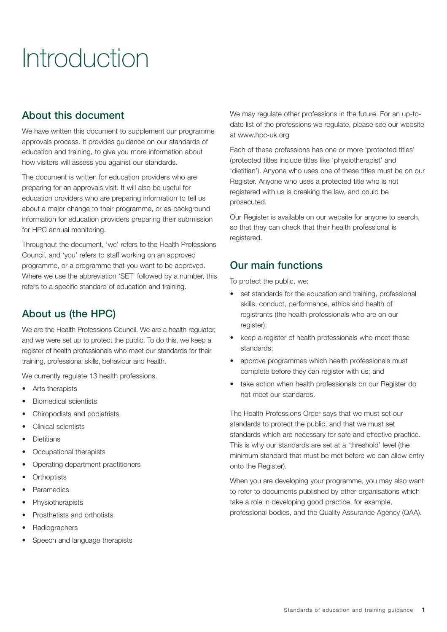# Introduction

## About this document

We have written this document to supplement our programme approvals process. It provides guidance on our standards of education and training, to give you more information about how visitors will assess you against our standards.

The document is written for education providers who are preparing for an approvals visit. It will also be useful for education providers who are preparing information to tell us about a major change to their programme, or as background information for education providers preparing their submission for HPC annual monitoring.

Throughout the document, 'we' refers to the Health Professions Council, and 'you' refers to staff working on an approved programme, or a programme that you want to be approved. Where we use the abbreviation 'SET' followed by a number, this refers to a specific standard of education and training.

## About us (the HPC)

We are the Health Professions Council. We are a health regulator, and we were set up to protect the public. To do this, we keep a register of health professionals who meet our standards for their training, professional skills, behaviour and health.

We currently regulate 13 health professions.

- Arts therapists
- Biomedical scientists
- Chiropodists and podiatrists
- Clinical scientists
- **Dietitians**
- Occupational therapists
- Operating department practitioners
- Orthoptists
- **Paramedics**
- **Physiotherapists**
- Prosthetists and orthotists
- Radiographers
- Speech and language therapists

We may regulate other professions in the future. For an up-todate list of the professions we regulate, please see our website at www.hpc-uk.org

Each of these professions has one or more 'protected titles' (protected titles include titles like 'physiotherapist' and 'dietitian'). Anyone who uses one of these titles must be on our Register. Anyone who uses a protected title who is not registered with us is breaking the law, and could be prosecuted.

Our Register is available on our website for anyone to search, so that they can check that their health professional is registered.

## Our main functions

To protect the public, we:

- set standards for the education and training, professional skills, conduct, performance, ethics and health of registrants (the health professionals who are on our register):
- keep a register of health professionals who meet those standards;
- approve programmes which health professionals must complete before they can register with us; and
- take action when health professionals on our Register do not meet our standards.

The Health Professions Order says that we must set our standards to protect the public, and that we must set standards which are necessary for safe and effective practice. This is why our standards are set at a 'threshold' level (the minimum standard that must be met before we can allow entry onto the Register).

When you are developing your programme, you may also want to refer to documents published by other organisations which take a role in developing good practice, for example, professional bodies, and the Quality Assurance Agency (QAA).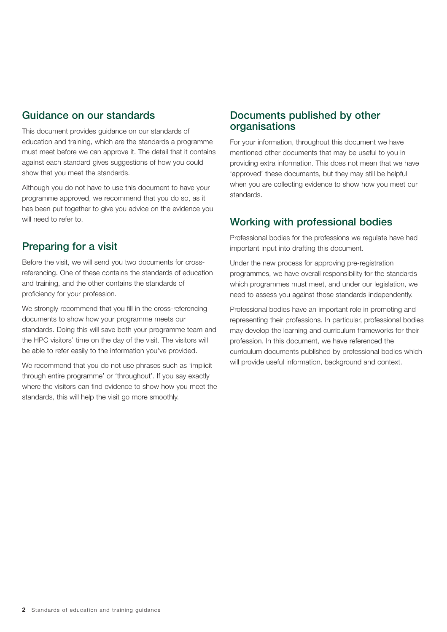## Guidance on our standards

This document provides guidance on our standards of education and training, which are the standards a programme must meet before we can approve it. The detail that it contains against each standard gives suggestions of how you could show that you meet the standards.

Although you do not have to use this document to have your programme approved, we recommend that you do so, as it has been put together to give you advice on the evidence you will need to refer to.

## Preparing for a visit

Before the visit, we will send you two documents for crossreferencing. One of these contains the standards of education and training, and the other contains the standards of proficiency for your profession.

We strongly recommend that you fill in the cross-referencing documents to show how your programme meets our standards. Doing this will save both your programme team and the HPC visitors' time on the day of the visit. The visitors will be able to refer easily to the information you've provided.

We recommend that you do not use phrases such as 'implicit through entire programme' or 'throughout'. If you say exactly where the visitors can find evidence to show how you meet the standards, this will help the visit go more smoothly.

## Documents published by other organisations

For your information, throughout this document we have mentioned other documents that may be useful to you in providing extra information. This does not mean that we have 'approved' these documents, but they may still be helpful when you are collecting evidence to show how you meet our standards.

## Working with professional bodies

Professional bodies for the professions we regulate have had important input into drafting this document.

Under the new process for approving pre-registration programmes, we have overall responsibility for the standards which programmes must meet, and under our legislation, we need to assess you against those standards independently.

Professional bodies have an important role in promoting and representing their professions. In particular, professional bodies may develop the learning and curriculum frameworks for their profession. In this document, we have referenced the curriculum documents published by professional bodies which will provide useful information, background and context.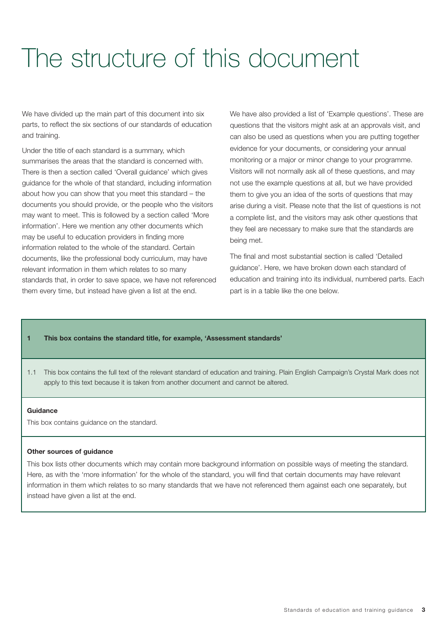# The structure of this document

We have divided up the main part of this document into six parts, to reflect the six sections of our standards of education and training.

Under the title of each standard is a summary, which summarises the areas that the standard is concerned with. There is then a section called 'Overall guidance' which gives guidance for the whole of that standard, including information about how you can show that you meet this standard – the documents you should provide, or the people who the visitors may want to meet. This is followed by a section called 'More information'. Here we mention any other documents which may be useful to education providers in finding more information related to the whole of the standard. Certain documents, like the professional body curriculum, may have relevant information in them which relates to so many standards that, in order to save space, we have not referenced them every time, but instead have given a list at the end.

We have also provided a list of 'Example questions'. These are questions that the visitors might ask at an approvals visit, and can also be used as questions when you are putting together evidence for your documents, or considering your annual monitoring or a major or minor change to your programme. Visitors will not normally ask all of these questions, and may not use the example questions at all, but we have provided them to give you an idea of the sorts of questions that may arise during a visit. Please note that the list of questions is not a complete list, and the visitors may ask other questions that they feel are necessary to make sure that the standards are being met.

The final and most substantial section is called 'Detailed guidance'. Here, we have broken down each standard of education and training into its individual, numbered parts. Each part is in a table like the one below.

#### **1 This box contains the standard title, for example, 'Assessment standards'**

1.1 This box contains the full text of the relevant standard of education and training. Plain English Campaign's Crystal Mark does not apply to this text because it is taken from another document and cannot be altered.

#### **Guidance**

This box contains guidance on the standard.

#### **Other sources of guidance**

This box lists other documents which may contain more background information on possible ways of meeting the standard. Here, as with the 'more information' for the whole of the standard, you will find that certain documents may have relevant information in them which relates to so many standards that we have not referenced them against each one separately, but instead have given a list at the end.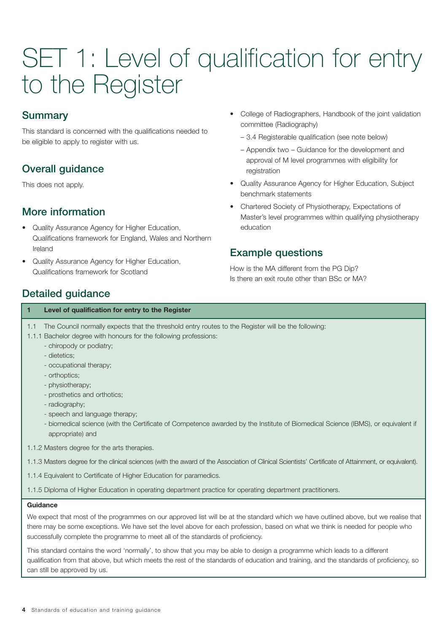# SET 1: Level of qualification for entry to the Register

## Summary

This standard is concerned with the qualifications needed to be eligible to apply to register with us.

# Overall guidance

This does not apply.

## More information

- Quality Assurance Agency for Higher Education, Qualifications framework for England, Wales and Northern Ireland
- Quality Assurance Agency for Higher Education, Qualifications framework for Scotland
- College of Radiographers, Handbook of the joint validation committee (Radiography)
	- 3.4 Registerable qualification (see note below)
	- Appendix two Guidance for the development and approval of M level programmes with eligibility for registration
- Quality Assurance Agency for Higher Education, Subject benchmark statements
- Chartered Society of Physiotherapy, Expectations of Master's level programmes within qualifying physiotherapy education

## Example questions

How is the MA different from the PG Dip? Is there an exit route other than BSc or MA?

## Detailed guidance

### **1 Level of qualification for entry to the Register** 1.1 The Council normally expects that the threshold entry routes to the Register will be the following: 1.1.1 Bachelor degree with honours for the following professions: - chiropody or podiatry; - dietetics; - occupational therapy; - orthoptics; - physiotherapy; - prosthetics and orthotics; - radiography; - speech and language therapy;

- biomedical science (with the Certificate of Competence awarded by the Institute of Biomedical Science (IBMS), or equivalent if appropriate) and
- 1.1.2 Masters degree for the arts therapies.
- 1.1.3 Masters degree for the clinical sciences (with the award of the Association of Clinical Scientists' Certificate of Attainment, or equivalent).
- 1.1.4 Equivalent to Certificate of Higher Education for paramedics.
- 1.1.5 Diploma of Higher Education in operating department practice for operating department practitioners.

### **Guidance**

We expect that most of the programmes on our approved list will be at the standard which we have outlined above, but we realise that there may be some exceptions. We have set the level above for each profession, based on what we think is needed for people who successfully complete the programme to meet all of the standards of proficiency.

This standard contains the word 'normally', to show that you may be able to design a programme which leads to a different qualification from that above, but which meets the rest of the standards of education and training, and the standards of proficiency, so can still be approved by us.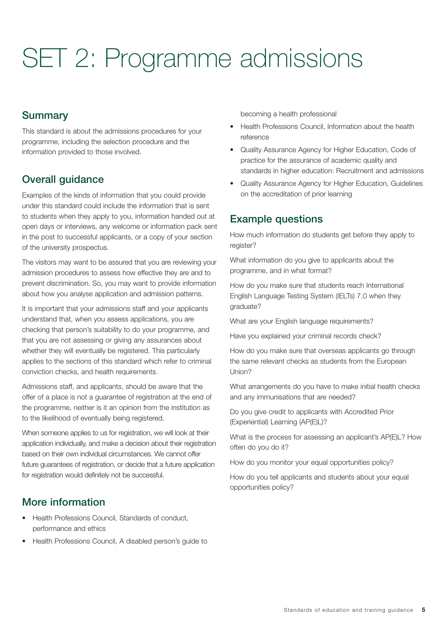# SET 2: Programme admissions

## **Summary**

This standard is about the admissions procedures for your programme, including the selection procedure and the information provided to those involved.

## Overall guidance

Examples of the kinds of information that you could provide under this standard could include the information that is sent to students when they apply to you, information handed out at open days or interviews, any welcome or information pack sent in the post to successful applicants, or a copy of your section of the university prospectus.

The visitors may want to be assured that you are reviewing your admission procedures to assess how effective they are and to prevent discrimination. So, you may want to provide information about how you analyse application and admission patterns.

It is important that your admissions staff and your applicants understand that, when you assess applications, you are checking that person's suitability to do your programme, and that you are not assessing or giving any assurances about whether they will eventually be registered. This particularly applies to the sections of this standard which refer to criminal conviction checks, and health requirements.

Admissions staff, and applicants, should be aware that the offer of a place is not a guarantee of registration at the end of the programme, neither is it an opinion from the institution as to the likelihood of eventually being registered.

When someone applies to us for registration, we will look at their application individually, and make a decision about their registration based on their own individual circumstances. We cannot offer future guarantees of registration, or decide that a future application for registration would definitely not be successful.

## More information

- Health Professions Council, Standards of conduct, performance and ethics
- Health Professions Council, A disabled person's guide to

becoming a health professional

- Health Professions Council, Information about the health reference
- Quality Assurance Agency for Higher Education, Code of practice for the assurance of academic quality and standards in higher education: Recruitment and admissions
- Quality Assurance Agency for Higher Education, Guidelines on the accreditation of prior learning

## Example questions

How much information do students get before they apply to register?

What information do you give to applicants about the programme, and in what format?

How do you make sure that students reach International English Language Testing System (IELTs) 7.0 when they graduate?

What are your English language requirements?

Have you explained your criminal records check?

How do you make sure that overseas applicants go through the same relevant checks as students from the European Union?

What arrangements do you have to make initial health checks and any immunisations that are needed?

Do you give credit to applicants with Accredited Prior (Experiential) Learning (AP(E)L)?

What is the process for assessing an applicant's AP(E)L? How often do you do it?

How do you monitor your equal opportunities policy?

How do you tell applicants and students about your equal opportunities policy?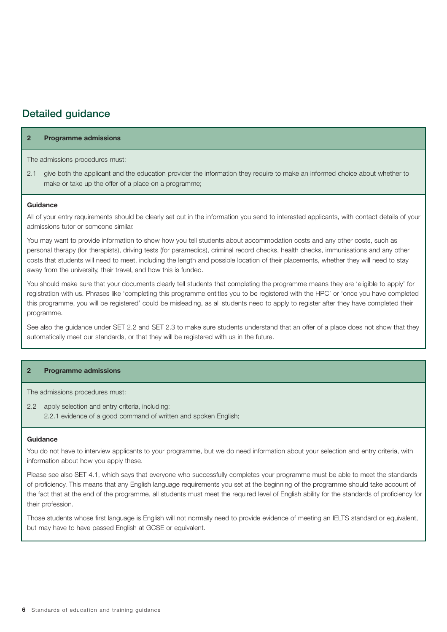## Detailed guidance

#### **2 Programme admissions**

#### The admissions procedures must:

2.1 give both the applicant and the education provider the information they require to make an informed choice about whether to make or take up the offer of a place on a programme;

#### **Guidance**

All of your entry requirements should be clearly set out in the information you send to interested applicants, with contact details of your admissions tutor or someone similar.

You may want to provide information to show how you tell students about accommodation costs and any other costs, such as personal therapy (for therapists), driving tests (for paramedics), criminal record checks, health checks, immunisations and any other costs that students will need to meet, including the length and possible location of their placements, whether they will need to stay away from the university, their travel, and how this is funded.

You should make sure that your documents clearly tell students that completing the programme means they are 'eligible to apply' for registration with us. Phrases like 'completing this programme entitles you to be registered with the HPC' or 'once you have completed this programme, you will be registered' could be misleading, as all students need to apply to register after they have completed their programme.

See also the guidance under SET 2.2 and SET 2.3 to make sure students understand that an offer of a place does not show that they automatically meet our standards, or that they will be registered with us in the future.

#### **2 Programme admissions**

The admissions procedures must:

2.2 apply selection and entry criteria, including:

2.2.1 evidence of a good command of written and spoken English;

#### **Guidance**

You do not have to interview applicants to your programme, but we do need information about your selection and entry criteria, with information about how you apply these.

Please see also SET 4.1, which says that everyone who successfully completes your programme must be able to meet the standards of proficiency. This means that any English language requirements you set at the beginning of the programme should take account of the fact that at the end of the programme, all students must meet the required level of English ability for the standards of proficiency for their profession.

Those students whose first language is English will not normally need to provide evidence of meeting an IELTS standard or equivalent, but may have to have passed English at GCSE or equivalent.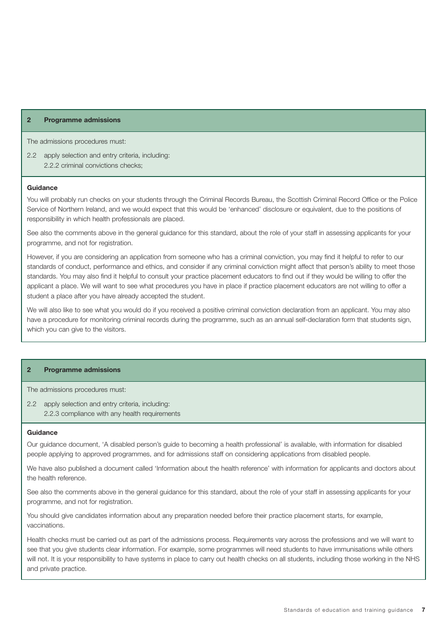#### **2 Programme admissions**

The admissions procedures must:

2.2 apply selection and entry criteria, including: 2.2.2 criminal convictions checks;

#### **Guidance**

You will probably run checks on your students through the Criminal Records Bureau, the Scottish Criminal Record Office or the Police Service of Northern Ireland, and we would expect that this would be 'enhanced' disclosure or equivalent, due to the positions of responsibility in which health professionals are placed.

See also the comments above in the general guidance for this standard, about the role of your staff in assessing applicants for your programme, and not for registration.

However, if you are considering an application from someone who has a criminal conviction, you may find it helpful to refer to our standards of conduct, performance and ethics, and consider if any criminal conviction might affect that person's ability to meet those standards. You may also find it helpful to consult your practice placement educators to find out if they would be willing to offer the applicant a place. We will want to see what procedures you have in place if practice placement educators are not willing to offer a student a place after you have already accepted the student.

We will also like to see what you would do if you received a positive criminal conviction declaration from an applicant. You may also have a procedure for monitoring criminal records during the programme, such as an annual self-declaration form that students sign, which you can give to the visitors.

#### **2 Programme admissions**

The admissions procedures must:

2.2 apply selection and entry criteria, including: 2.2.3 compliance with any health requirements

#### **Guidance**

Our guidance document, 'A disabled person's guide to becoming a health professional' is available, with information for disabled people applying to approved programmes, and for admissions staff on considering applications from disabled people.

We have also published a document called 'Information about the health reference' with information for applicants and doctors about the health reference.

See also the comments above in the general guidance for this standard, about the role of your staff in assessing applicants for your programme, and not for registration.

You should give candidates information about any preparation needed before their practice placement starts, for example, vaccinations.

Health checks must be carried out as part of the admissions process. Requirements vary across the professions and we will want to see that you give students clear information. For example, some programmes will need students to have immunisations while others will not. It is your responsibility to have systems in place to carry out health checks on all students, including those working in the NHS and private practice.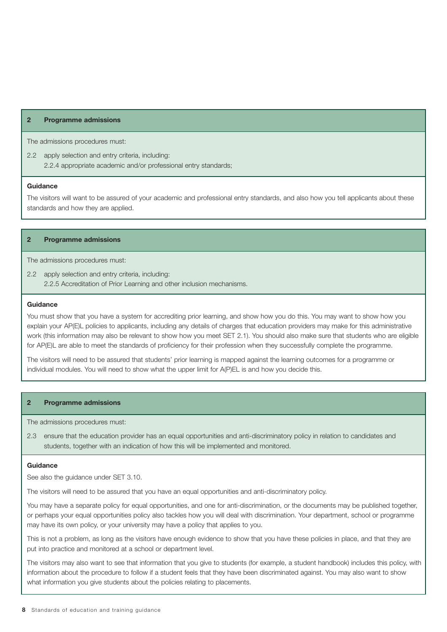#### **2 Programme admissions**

The admissions procedures must:

2.2 apply selection and entry criteria, including: 2.2.4 appropriate academic and/or professional entry standards;

#### **Guidance**

The visitors will want to be assured of your academic and professional entry standards, and also how you tell applicants about these standards and how they are applied.

#### **2 Programme admissions**

The admissions procedures must:

2.2 apply selection and entry criteria, including: 2.2.5 Accreditation of Prior Learning and other inclusion mechanisms.

#### **Guidance**

You must show that you have a system for accrediting prior learning, and show how you do this. You may want to show how you explain your AP(E)L policies to applicants, including any details of charges that education providers may make for this administrative work (this information may also be relevant to show how you meet SET 2.1). You should also make sure that students who are eligible for AP(E)L are able to meet the standards of proficiency for their profession when they successfully complete the programme.

The visitors will need to be assured that students' prior learning is mapped against the learning outcomes for a programme or individual modules. You will need to show what the upper limit for A(P)EL is and how you decide this.

#### **2 Programme admissions**

The admissions procedures must:

2.3 ensure that the education provider has an equal opportunities and anti-discriminatory policy in relation to candidates and students, together with an indication of how this will be implemented and monitored.

#### **Guidance**

See also the guidance under SET 3.10.

The visitors will need to be assured that you have an equal opportunities and anti-discriminatory policy.

You may have a separate policy for equal opportunities, and one for anti-discrimination, or the documents may be published together, or perhaps your equal opportunities policy also tackles how you will deal with discrimination. Your department, school or programme may have its own policy, or your university may have a policy that applies to you.

This is not a problem, as long as the visitors have enough evidence to show that you have these policies in place, and that they are put into practice and monitored at a school or department level.

The visitors may also want to see that information that you give to students (for example, a student handbook) includes this policy, with information about the procedure to follow if a student feels that they have been discriminated against. You may also want to show what information you give students about the policies relating to placements.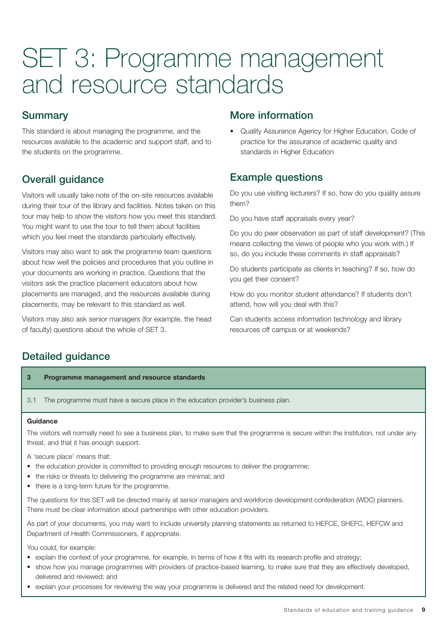## **Summary**

This standard is about managing the programme, and the resources available to the academic and support staff, and to the students on the programme.

## Overall guidance

Visitors will usually take note of the on-site resources available during their tour of the library and facilities. Notes taken on this tour may help to show the visitors how you meet this standard. You might want to use the tour to tell them about facilities which you feel meet the standards particularly effectively.

Visitors may also want to ask the programme team questions about how well the policies and procedures that you outline in your documents are working in practice. Questions that the visitors ask the practice placement educators about how placements are managed, and the resources available during placements, may be relevant to this standard as well.

Visitors may also ask senior managers (for example, the head of faculty) questions about the whole of SET 3.

## More information

• Quality Assurance Agency for Higher Education, Code of practice for the assurance of academic quality and standards in Higher Education

## Example questions

Do you use visiting lecturers? If so, how do you quality assure them?

Do you have staff appraisals every year?

Do you do peer observation as part of staff development? (This means collecting the views of people who you work with.) If so, do you include these comments in staff appraisals?

Do students participate as clients in teaching? If so, how do you get their consent?

How do you monitor student attendance? If students don't attend, how will you deal with this?

Can students access information technology and library resources off campus or at weekends?

## Detailed guidance

### **3 Programme management and resource standards**

3.1 The programme must have a secure place in the education provider's business plan.

### **Guidance**

The visitors will normally need to see a business plan, to make sure that the programme is secure within the institution, not under any threat, and that it has enough support.

A 'secure place' means that:

- the education provider is committed to providing enough resources to deliver the programme;
- the risks or threats to delivering the programme are minimal; and
- there is a long-term future for the programme.

The questions for this SET will be directed mainly at senior managers and workforce development confederation (WDC) planners. There must be clear information about partnerships with other education providers.

As part of your documents, you may want to include university planning statements as returned to HEFCE, SHEFC, HEFCW and Department of Health Commissioners, if appropriate.

You could, for example:

- explain the context of your programme, for example, in terms of how it fits with its research profile and strategy;
- show how you manage programmes with providers of practice-based learning, to make sure that they are effectively developed, delivered and reviewed; and
- explain your processes for reviewing the way your programme is delivered and the related need for development.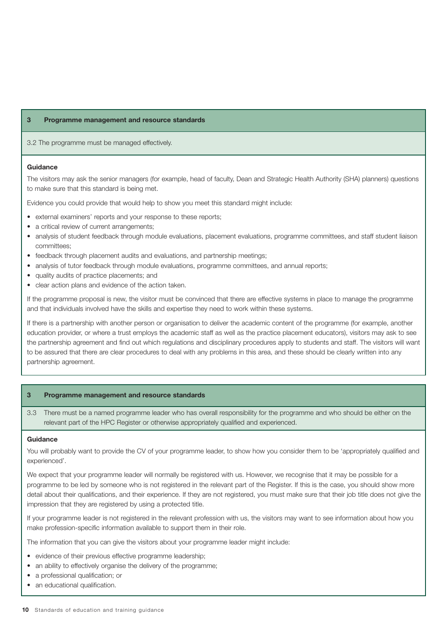3.2 The programme must be managed effectively.

#### **Guidance**

The visitors may ask the senior managers (for example, head of faculty, Dean and Strategic Health Authority (SHA) planners) questions to make sure that this standard is being met.

Evidence you could provide that would help to show you meet this standard might include:

- external examiners' reports and your response to these reports;
- a critical review of current arrangements;
- analysis of student feedback through module evaluations, placement evaluations, programme committees, and staff student liaison committees;
- feedback through placement audits and evaluations, and partnership meetings;
- analysis of tutor feedback through module evaluations, programme committees, and annual reports;
- quality audits of practice placements; and
- clear action plans and evidence of the action taken.

If the programme proposal is new, the visitor must be convinced that there are effective systems in place to manage the programme and that individuals involved have the skills and expertise they need to work within these systems.

If there is a partnership with another person or organisation to deliver the academic content of the programme (for example, another education provider, or where a trust employs the academic staff as well as the practice placement educators), visitors may ask to see the partnership agreement and find out which regulations and disciplinary procedures apply to students and staff. The visitors will want to be assured that there are clear procedures to deal with any problems in this area, and these should be clearly written into any partnership agreement.

#### **3 Programme management and resource standards**

3.3 There must be a named programme leader who has overall responsibility for the programme and who should be either on the relevant part of the HPC Register or otherwise appropriately qualified and experienced.

#### **Guidance**

You will probably want to provide the CV of your programme leader, to show how you consider them to be 'appropriately qualified and experienced'.

We expect that your programme leader will normally be registered with us. However, we recognise that it may be possible for a programme to be led by someone who is not registered in the relevant part of the Register. If this is the case, you should show more detail about their qualifications, and their experience. If they are not registered, you must make sure that their job title does not give the impression that they are registered by using a protected title.

If your programme leader is not registered in the relevant profession with us, the visitors may want to see information about how you make profession-specific information available to support them in their role.

The information that you can give the visitors about your programme leader might include:

- evidence of their previous effective programme leadership;
- an ability to effectively organise the delivery of the programme;
- a professional qualification; or
- an educational qualification.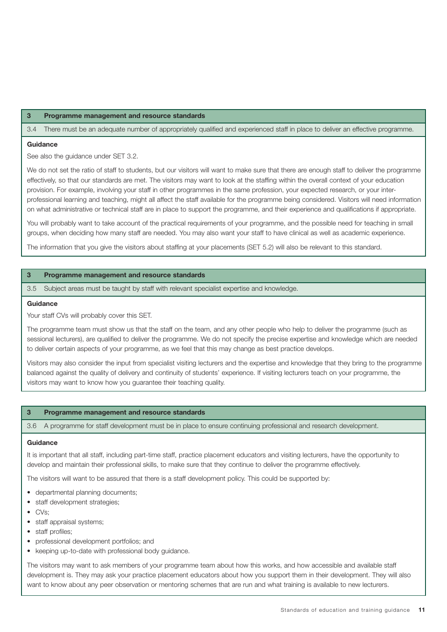3.4 There must be an adequate number of appropriately qualified and experienced staff in place to deliver an effective programme.

#### **Guidance**

See also the guidance under SET 3.2.

We do not set the ratio of staff to students, but our visitors will want to make sure that there are enough staff to deliver the programme effectively, so that our standards are met. The visitors may want to look at the staffing within the overall context of your education provision. For example, involving your staff in other programmes in the same profession, your expected research, or your interprofessional learning and teaching, might all affect the staff available for the programme being considered. Visitors will need information on what administrative or technical staff are in place to support the programme, and their experience and qualifications if appropriate.

You will probably want to take account of the practical requirements of your programme, and the possible need for teaching in small groups, when deciding how many staff are needed. You may also want your staff to have clinical as well as academic experience.

The information that you give the visitors about staffing at your placements (SET 5.2) will also be relevant to this standard.

#### **3 Programme management and resource standards**

3.5 Subject areas must be taught by staff with relevant specialist expertise and knowledge.

#### **Guidance**

Your staff CVs will probably cover this SET.

The programme team must show us that the staff on the team, and any other people who help to deliver the programme (such as sessional lecturers), are qualified to deliver the programme. We do not specify the precise expertise and knowledge which are needed to deliver certain aspects of your programme, as we feel that this may change as best practice develops.

Visitors may also consider the input from specialist visiting lecturers and the expertise and knowledge that they bring to the programme balanced against the quality of delivery and continuity of students' experience. If visiting lecturers teach on your programme, the visitors may want to know how you guarantee their teaching quality.

#### **3 Programme management and resource standards**

3.6 A programme for staff development must be in place to ensure continuing professional and research development.

#### **Guidance**

It is important that all staff, including part-time staff, practice placement educators and visiting lecturers, have the opportunity to develop and maintain their professional skills, to make sure that they continue to deliver the programme effectively.

The visitors will want to be assured that there is a staff development policy. This could be supported by:

- departmental planning documents;
- staff development strategies;
- CVs;
- staff appraisal systems;
- staff profiles:
- professional development portfolios; and
- keeping up-to-date with professional body guidance.

The visitors may want to ask members of your programme team about how this works, and how accessible and available staff development is. They may ask your practice placement educators about how you support them in their development. They will also want to know about any peer observation or mentoring schemes that are run and what training is available to new lecturers.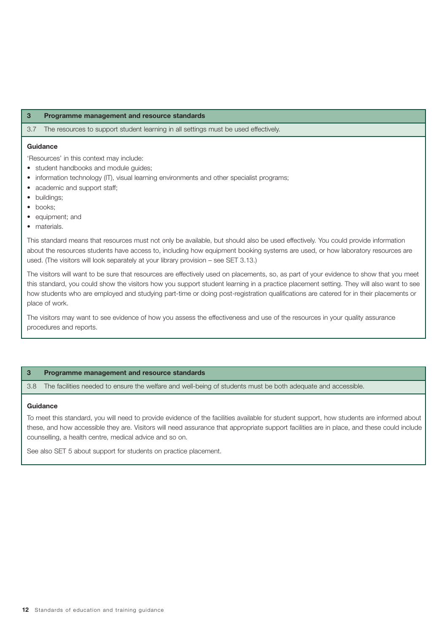3.7 The resources to support student learning in all settings must be used effectively.

#### **Guidance**

'Resources' in this context may include:

- student handbooks and module guides;
- information technology (IT), visual learning environments and other specialist programs;
- academic and support staff;
- buildings;
- books:
- equipment; and
- materials.

This standard means that resources must not only be available, but should also be used effectively. You could provide information about the resources students have access to, including how equipment booking systems are used, or how laboratory resources are used. (The visitors will look separately at your library provision – see SET 3.13.)

The visitors will want to be sure that resources are effectively used on placements, so, as part of your evidence to show that you meet this standard, you could show the visitors how you support student learning in a practice placement setting. They will also want to see how students who are employed and studying part-time or doing post-registration qualifications are catered for in their placements or place of work.

The visitors may want to see evidence of how you assess the effectiveness and use of the resources in your quality assurance procedures and reports.

#### **3 Programme management and resource standards**

3.8 The facilities needed to ensure the welfare and well-being of students must be both adequate and accessible.

#### **Guidance**

To meet this standard, you will need to provide evidence of the facilities available for student support, how students are informed about these, and how accessible they are. Visitors will need assurance that appropriate support facilities are in place, and these could include counselling, a health centre, medical advice and so on.

See also SET 5 about support for students on practice placement.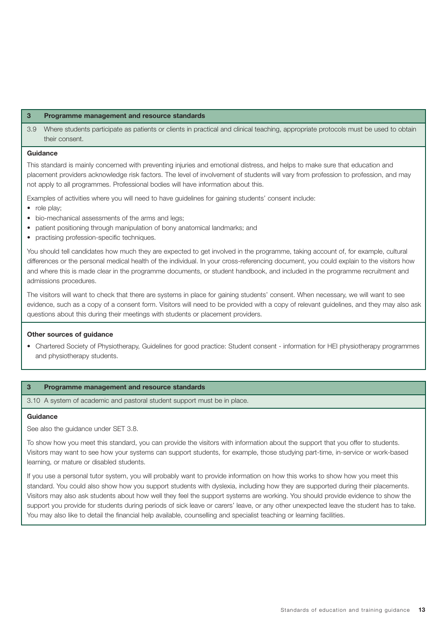3.9 Where students participate as patients or clients in practical and clinical teaching, appropriate protocols must be used to obtain their consent.

#### **Guidance**

This standard is mainly concerned with preventing injuries and emotional distress, and helps to make sure that education and placement providers acknowledge risk factors. The level of involvement of students will vary from profession to profession, and may not apply to all programmes. Professional bodies will have information about this.

Examples of activities where you will need to have guidelines for gaining students' consent include:

- role play:
- bio-mechanical assessments of the arms and legs;
- patient positioning through manipulation of bony anatomical landmarks; and
- practising profession-specific techniques.

You should tell candidates how much they are expected to get involved in the programme, taking account of, for example, cultural differences or the personal medical health of the individual. In your cross-referencing document, you could explain to the visitors how and where this is made clear in the programme documents, or student handbook, and included in the programme recruitment and admissions procedures.

The visitors will want to check that there are systems in place for gaining students' consent. When necessary, we will want to see evidence, such as a copy of a consent form. Visitors will need to be provided with a copy of relevant guidelines, and they may also ask questions about this during their meetings with students or placement providers.

#### **Other sources of guidance**

• Chartered Society of Physiotherapy, Guidelines for good practice: Student consent - information for HEI physiotherapy programmes and physiotherapy students.

#### **3 Programme management and resource standards**

3.10 A system of academic and pastoral student support must be in place.

#### **Guidance**

See also the guidance under SET 3.8.

To show how you meet this standard, you can provide the visitors with information about the support that you offer to students. Visitors may want to see how your systems can support students, for example, those studying part-time, in-service or work-based learning, or mature or disabled students.

If you use a personal tutor system, you will probably want to provide information on how this works to show how you meet this standard. You could also show how you support students with dyslexia, including how they are supported during their placements. Visitors may also ask students about how well they feel the support systems are working. You should provide evidence to show the support you provide for students during periods of sick leave or carers' leave, or any other unexpected leave the student has to take. You may also like to detail the financial help available, counselling and specialist teaching or learning facilities.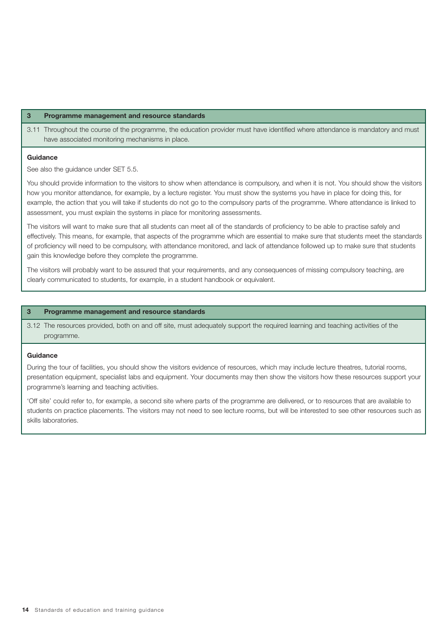3.11 Throughout the course of the programme, the education provider must have identified where attendance is mandatory and must have associated monitoring mechanisms in place.

#### **Guidance**

See also the guidance under SET 5.5.

You should provide information to the visitors to show when attendance is compulsory, and when it is not. You should show the visitors how you monitor attendance, for example, by a lecture register. You must show the systems you have in place for doing this, for example, the action that you will take if students do not go to the compulsory parts of the programme. Where attendance is linked to assessment, you must explain the systems in place for monitoring assessments.

The visitors will want to make sure that all students can meet all of the standards of proficiency to be able to practise safely and effectively. This means, for example, that aspects of the programme which are essential to make sure that students meet the standards of proficiency will need to be compulsory, with attendance monitored, and lack of attendance followed up to make sure that students gain this knowledge before they complete the programme.

The visitors will probably want to be assured that your requirements, and any consequences of missing compulsory teaching, are clearly communicated to students, for example, in a student handbook or equivalent.

#### **3 Programme management and resource standards**

3.12 The resources provided, both on and off site, must adequately support the required learning and teaching activities of the programme.

#### **Guidance**

During the tour of facilities, you should show the visitors evidence of resources, which may include lecture theatres, tutorial rooms, presentation equipment, specialist labs and equipment. Your documents may then show the visitors how these resources support your programme's learning and teaching activities.

'Off site' could refer to, for example, a second site where parts of the programme are delivered, or to resources that are available to students on practice placements. The visitors may not need to see lecture rooms, but will be interested to see other resources such as skills laboratories.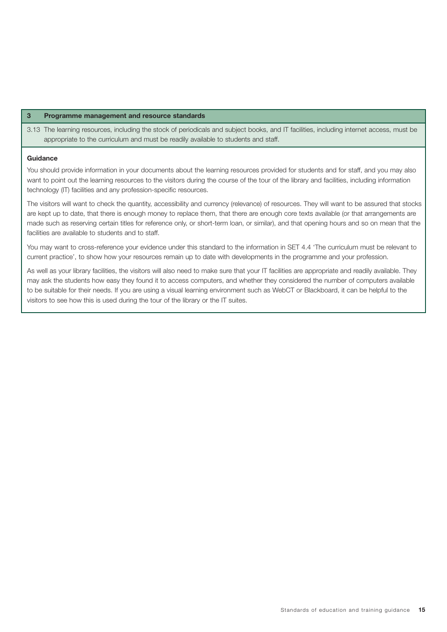3.13 The learning resources, including the stock of periodicals and subject books, and IT facilities, including internet access, must be appropriate to the curriculum and must be readily available to students and staff.

#### **Guidance**

You should provide information in your documents about the learning resources provided for students and for staff, and you may also want to point out the learning resources to the visitors during the course of the tour of the library and facilities, including information technology (IT) facilities and any profession-specific resources.

The visitors will want to check the quantity, accessibility and currency (relevance) of resources. They will want to be assured that stocks are kept up to date, that there is enough money to replace them, that there are enough core texts available (or that arrangements are made such as reserving certain titles for reference only, or short-term loan, or similar), and that opening hours and so on mean that the facilities are available to students and to staff.

You may want to cross-reference your evidence under this standard to the information in SET 4.4 'The curriculum must be relevant to current practice', to show how your resources remain up to date with developments in the programme and your profession.

As well as your library facilities, the visitors will also need to make sure that your IT facilities are appropriate and readily available. They may ask the students how easy they found it to access computers, and whether they considered the number of computers available to be suitable for their needs. If you are using a visual learning environment such as WebCT or Blackboard, it can be helpful to the visitors to see how this is used during the tour of the library or the IT suites.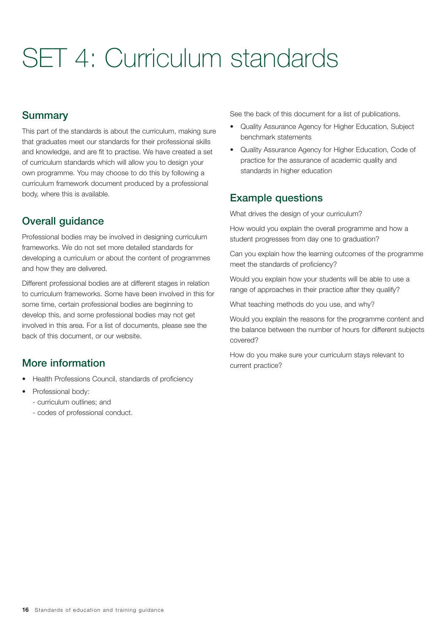# SET 4: Curriculum standards

## **Summary**

This part of the standards is about the curriculum, making sure that graduates meet our standards for their professional skills and knowledge, and are fit to practise. We have created a set of curriculum standards which will allow you to design your own programme. You may choose to do this by following a curriculum framework document produced by a professional body, where this is available.

## Overall guidance

Professional bodies may be involved in designing curriculum frameworks. We do not set more detailed standards for developing a curriculum or about the content of programmes and how they are delivered.

Different professional bodies are at different stages in relation to curriculum frameworks. Some have been involved in this for some time, certain professional bodies are beginning to develop this, and some professional bodies may not get involved in this area. For a list of documents, please see the back of this document, or our website.

## More information

- Health Professions Council, standards of proficiency
- Professional body:
	- curriculum outlines; and
	- codes of professional conduct.

See the back of this document for a list of publications.

- Quality Assurance Agency for Higher Education, Subject benchmark statements
- Quality Assurance Agency for Higher Education, Code of practice for the assurance of academic quality and standards in higher education

## Example questions

What drives the design of your curriculum?

How would you explain the overall programme and how a student progresses from day one to graduation?

Can you explain how the learning outcomes of the programme meet the standards of proficiency?

Would you explain how your students will be able to use a range of approaches in their practice after they qualify?

What teaching methods do you use, and why?

Would you explain the reasons for the programme content and the balance between the number of hours for different subjects covered?

How do you make sure your curriculum stays relevant to current practice?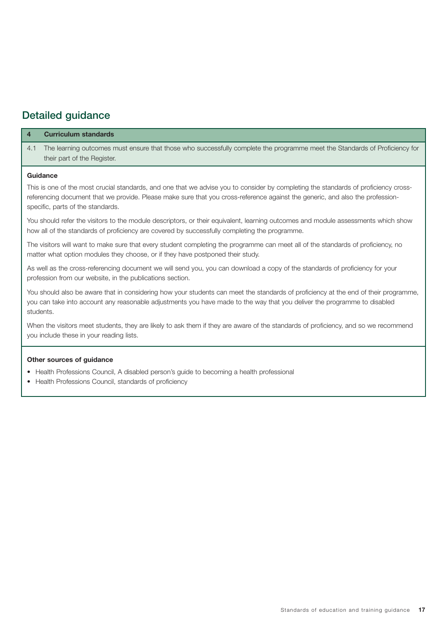## Detailed guidance

|     | <b>Curriculum standards</b>                                                                                                                                                                                                                                          |
|-----|----------------------------------------------------------------------------------------------------------------------------------------------------------------------------------------------------------------------------------------------------------------------|
| 4.1 | The learning outcomes must ensure that those who successfully complete the programme meet the Standards of Proficiency for<br>their part of the Register.                                                                                                            |
|     | Guidance                                                                                                                                                                                                                                                             |
|     | This is one of the most crucial standards, and one that we advise you to consider by completing the standards of proficiency cross-<br>referencing document that we provide. Please make sure that you cross-reference against the generic, and also the profession- |

referencing document that we provide. Please make sure that you cross-reference against the generic, and also the professionspecific, parts of the standards.

You should refer the visitors to the module descriptors, or their equivalent, learning outcomes and module assessments which show how all of the standards of proficiency are covered by successfully completing the programme.

The visitors will want to make sure that every student completing the programme can meet all of the standards of proficiency, no matter what option modules they choose, or if they have postponed their study.

As well as the cross-referencing document we will send you, you can download a copy of the standards of proficiency for your profession from our website, in the publications section.

You should also be aware that in considering how your students can meet the standards of proficiency at the end of their programme, you can take into account any reasonable adjustments you have made to the way that you deliver the programme to disabled students.

When the visitors meet students, they are likely to ask them if they are aware of the standards of proficiency, and so we recommend you include these in your reading lists.

### **Other sources of guidance**

- Health Professions Council, A disabled person's guide to becoming a health professional
- Health Professions Council, standards of proficiency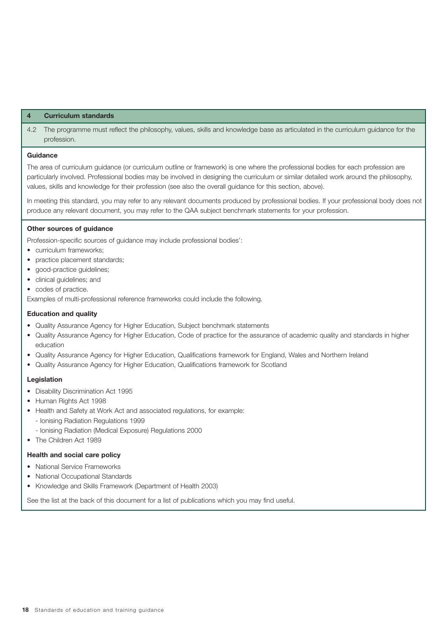4.2 The programme must reflect the philosophy, values, skills and knowledge base as articulated in the curriculum guidance for the profession.

#### **Guidance**

The area of curriculum guidance (or curriculum outline or framework) is one where the professional bodies for each profession are particularly involved. Professional bodies may be involved in designing the curriculum or similar detailed work around the philosophy, values, skills and knowledge for their profession (see also the overall guidance for this section, above).

In meeting this standard, you may refer to any relevant documents produced by professional bodies. If your professional body does not produce any relevant document, you may refer to the QAA subject benchmark statements for your profession.

#### **Other sources of guidance**

Profession-specific sources of guidance may include professional bodies':

- curriculum frameworks;
- practice placement standards;
- good-practice guidelines;
- clinical guidelines; and
- codes of practice.

Examples of multi-professional reference frameworks could include the following.

#### **Education and quality**

- Quality Assurance Agency for Higher Education, Subject benchmark statements
- Quality Assurance Agency for Higher Education, Code of practice for the assurance of academic quality and standards in higher education
- Quality Assurance Agency for Higher Education, Qualifications framework for England, Wales and Northern Ireland
- Quality Assurance Agency for Higher Education, Qualifications framework for Scotland

#### **Legislation**

- Disability Discrimination Act 1995
- Human Rights Act 1998
- Health and Safety at Work Act and associated regulations, for example: - Ionising Radiation Regulations 1999
	- Ionising Radiation (Medical Exposure) Regulations 2000
- The Children Act 1989

#### **Health and social care policy**

- National Service Frameworks
- National Occupational Standards
- Knowledge and Skills Framework (Department of Health 2003)

See the list at the back of this document for a list of publications which you may find useful.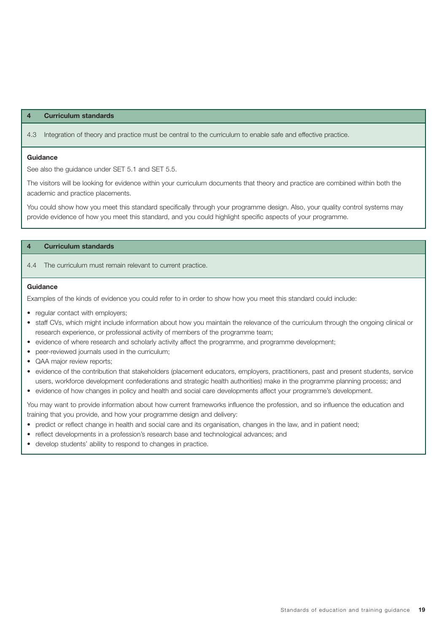4.3 Integration of theory and practice must be central to the curriculum to enable safe and effective practice.

#### **Guidance**

See also the guidance under SET 5.1 and SET 5.5.

The visitors will be looking for evidence within your curriculum documents that theory and practice are combined within both the academic and practice placements.

You could show how you meet this standard specifically through your programme design. Also, your quality control systems may provide evidence of how you meet this standard, and you could highlight specific aspects of your programme.

#### **4 Curriculum standards**

#### 4.4 The curriculum must remain relevant to current practice.

#### **Guidance**

Examples of the kinds of evidence you could refer to in order to show how you meet this standard could include:

- reqular contact with employers;
- staff CVs, which might include information about how you maintain the relevance of the curriculum through the ongoing clinical or research experience, or professional activity of members of the programme team;
- evidence of where research and scholarly activity affect the programme, and programme development;
- peer-reviewed journals used in the curriculum;
- QAA major review reports;
- evidence of the contribution that stakeholders (placement educators, employers, practitioners, past and present students, service users, workforce development confederations and strategic health authorities) make in the programme planning process; and
- evidence of how changes in policy and health and social care developments affect your programme's development.

You may want to provide information about how current frameworks influence the profession, and so influence the education and training that you provide, and how your programme design and delivery:

- predict or reflect change in health and social care and its organisation, changes in the law, and in patient need;
- reflect developments in a profession's research base and technological advances; and
- develop students' ability to respond to changes in practice.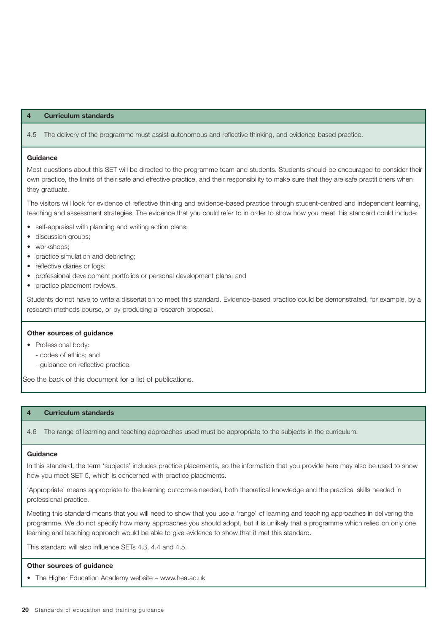4.5 The delivery of the programme must assist autonomous and reflective thinking, and evidence-based practice.

#### **Guidance**

Most questions about this SET will be directed to the programme team and students. Students should be encouraged to consider their own practice, the limits of their safe and effective practice, and their responsibility to make sure that they are safe practitioners when they graduate.

The visitors will look for evidence of reflective thinking and evidence-based practice through student-centred and independent learning, teaching and assessment strategies. The evidence that you could refer to in order to show how you meet this standard could include:

- self-appraisal with planning and writing action plans;
- discussion groups;
- workshops:
- practice simulation and debriefing;
- reflective diaries or logs;
- professional development portfolios or personal development plans; and
- practice placement reviews.

Students do not have to write a dissertation to meet this standard. Evidence-based practice could be demonstrated, for example, by a research methods course, or by producing a research proposal.

#### **Other sources of guidance**

- Professional body:
	- codes of ethics; and
	- guidance on reflective practice.

See the back of this document for a list of publications.

#### **4 Curriculum standards**

4.6 The range of learning and teaching approaches used must be appropriate to the subjects in the curriculum.

#### **Guidance**

In this standard, the term 'subjects' includes practice placements, so the information that you provide here may also be used to show how you meet SET 5, which is concerned with practice placements.

'Appropriate' means appropriate to the learning outcomes needed, both theoretical knowledge and the practical skills needed in professional practice.

Meeting this standard means that you will need to show that you use a 'range' of learning and teaching approaches in delivering the programme. We do not specify how many approaches you should adopt, but it is unlikely that a programme which relied on only one learning and teaching approach would be able to give evidence to show that it met this standard.

This standard will also influence SETs 4.3, 4.4 and 4.5.

#### **Other sources of guidance**

• The Higher Education Academy website – www.hea.ac.uk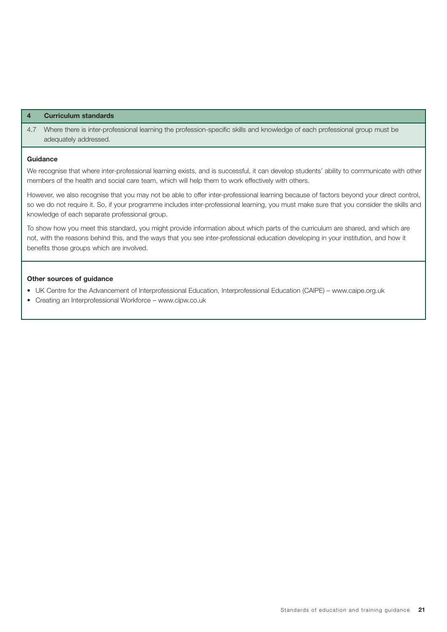4.7 Where there is inter-professional learning the profession-specific skills and knowledge of each professional group must be adequately addressed.

#### **Guidance**

We recognise that where inter-professional learning exists, and is successful, it can develop students' ability to communicate with other members of the health and social care team, which will help them to work effectively with others.

However, we also recognise that you may not be able to offer inter-professional learning because of factors beyond your direct control, so we do not require it. So, if your programme includes inter-professional learning, you must make sure that you consider the skills and knowledge of each separate professional group.

To show how you meet this standard, you might provide information about which parts of the curriculum are shared, and which are not, with the reasons behind this, and the ways that you see inter-professional education developing in your institution, and how it benefits those groups which are involved.

#### **Other sources of guidance**

- UK Centre for the Advancement of Interprofessional Education, Interprofessional Education (CAIPE) www.caipe.org.uk
- Creating an Interprofessional Workforce www.cipw.co.uk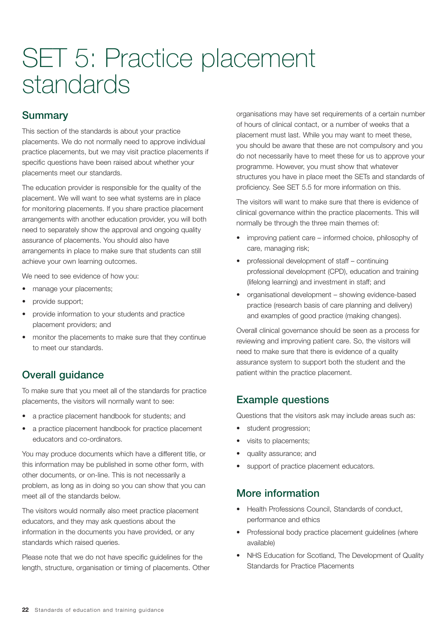# SET 5: Practice placement standards

# **Summary**

This section of the standards is about your practice placements. We do not normally need to approve individual practice placements, but we may visit practice placements if specific questions have been raised about whether your placements meet our standards.

The education provider is responsible for the quality of the placement. We will want to see what systems are in place for monitoring placements. If you share practice placement arrangements with another education provider, you will both need to separately show the approval and ongoing quality assurance of placements. You should also have arrangements in place to make sure that students can still achieve your own learning outcomes.

We need to see evidence of how you:

- manage your placements;
- provide support;
- provide information to your students and practice placement providers; and
- monitor the placements to make sure that they continue to meet our standards.

# Overall guidance

To make sure that you meet all of the standards for practice placements, the visitors will normally want to see:

- a practice placement handbook for students; and
- a practice placement handbook for practice placement educators and co-ordinators.

You may produce documents which have a different title, or this information may be published in some other form, with other documents, or on-line. This is not necessarily a problem, as long as in doing so you can show that you can meet all of the standards below.

The visitors would normally also meet practice placement educators, and they may ask questions about the information in the documents you have provided, or any standards which raised queries.

Please note that we do not have specific guidelines for the length, structure, organisation or timing of placements. Other

organisations may have set requirements of a certain number of hours of clinical contact, or a number of weeks that a placement must last. While you may want to meet these, you should be aware that these are not compulsory and you do not necessarily have to meet these for us to approve your programme. However, you must show that whatever structures you have in place meet the SETs and standards of proficiency. See SET 5.5 for more information on this.

The visitors will want to make sure that there is evidence of clinical governance within the practice placements. This will normally be through the three main themes of:

- improving patient care informed choice, philosophy of care, managing risk;
- professional development of staff continuing professional development (CPD), education and training (lifelong learning) and investment in staff; and
- organisational development showing evidence-based practice (research basis of care planning and delivery) and examples of good practice (making changes).

Overall clinical governance should be seen as a process for reviewing and improving patient care. So, the visitors will need to make sure that there is evidence of a quality assurance system to support both the student and the patient within the practice placement.

# Example questions

Questions that the visitors ask may include areas such as:

- student progression;
- visits to placements;
- quality assurance; and
- support of practice placement educators.

# More information

- Health Professions Council, Standards of conduct, performance and ethics
- Professional body practice placement guidelines (where available)
- NHS Education for Scotland, The Development of Quality Standards for Practice Placements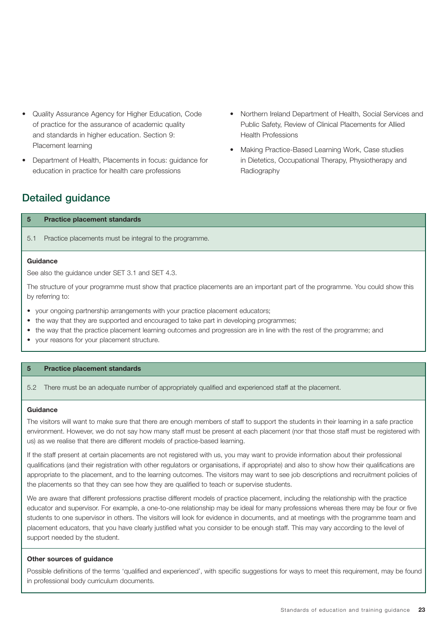- Quality Assurance Agency for Higher Education, Code of practice for the assurance of academic quality and standards in higher education. Section 9: Placement learning
- Department of Health, Placements in focus: guidance for education in practice for health care professions
- Northern Ireland Department of Health, Social Services and Public Safety, Review of Clinical Placements for Allied Health Professions
- Making Practice-Based Learning Work, Case studies in Dietetics, Occupational Therapy, Physiotherapy and Radiography

# Detailed guidance

|     | <b>Practice placement standards</b>                    |  |
|-----|--------------------------------------------------------|--|
| 5.1 | Practice placements must be integral to the programme. |  |
|     | $\sim$ $\sim$ $\sim$ $\sim$ $\sim$ $\sim$              |  |

**Guidance**

See also the guidance under SET 3.1 and SET 4.3.

The structure of your programme must show that practice placements are an important part of the programme. You could show this by referring to:

- your ongoing partnership arrangements with your practice placement educators;
- the way that they are supported and encouraged to take part in developing programmes;
- the way that the practice placement learning outcomes and progression are in line with the rest of the programme; and
- your reasons for your placement structure.

#### **5 Practice placement standards**

5.2 There must be an adequate number of appropriately qualified and experienced staff at the placement.

#### **Guidance**

The visitors will want to make sure that there are enough members of staff to support the students in their learning in a safe practice environment. However, we do not say how many staff must be present at each placement (nor that those staff must be registered with us) as we realise that there are different models of practice-based learning.

If the staff present at certain placements are not registered with us, you may want to provide information about their professional qualifications (and their registration with other regulators or organisations, if appropriate) and also to show how their qualifications are appropriate to the placement, and to the learning outcomes. The visitors may want to see job descriptions and recruitment policies of the placements so that they can see how they are qualified to teach or supervise students.

We are aware that different professions practise different models of practice placement, including the relationship with the practice educator and supervisor. For example, a one-to-one relationship may be ideal for many professions whereas there may be four or five students to one supervisor in others. The visitors will look for evidence in documents, and at meetings with the programme team and placement educators, that you have clearly justified what you consider to be enough staff. This may vary according to the level of support needed by the student.

#### **Other sources of guidance**

Possible definitions of the terms 'qualified and experienced', with specific suggestions for ways to meet this requirement, may be found in professional body curriculum documents.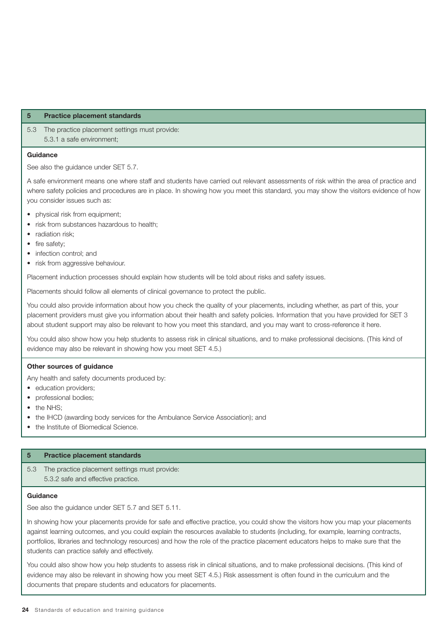5.3 The practice placement settings must provide: 5.3.1 a safe environment;

#### **Guidance**

See also the guidance under SET 5.7.

A safe environment means one where staff and students have carried out relevant assessments of risk within the area of practice and where safety policies and procedures are in place. In showing how you meet this standard, you may show the visitors evidence of how you consider issues such as:

- physical risk from equipment;
- risk from substances hazardous to health;
- radiation risk;
- fire safety;
- infection control; and
- risk from aggressive behaviour.

Placement induction processes should explain how students will be told about risks and safety issues.

Placements should follow all elements of clinical governance to protect the public.

You could also provide information about how you check the quality of your placements, including whether, as part of this, your placement providers must give you information about their health and safety policies. Information that you have provided for SET 3 about student support may also be relevant to how you meet this standard, and you may want to cross-reference it here.

You could also show how you help students to assess risk in clinical situations, and to make professional decisions. (This kind of evidence may also be relevant in showing how you meet SET 4.5.)

#### **Other sources of guidance**

Any health and safety documents produced by:

- education providers;
- professional bodies;
- the NHS:
- the IHCD (awarding body services for the Ambulance Service Association); and
- the Institute of Biomedical Science.

#### **5 Practice placement standards**

5.3 The practice placement settings must provide: 5.3.2 safe and effective practice.

#### **Guidance**

See also the guidance under SET 5.7 and SET 5.11.

In showing how your placements provide for safe and effective practice, you could show the visitors how you map your placements against learning outcomes, and you could explain the resources available to students (including, for example, learning contracts, portfolios, libraries and technology resources) and how the role of the practice placement educators helps to make sure that the students can practice safely and effectively.

You could also show how you help students to assess risk in clinical situations, and to make professional decisions. (This kind of evidence may also be relevant in showing how you meet SET 4.5.) Risk assessment is often found in the curriculum and the documents that prepare students and educators for placements.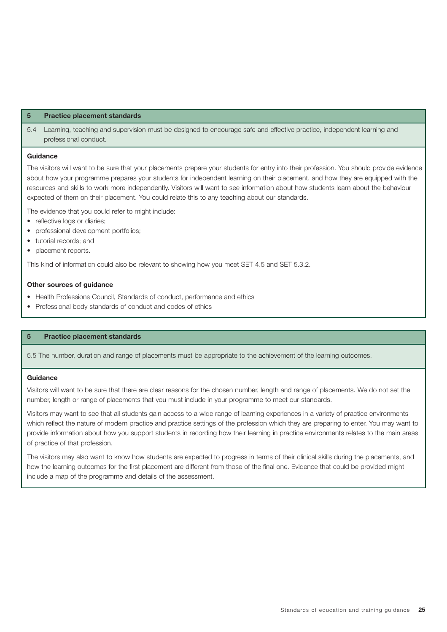5.4 Learning, teaching and supervision must be designed to encourage safe and effective practice, independent learning and professional conduct.

#### **Guidance**

The visitors will want to be sure that your placements prepare your students for entry into their profession. You should provide evidence about how your programme prepares your students for independent learning on their placement, and how they are equipped with the resources and skills to work more independently. Visitors will want to see information about how students learn about the behaviour expected of them on their placement. You could relate this to any teaching about our standards.

The evidence that you could refer to might include:

- reflective logs or diaries:
- professional development portfolios;
- tutorial records; and
- placement reports.

This kind of information could also be relevant to showing how you meet SET 4.5 and SET 5.3.2.

#### **Other sources of guidance**

- Health Professions Council, Standards of conduct, performance and ethics
- Professional body standards of conduct and codes of ethics

#### **5 Practice placement standards**

5.5 The number, duration and range of placements must be appropriate to the achievement of the learning outcomes.

#### **Guidance**

Visitors will want to be sure that there are clear reasons for the chosen number, length and range of placements. We do not set the number, length or range of placements that you must include in your programme to meet our standards.

Visitors may want to see that all students gain access to a wide range of learning experiences in a variety of practice environments which reflect the nature of modern practice and practice settings of the profession which they are preparing to enter. You may want to provide information about how you support students in recording how their learning in practice environments relates to the main areas of practice of that profession.

The visitors may also want to know how students are expected to progress in terms of their clinical skills during the placements, and how the learning outcomes for the first placement are different from those of the final one. Evidence that could be provided might include a map of the programme and details of the assessment.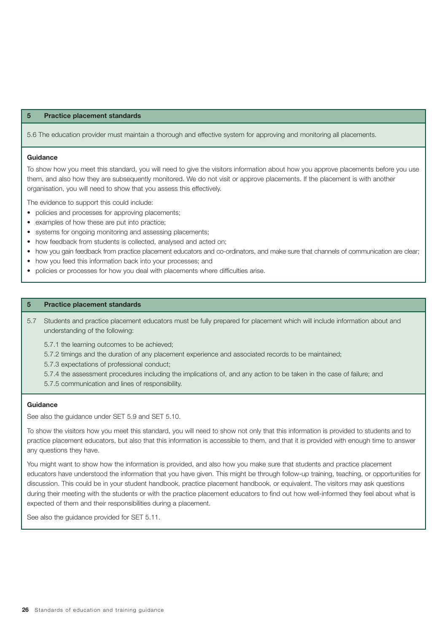5.6 The education provider must maintain a thorough and effective system for approving and monitoring all placements.

#### **Guidance**

To show how you meet this standard, you will need to give the visitors information about how you approve placements before you use them, and also how they are subsequently monitored. We do not visit or approve placements. If the placement is with another organisation, you will need to show that you assess this effectively.

The evidence to support this could include:

- policies and processes for approving placements;
- examples of how these are put into practice;
- systems for ongoing monitoring and assessing placements;
- how feedback from students is collected, analysed and acted on;
- how you gain feedback from practice placement educators and co-ordinators, and make sure that channels of communication are clear;
- how you feed this information back into your processes: and
- policies or processes for how you deal with placements where difficulties arise.

#### **5 Practice placement standards**

- 5.7 Students and practice placement educators must be fully prepared for placement which will include information about and understanding of the following:
	- 5.7.1 the learning outcomes to be achieved;
	- 5.7.2 timings and the duration of any placement experience and associated records to be maintained;
	- 5.7.3 expectations of professional conduct;
	- 5.7.4 the assessment procedures including the implications of, and any action to be taken in the case of failure; and
	- 5.7.5 communication and lines of responsibility.

#### **Guidance**

See also the guidance under SET 5.9 and SET 5.10.

To show the visitors how you meet this standard, you will need to show not only that this information is provided to students and to practice placement educators, but also that this information is accessible to them, and that it is provided with enough time to answer any questions they have.

You might want to show how the information is provided, and also how you make sure that students and practice placement educators have understood the information that you have given. This might be through follow-up training, teaching, or opportunities for discussion. This could be in your student handbook, practice placement handbook, or equivalent. The visitors may ask questions during their meeting with the students or with the practice placement educators to find out how well-informed they feel about what is expected of them and their responsibilities during a placement.

See also the guidance provided for SET 5.11.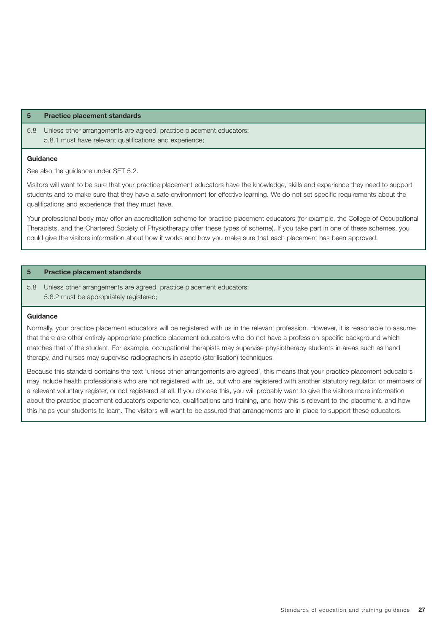5.8 Unless other arrangements are agreed, practice placement educators: 5.8.1 must have relevant qualifications and experience;

#### **Guidance**

See also the guidance under SET 5.2.

Visitors will want to be sure that your practice placement educators have the knowledge, skills and experience they need to support students and to make sure that they have a safe environment for effective learning. We do not set specific requirements about the qualifications and experience that they must have.

Your professional body may offer an accreditation scheme for practice placement educators (for example, the College of Occupational Therapists, and the Chartered Society of Physiotherapy offer these types of scheme). If you take part in one of these schemes, you could give the visitors information about how it works and how you make sure that each placement has been approved.

#### **5 Practice placement standards**

5.8 Unless other arrangements are agreed, practice placement educators: 5.8.2 must be appropriately registered;

#### **Guidance**

Normally, your practice placement educators will be registered with us in the relevant profession. However, it is reasonable to assume that there are other entirely appropriate practice placement educators who do not have a profession-specific background which matches that of the student. For example, occupational therapists may supervise physiotherapy students in areas such as hand therapy, and nurses may supervise radiographers in aseptic (sterilisation) techniques.

Because this standard contains the text 'unless other arrangements are agreed', this means that your practice placement educators may include health professionals who are not registered with us, but who are registered with another statutory regulator, or members of a relevant voluntary register, or not registered at all. If you choose this, you will probably want to give the visitors more information about the practice placement educator's experience, qualifications and training, and how this is relevant to the placement, and how this helps your students to learn. The visitors will want to be assured that arrangements are in place to support these educators.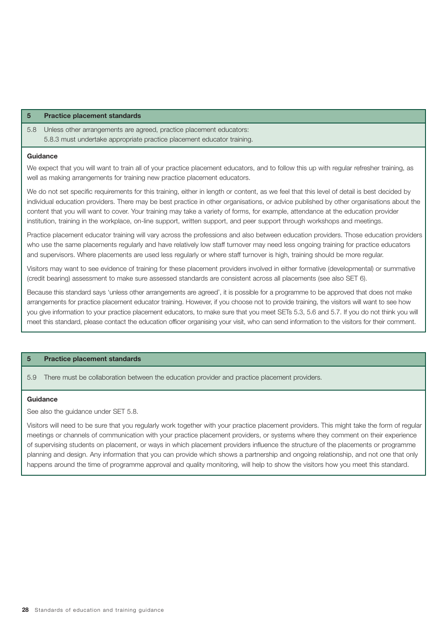5.8 Unless other arrangements are agreed, practice placement educators: 5.8.3 must undertake appropriate practice placement educator training.

#### **Guidance**

We expect that you will want to train all of your practice placement educators, and to follow this up with regular refresher training, as well as making arrangements for training new practice placement educators.

We do not set specific requirements for this training, either in length or content, as we feel that this level of detail is best decided by individual education providers. There may be best practice in other organisations, or advice published by other organisations about the content that you will want to cover. Your training may take a variety of forms, for example, attendance at the education provider institution, training in the workplace, on-line support, written support, and peer support through workshops and meetings.

Practice placement educator training will vary across the professions and also between education providers. Those education providers who use the same placements regularly and have relatively low staff turnover may need less ongoing training for practice educators and supervisors. Where placements are used less regularly or where staff turnover is high, training should be more regular.

Visitors may want to see evidence of training for these placement providers involved in either formative (developmental) or summative (credit bearing) assessment to make sure assessed standards are consistent across all placements (see also SET 6).

Because this standard says 'unless other arrangements are agreed', it is possible for a programme to be approved that does not make arrangements for practice placement educator training. However, if you choose not to provide training, the visitors will want to see how you give information to your practice placement educators, to make sure that you meet SETs 5.3, 5.6 and 5.7. If you do not think you will meet this standard, please contact the education officer organising your visit, who can send information to the visitors for their comment.

#### **5 Practice placement standards**

5.9 There must be collaboration between the education provider and practice placement providers.

#### **Guidance**

See also the guidance under SET 5.8.

Visitors will need to be sure that you regularly work together with your practice placement providers. This might take the form of regular meetings or channels of communication with your practice placement providers, or systems where they comment on their experience of supervising students on placement, or ways in which placement providers influence the structure of the placements or programme planning and design. Any information that you can provide which shows a partnership and ongoing relationship, and not one that only happens around the time of programme approval and quality monitoring, will help to show the visitors how you meet this standard.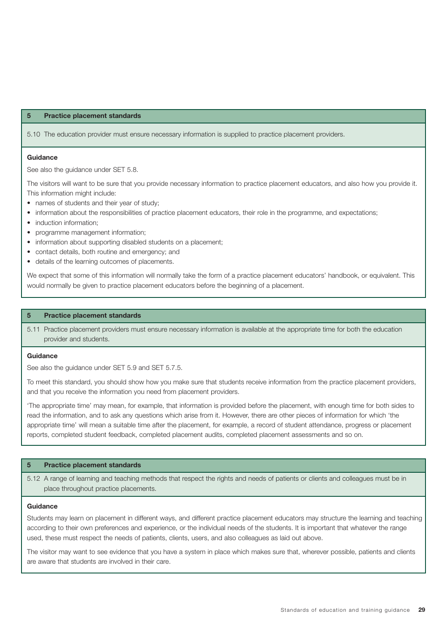5.10 The education provider must ensure necessary information is supplied to practice placement providers.

#### **Guidance**

See also the guidance under SET 5.8.

The visitors will want to be sure that you provide necessary information to practice placement educators, and also how you provide it. This information might include:

- names of students and their year of study;
- information about the responsibilities of practice placement educators, their role in the programme, and expectations;
- induction information;
- programme management information;
- information about supporting disabled students on a placement;
- contact details, both routine and emergency; and
- details of the learning outcomes of placements.

We expect that some of this information will normally take the form of a practice placement educators' handbook, or equivalent. This would normally be given to practice placement educators before the beginning of a placement.

#### **5 Practice placement standards**

5.11 Practice placement providers must ensure necessary information is available at the appropriate time for both the education provider and students.

#### **Guidance**

See also the guidance under SET 5.9 and SET 5.7.5.

To meet this standard, you should show how you make sure that students receive information from the practice placement providers, and that you receive the information you need from placement providers.

'The appropriate time' may mean, for example, that information is provided before the placement, with enough time for both sides to read the information, and to ask any questions which arise from it. However, there are other pieces of information for which 'the appropriate time' will mean a suitable time after the placement, for example, a record of student attendance, progress or placement reports, completed student feedback, completed placement audits, completed placement assessments and so on.

#### **5 Practice placement standards**

5.12 A range of learning and teaching methods that respect the rights and needs of patients or clients and colleagues must be in place throughout practice placements.

#### **Guidance**

Students may learn on placement in different ways, and different practice placement educators may structure the learning and teaching according to their own preferences and experience, or the individual needs of the students. It is important that whatever the range used, these must respect the needs of patients, clients, users, and also colleagues as laid out above.

The visitor may want to see evidence that you have a system in place which makes sure that, wherever possible, patients and clients are aware that students are involved in their care.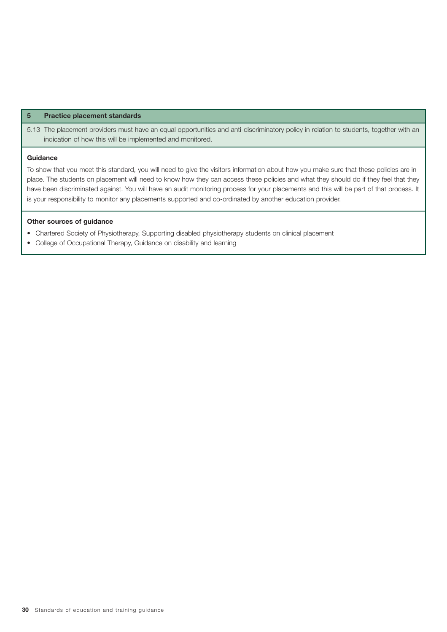5.13 The placement providers must have an equal opportunities and anti-discriminatory policy in relation to students, together with an indication of how this will be implemented and monitored.

#### **Guidance**

To show that you meet this standard, you will need to give the visitors information about how you make sure that these policies are in place. The students on placement will need to know how they can access these policies and what they should do if they feel that they have been discriminated against. You will have an audit monitoring process for your placements and this will be part of that process. It is your responsibility to monitor any placements supported and co-ordinated by another education provider.

#### **Other sources of guidance**

- Chartered Society of Physiotherapy, Supporting disabled physiotherapy students on clinical placement
- College of Occupational Therapy, Guidance on disability and learning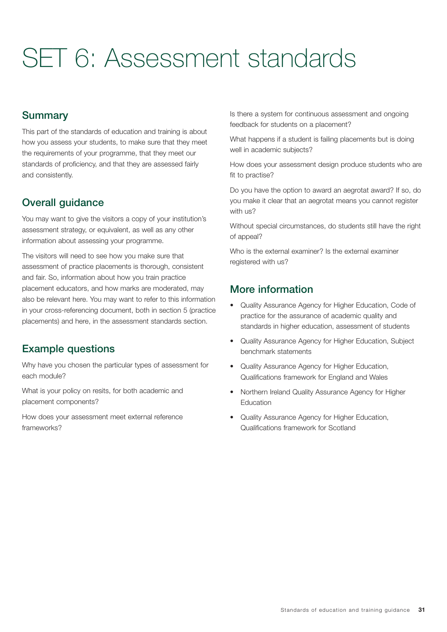# SET 6: Assessment standards

# **Summary**

This part of the standards of education and training is about how you assess your students, to make sure that they meet the requirements of your programme, that they meet our standards of proficiency, and that they are assessed fairly and consistently.

# Overall guidance

You may want to give the visitors a copy of your institution's assessment strategy, or equivalent, as well as any other information about assessing your programme.

The visitors will need to see how you make sure that assessment of practice placements is thorough, consistent and fair. So, information about how you train practice placement educators, and how marks are moderated, may also be relevant here. You may want to refer to this information in your cross-referencing document, both in section 5 (practice placements) and here, in the assessment standards section.

# Example questions

Why have you chosen the particular types of assessment for each module?

What is your policy on resits, for both academic and placement components?

How does your assessment meet external reference frameworks?

Is there a system for continuous assessment and ongoing feedback for students on a placement?

What happens if a student is failing placements but is doing well in academic subjects?

How does your assessment design produce students who are fit to practise?

Do you have the option to award an aegrotat award? If so, do you make it clear that an aegrotat means you cannot register with us?

Without special circumstances, do students still have the right of appeal?

Who is the external examiner? Is the external examiner registered with us?

# More information

- Quality Assurance Agency for Higher Education, Code of practice for the assurance of academic quality and standards in higher education, assessment of students
- Quality Assurance Agency for Higher Education, Subject benchmark statements
- Quality Assurance Agency for Higher Education, Qualifications framework for England and Wales
- Northern Ireland Quality Assurance Agency for Higher Education
- Quality Assurance Agency for Higher Education, Qualifications framework for Scotland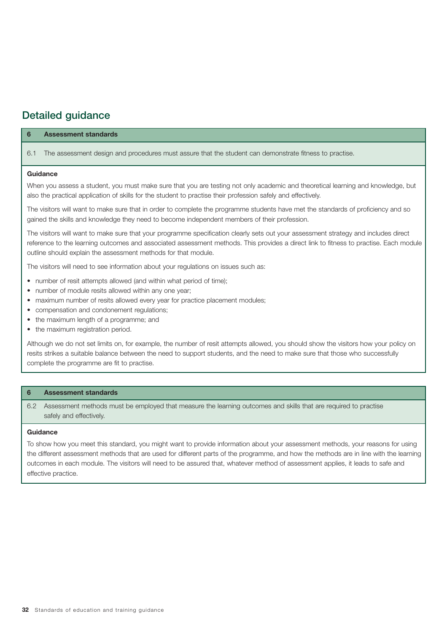# Detailed guidance

| <b>Assessment standards</b><br>6                                                                                                                                                                                                                                                                                                                 |  |  |  |
|--------------------------------------------------------------------------------------------------------------------------------------------------------------------------------------------------------------------------------------------------------------------------------------------------------------------------------------------------|--|--|--|
| The assessment design and procedures must assure that the student can demonstrate fitness to practise.<br>6.1                                                                                                                                                                                                                                    |  |  |  |
| Guidance                                                                                                                                                                                                                                                                                                                                         |  |  |  |
| When you assess a student, you must make sure that you are testing not only academic and theoretical learning and knowledge, but<br>also the practical application of skills for the student to practise their profession safely and effectively.                                                                                                |  |  |  |
| The visitors will want to make sure that in order to complete the programme students have met the standards of proficiency and so<br>gained the skills and knowledge they need to become independent members of their profession.                                                                                                                |  |  |  |
| The visitors will want to make sure that your programme specification clearly sets out your assessment strategy and includes direct<br>reference to the learning outcomes and associated assessment methods. This provides a direct link to fitness to practise. Each module<br>outline should explain the assessment methods for that module.   |  |  |  |
| The visitors will need to see information about your regulations on issues such as:                                                                                                                                                                                                                                                              |  |  |  |
| • number of resit attempts allowed (and within what period of time);<br>• number of module resits allowed within any one year;<br>• maximum number of resits allowed every year for practice placement modules;<br>• compensation and condonement regulations;<br>• the maximum length of a programme; and<br>• the maximum registration period. |  |  |  |
| Although we do not set limits on, for example, the number of resit attempts allowed, you should show the visitors how your policy on<br>resits strikes a suitable balance between the need to support students, and the need to make sure that those who successfully<br>complete the programme are fit to practise.                             |  |  |  |

#### **6 Assessment standards**

6.2 Assessment methods must be employed that measure the learning outcomes and skills that are required to practise safely and effectively.

#### **Guidance**

To show how you meet this standard, you might want to provide information about your assessment methods, your reasons for using the different assessment methods that are used for different parts of the programme, and how the methods are in line with the learning outcomes in each module. The visitors will need to be assured that, whatever method of assessment applies, it leads to safe and effective practice.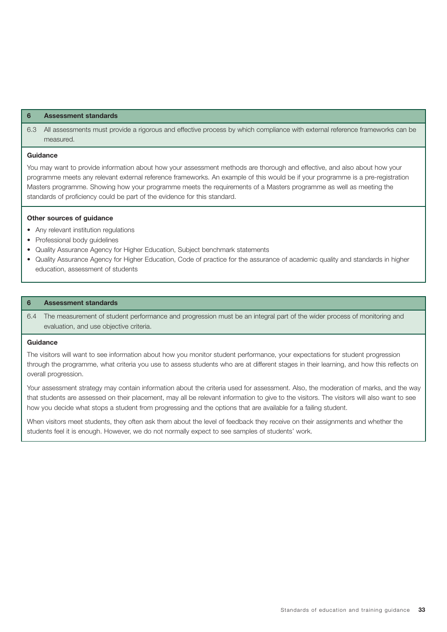#### **6 Assessment standards**

6.3 All assessments must provide a rigorous and effective process by which compliance with external reference frameworks can be measured.

#### **Guidance**

You may want to provide information about how your assessment methods are thorough and effective, and also about how your programme meets any relevant external reference frameworks. An example of this would be if your programme is a pre-registration Masters programme. Showing how your programme meets the requirements of a Masters programme as well as meeting the standards of proficiency could be part of the evidence for this standard.

#### **Other sources of guidance**

- Any relevant institution regulations
- Professional body guidelines
- Quality Assurance Agency for Higher Education, Subject benchmark statements
- Quality Assurance Agency for Higher Education, Code of practice for the assurance of academic quality and standards in higher education, assessment of students

#### **6 Assessment standards**

6.4 The measurement of student performance and progression must be an integral part of the wider process of monitoring and evaluation, and use objective criteria.

#### **Guidance**

The visitors will want to see information about how you monitor student performance, your expectations for student progression through the programme, what criteria you use to assess students who are at different stages in their learning, and how this reflects on overall progression.

Your assessment strategy may contain information about the criteria used for assessment. Also, the moderation of marks, and the way that students are assessed on their placement, may all be relevant information to give to the visitors. The visitors will also want to see how you decide what stops a student from progressing and the options that are available for a failing student.

When visitors meet students, they often ask them about the level of feedback they receive on their assignments and whether the students feel it is enough. However, we do not normally expect to see samples of students' work.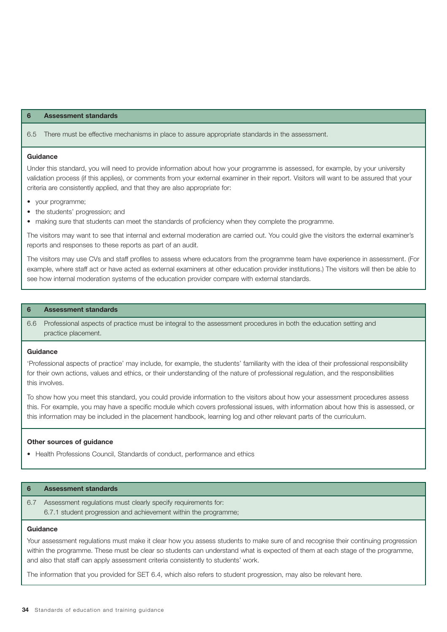#### **6 Assessment standards**

6.5 There must be effective mechanisms in place to assure appropriate standards in the assessment.

#### **Guidance**

Under this standard, you will need to provide information about how your programme is assessed, for example, by your university validation process (if this applies), or comments from your external examiner in their report. Visitors will want to be assured that your criteria are consistently applied, and that they are also appropriate for:

- your programme;
- the students' progression; and
- making sure that students can meet the standards of proficiency when they complete the programme.

The visitors may want to see that internal and external moderation are carried out. You could give the visitors the external examiner's reports and responses to these reports as part of an audit.

The visitors may use CVs and staff profiles to assess where educators from the programme team have experience in assessment. (For example, where staff act or have acted as external examiners at other education provider institutions.) The visitors will then be able to see how internal moderation systems of the education provider compare with external standards.

#### **6 Assessment standards**

6.6 Professional aspects of practice must be integral to the assessment procedures in both the education setting and practice placement.

#### **Guidance**

'Professional aspects of practice' may include, for example, the students' familiarity with the idea of their professional responsibility for their own actions, values and ethics, or their understanding of the nature of professional regulation, and the responsibilities this involves.

To show how you meet this standard, you could provide information to the visitors about how your assessment procedures assess this. For example, you may have a specific module which covers professional issues, with information about how this is assessed, or this information may be included in the placement handbook, learning log and other relevant parts of the curriculum.

#### **Other sources of guidance**

• Health Professions Council, Standards of conduct, performance and ethics

#### **6 Assessment standards**

6.7 Assessment regulations must clearly specify requirements for: 6.7.1 student progression and achievement within the programme;

#### **Guidance**

Your assessment regulations must make it clear how you assess students to make sure of and recognise their continuing progression within the programme. These must be clear so students can understand what is expected of them at each stage of the programme, and also that staff can apply assessment criteria consistently to students' work.

The information that you provided for SET 6.4, which also refers to student progression, may also be relevant here.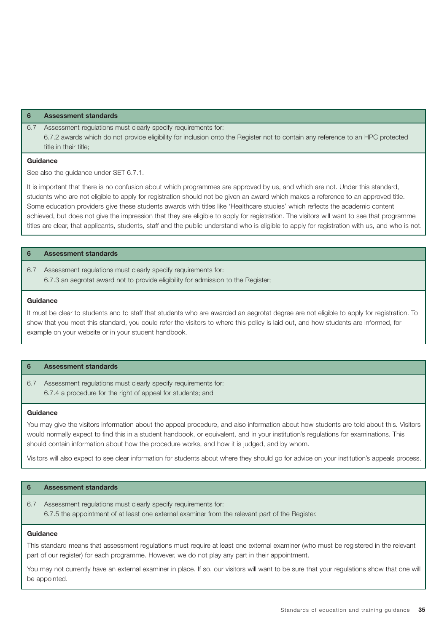#### **6 Assessment standards**

6.7 Assessment regulations must clearly specify requirements for: 6.7.2 awards which do not provide eligibility for inclusion onto the Register not to contain any reference to an HPC protected title in their title;

#### **Guidance**

See also the guidance under SET 6.7.1.

It is important that there is no confusion about which programmes are approved by us, and which are not. Under this standard, students who are not eligible to apply for registration should not be given an award which makes a reference to an approved title. Some education providers give these students awards with titles like 'Healthcare studies' which reflects the academic content achieved, but does not give the impression that they are eligible to apply for registration. The visitors will want to see that programme titles are clear, that applicants, students, staff and the public understand who is eligible to apply for registration with us, and who is not.

#### **6 Assessment standards**

6.7 Assessment regulations must clearly specify requirements for: 6.7.3 an aegrotat award not to provide eligibility for admission to the Register;

#### **Guidance**

It must be clear to students and to staff that students who are awarded an aegrotat degree are not eligible to apply for registration. To show that you meet this standard, you could refer the visitors to where this policy is laid out, and how students are informed, for example on your website or in your student handbook.

#### **6 Assessment standards**

6.7 Assessment regulations must clearly specify requirements for: 6.7.4 a procedure for the right of appeal for students; and

#### **Guidance**

You may give the visitors information about the appeal procedure, and also information about how students are told about this. Visitors would normally expect to find this in a student handbook, or equivalent, and in your institution's regulations for examinations. This should contain information about how the procedure works, and how it is judged, and by whom.

Visitors will also expect to see clear information for students about where they should go for advice on your institution's appeals process.

#### **6 Assessment standards**

#### 6.7 Assessment regulations must clearly specify requirements for: 6.7.5 the appointment of at least one external examiner from the relevant part of the Register.

#### **Guidance**

This standard means that assessment regulations must require at least one external examiner (who must be registered in the relevant part of our register) for each programme. However, we do not play any part in their appointment.

You may not currently have an external examiner in place. If so, our visitors will want to be sure that your regulations show that one will be appointed.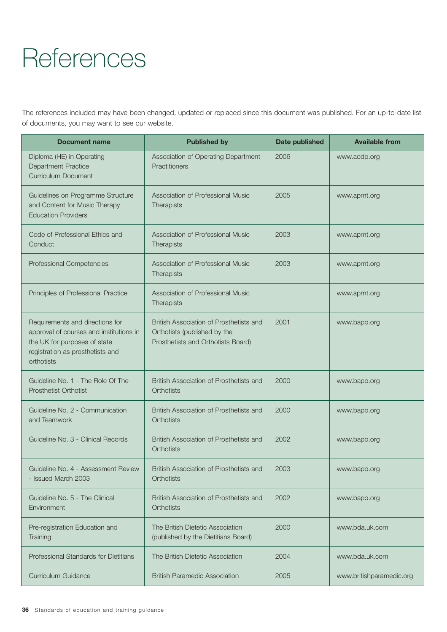# **References**

The references included may have been changed, updated or replaced since this document was published. For an up-to-date list of documents, you may want to see our website.

| <b>Document name</b>                                                                                                                                         | <b>Published by</b>                                                                                           | Date published | <b>Available from</b>    |
|--------------------------------------------------------------------------------------------------------------------------------------------------------------|---------------------------------------------------------------------------------------------------------------|----------------|--------------------------|
| Diploma (HE) in Operating<br><b>Department Practice</b><br><b>Curriculum Document</b>                                                                        | Association of Operating Department<br>Practitioners                                                          | 2006           | www.aodp.org             |
| Guidelines on Programme Structure<br>and Content for Music Therapy<br><b>Education Providers</b>                                                             | Association of Professional Music<br>Therapists                                                               | 2005           | www.apmt.org             |
| Code of Professional Ethics and<br>Conduct                                                                                                                   | Association of Professional Music<br>Therapists                                                               | 2003           | www.apmt.org             |
| Professional Competencies                                                                                                                                    | Association of Professional Music<br>Therapists                                                               | 2003           | www.apmt.org             |
| Principles of Professional Practice                                                                                                                          | Association of Professional Music<br>Therapists                                                               |                | www.apmt.org             |
| Requirements and directions for<br>approval of courses and institutions in<br>the UK for purposes of state<br>registration as prosthetists and<br>orthotists | British Association of Prosthetists and<br>Orthotists (published by the<br>Prosthetists and Orthotists Board) | 2001           | www.bapo.org             |
| Guideline No. 1 - The Role Of The<br><b>Prosthetist Orthotist</b>                                                                                            | British Association of Prosthetists and<br><b>Orthotists</b>                                                  | 2000           | www.bapo.org             |
| Guideline No. 2 - Communication<br>and Teamwork                                                                                                              | British Association of Prosthetists and<br><b>Orthotists</b>                                                  | 2000           | www.bapo.org             |
| Guideline No. 3 - Clinical Records                                                                                                                           | British Association of Prosthetists and<br><b>Orthotists</b>                                                  | 2002           | www.bapo.org             |
| Guideline No. 4 - Assessment Review<br>- Issued March 2003                                                                                                   | British Association of Prosthetists and<br>Orthotists                                                         | 2003           | www.bapo.org             |
| Guideline No. 5 - The Clinical<br>Environment                                                                                                                | British Association of Prosthetists and<br>Orthotists                                                         | 2002           | www.bapo.org             |
| Pre-registration Education and<br>Training                                                                                                                   | The British Dietetic Association<br>(published by the Dietitians Board)                                       | 2000           | www.bda.uk.com           |
| Professional Standards for Dietitians                                                                                                                        | The British Dietetic Association                                                                              | 2004           | www.bda.uk.com           |
| Curriculum Guidance                                                                                                                                          | <b>British Paramedic Association</b>                                                                          | 2005           | www.britishparamedic.org |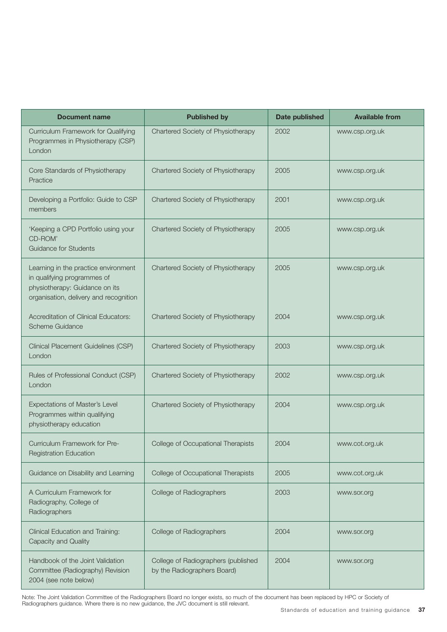| <b>Document name</b>                                                                                                                            | <b>Published by</b>                                                | Date published | <b>Available from</b> |
|-------------------------------------------------------------------------------------------------------------------------------------------------|--------------------------------------------------------------------|----------------|-----------------------|
| Curriculum Framework for Qualifying<br>Programmes in Physiotherapy (CSP)<br>London                                                              | Chartered Society of Physiotherapy                                 | 2002           | www.csp.org.uk        |
| Core Standards of Physiotherapy<br>Practice                                                                                                     | Chartered Society of Physiotherapy                                 | 2005           | www.csp.org.uk        |
| Developing a Portfolio: Guide to CSP<br>members                                                                                                 | Chartered Society of Physiotherapy                                 | 2001           | www.csp.org.uk        |
| 'Keeping a CPD Portfolio using your<br>CD-ROM'<br><b>Guidance for Students</b>                                                                  | Chartered Society of Physiotherapy                                 | 2005           | www.csp.org.uk        |
| Learning in the practice environment<br>in qualifying programmes of<br>physiotherapy: Guidance on its<br>organisation, delivery and recognition | Chartered Society of Physiotherapy                                 | 2005           | www.csp.org.uk        |
| <b>Accreditation of Clinical Educators:</b><br>Scheme Guidance                                                                                  | Chartered Society of Physiotherapy                                 | 2004           | www.csp.org.uk        |
| Clinical Placement Guidelines (CSP)<br>London                                                                                                   | Chartered Society of Physiotherapy                                 | 2003           | www.csp.org.uk        |
| Rules of Professional Conduct (CSP)<br>London                                                                                                   | Chartered Society of Physiotherapy                                 | 2002           | www.csp.org.uk        |
| Expectations of Master's Level<br>Programmes within qualifying<br>physiotherapy education                                                       | Chartered Society of Physiotherapy                                 | 2004           | www.csp.org.uk        |
| Curriculum Framework for Pre-<br><b>Registration Education</b>                                                                                  | College of Occupational Therapists                                 | 2004           | www.cot.org.uk        |
| Guidance on Disability and Learning                                                                                                             | College of Occupational Therapists                                 | 2005           | www.cot.org.uk        |
| A Curriculum Framework for<br>Radiography, College of<br>Radiographers                                                                          | College of Radiographers                                           | 2003           | www.sor.org           |
| Clinical Education and Training:<br>Capacity and Quality                                                                                        | College of Radiographers                                           | 2004           | www.sor.org           |
| Handbook of the Joint Validation<br>Committee (Radiography) Revision<br>2004 (see note below)                                                   | College of Radiographers (published<br>by the Radiographers Board) | 2004           | www.sor.org           |

Note: The Joint Validation Committee of the Radiographers Board no longer exists, so much of the document has been replaced by HPC or Society of Radiographers guidance. Where there is no new guidance, the JVC document is still relevant.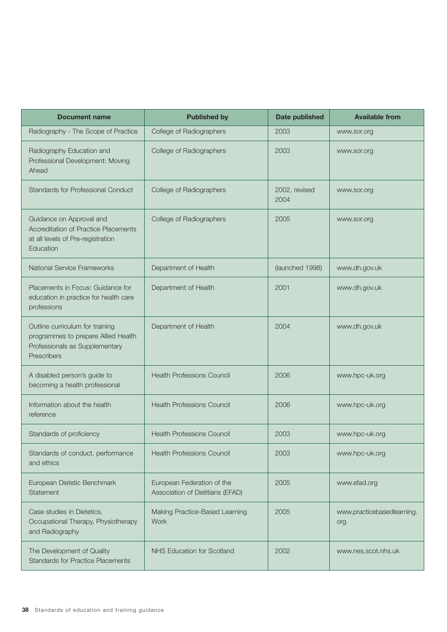| <b>Document name</b>                                                                                                    | <b>Published by</b>                                            | <b>Date published</b> | <b>Available from</b>             |
|-------------------------------------------------------------------------------------------------------------------------|----------------------------------------------------------------|-----------------------|-----------------------------------|
| Radiography - The Scope of Practice                                                                                     | College of Radiographers                                       | 2003                  | www.sor.org                       |
| Radiography Education and<br>Professional Development: Moving<br>Ahead                                                  | College of Radiographers                                       | 2003                  | www.sor.org                       |
| <b>Standards for Professional Conduct</b>                                                                               | College of Radiographers                                       | 2002, revised<br>2004 | www.sor.org                       |
| Guidance on Approval and<br>Accreditation of Practice Placements<br>at all levels of Pre-registration<br>Education      | College of Radiographers                                       | 2005                  | www.sor.org                       |
| National Service Frameworks                                                                                             | Department of Health                                           | (launched 1998)       | www.dh.gov.uk                     |
| Placements in Focus: Guidance for<br>education in practice for health care<br>professions                               | Department of Health                                           | 2001                  | www.dh.gov.uk                     |
| Outline curriculum for training<br>programmes to prepare Allied Health<br>Professionals as Supplementary<br>Prescribers | Department of Health                                           | 2004                  | www.dh.gov.uk                     |
| A disabled person's guide to<br>becoming a health professional                                                          | <b>Health Professions Council</b>                              | 2006                  | www.hpc-uk.org                    |
| Information about the health<br>reference                                                                               | <b>Health Professions Council</b>                              | 2006                  | www.hpc-uk.org                    |
| Standards of proficiency                                                                                                | <b>Health Professions Council</b>                              | 2003                  | www.hpc-uk.org                    |
| Standards of conduct, performance<br>and ethics                                                                         | <b>Health Professions Council</b>                              | 2003                  | www.hpc-uk.org                    |
| European Dietetic Benchmark<br>Statement                                                                                | European Federation of the<br>Association of Dietitians (EFAD) | 2005                  | www.efad.org                      |
| Case studies in Dietetics,<br>Occupational Therapy, Physiotherapy<br>and Radiography                                    | Making Practice-Based Learning<br><b>Work</b>                  | 2005                  | www.practicebasedlearning.<br>org |
| The Development of Quality<br><b>Standards for Practice Placements</b>                                                  | <b>NHS Education for Scotland</b>                              | 2002                  | www.nes.scot.nhs.uk               |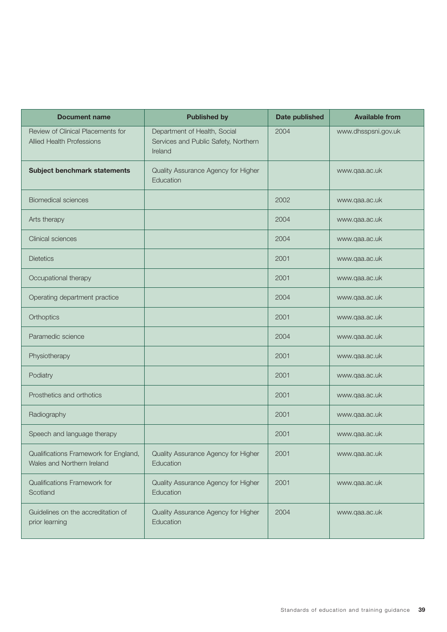| <b>Document name</b>                                                  | <b>Published by</b>                                                             | Date published | <b>Available from</b> |
|-----------------------------------------------------------------------|---------------------------------------------------------------------------------|----------------|-----------------------|
| Review of Clinical Placements for<br><b>Allied Health Professions</b> | Department of Health, Social<br>Services and Public Safety, Northern<br>Ireland | 2004           | www.dhsspsni.gov.uk   |
| Subject benchmark statements                                          | Quality Assurance Agency for Higher<br>Education                                |                | www.qaa.ac.uk         |
| <b>Biomedical sciences</b>                                            |                                                                                 | 2002           | www.qaa.ac.uk         |
| Arts therapy                                                          |                                                                                 | 2004           | www.qaa.ac.uk         |
| Clinical sciences                                                     |                                                                                 | 2004           | www.qaa.ac.uk         |
| <b>Dietetics</b>                                                      |                                                                                 | 2001           | www.qaa.ac.uk         |
| Occupational therapy                                                  |                                                                                 | 2001           | www.qaa.ac.uk         |
| Operating department practice                                         |                                                                                 | 2004           | www.qaa.ac.uk         |
| Orthoptics                                                            |                                                                                 | 2001           | www.qaa.ac.uk         |
| Paramedic science                                                     |                                                                                 | 2004           | www.qaa.ac.uk         |
| Physiotherapy                                                         |                                                                                 | 2001           | www.qaa.ac.uk         |
| Podiatry                                                              |                                                                                 | 2001           | www.qaa.ac.uk         |
| Prosthetics and orthotics                                             |                                                                                 | 2001           | www.qaa.ac.uk         |
| Radiography                                                           |                                                                                 | 2001           | www.qaa.ac.uk         |
| Speech and language therapy                                           |                                                                                 | 2001           | www.qaa.ac.uk         |
| Qualifications Framework for England,<br>Wales and Northern Ireland   | Quality Assurance Agency for Higher<br>Education                                | 2001           | www.qaa.ac.uk         |
| Qualifications Framework for<br>Scotland                              | Quality Assurance Agency for Higher<br>Education                                | 2001           | www.qaa.ac.uk         |
| Guidelines on the accreditation of<br>prior learning                  | Quality Assurance Agency for Higher<br>Education                                | 2004           | www.qaa.ac.uk         |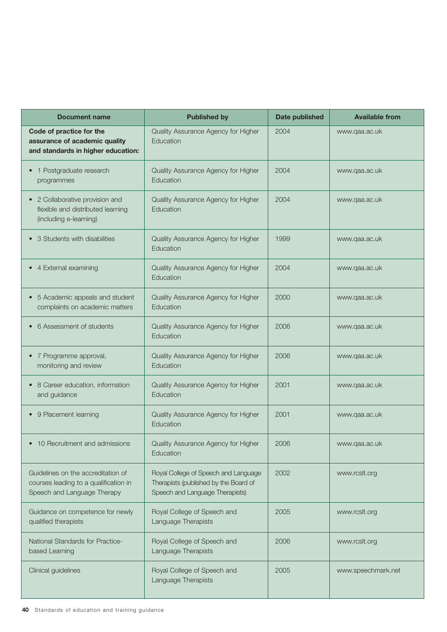| <b>Document name</b>                                                                                       | <b>Published by</b>                                                                                              | <b>Date published</b> | <b>Available from</b> |
|------------------------------------------------------------------------------------------------------------|------------------------------------------------------------------------------------------------------------------|-----------------------|-----------------------|
| Code of practice for the<br>assurance of academic quality<br>and standards in higher education:            | Quality Assurance Agency for Higher<br>Education                                                                 | 2004                  | www.qaa.ac.uk         |
| 1 Postgraduate research<br>programmes                                                                      | Quality Assurance Agency for Higher<br>Education                                                                 | 2004                  | www.qaa.ac.uk         |
| • 2 Collaborative provision and<br>flexible and distributed learning<br>(including e-learning)             | Quality Assurance Agency for Higher<br>Education                                                                 | 2004                  | www.qaa.ac.uk         |
| • 3 Students with disabilities                                                                             | Quality Assurance Agency for Higher<br>Education                                                                 | 1999                  | www.qaa.ac.uk         |
| • 4 External examining                                                                                     | Quality Assurance Agency for Higher<br>Education                                                                 | 2004                  | www.qaa.ac.uk         |
| 5 Academic appeals and student<br>complaints on academic matters                                           | Quality Assurance Agency for Higher<br>Education                                                                 | 2000                  | www.qaa.ac.uk         |
| 6 Assessment of students                                                                                   | Quality Assurance Agency for Higher<br>Education                                                                 | 2006                  | www.qaa.ac.uk         |
| 7 Programme approval,<br>monitoring and review                                                             | Quality Assurance Agency for Higher<br>Education                                                                 | 2006                  | www.qaa.ac.uk         |
| 8 Career education, information<br>and guidance                                                            | Quality Assurance Agency for Higher<br>Education                                                                 | 2001                  | www.qaa.ac.uk         |
| 9 Placement learning                                                                                       | Quality Assurance Agency for Higher<br>Education                                                                 | 2001                  | www.qaa.ac.uk         |
| 10 Recruitment and admissions                                                                              | Quality Assurance Agency for Higher<br>Education                                                                 | 2006                  | www.qaa.ac.uk         |
| Guidelines on the accreditation of<br>courses leading to a qualification in<br>Speech and Language Therapy | Royal College of Speech and Language<br>Therapists (published by the Board of<br>Speech and Language Therapists) | 2002                  | www.rcslt.org         |
| Guidance on competence for newly<br>qualified therapists                                                   | Royal College of Speech and<br>Language Therapists                                                               | 2005                  | www.rcslt.org         |
| National Standards for Practice-<br>based Learning                                                         | Royal College of Speech and<br>Language Therapists                                                               | 2006                  | www.rcslt.org         |
| Clinical guidelines                                                                                        | Royal College of Speech and<br>Language Therapists                                                               | 2005                  | www.speechmark.net    |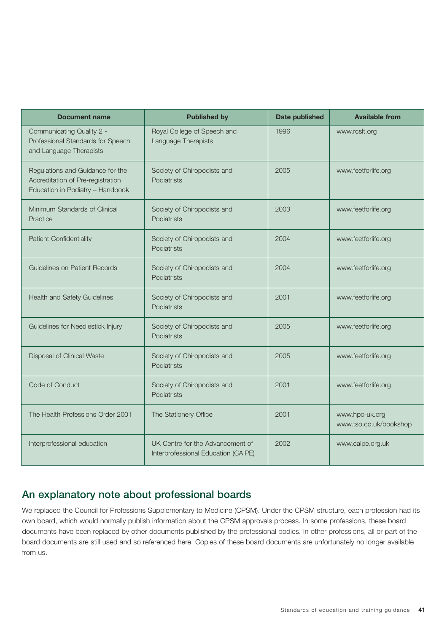| <b>Document name</b>                                                                                      | <b>Published by</b>                                                     | <b>Date published</b> | <b>Available from</b>                    |
|-----------------------------------------------------------------------------------------------------------|-------------------------------------------------------------------------|-----------------------|------------------------------------------|
| Communicating Quality 2 -<br>Professional Standards for Speech<br>and Language Therapists                 | Royal College of Speech and<br>Language Therapists                      | 1996                  | www.rcslt.org                            |
| Regulations and Guidance for the<br>Accreditation of Pre-registration<br>Education in Podiatry - Handbook | Society of Chiropodists and<br>Podiatrists                              | 2005                  | www.feetforlife.org                      |
| Minimum Standards of Clinical<br>Practice                                                                 | Society of Chiropodists and<br>Podiatrists                              | 2003                  | www.feetforlife.org                      |
| <b>Patient Confidentiality</b>                                                                            | Society of Chiropodists and<br>Podiatrists                              | 2004                  | www.feetforlife.org                      |
| Guidelines on Patient Records                                                                             | Society of Chiropodists and<br>Podiatrists                              | 2004                  | www.feetforlife.org                      |
| Health and Safety Guidelines                                                                              | Society of Chiropodists and<br>Podiatrists                              | 2001                  | www.feetforlife.org                      |
| Guidelines for Needlestick Injury                                                                         | Society of Chiropodists and<br>Podiatrists                              | 2005                  | www.feetforlife.org                      |
| Disposal of Clinical Waste                                                                                | Society of Chiropodists and<br>Podiatrists                              | 2005                  | www.feetforlife.org                      |
| Code of Conduct                                                                                           | Society of Chiropodists and<br>Podiatrists                              | 2001                  | www.feetforlife.org                      |
| The Health Professions Order 2001                                                                         | The Stationery Office                                                   | 2001                  | www.hpc-uk.org<br>www.tso.co.uk/bookshop |
| Interprofessional education                                                                               | UK Centre for the Advancement of<br>Interprofessional Education (CAIPE) | 2002                  | www.caipe.org.uk                         |

# An explanatory note about professional boards

We replaced the Council for Professions Supplementary to Medicine (CPSM). Under the CPSM structure, each profession had its own board, which would normally publish information about the CPSM approvals process. In some professions, these board documents have been replaced by other documents published by the professional bodies. In other professions, all or part of the board documents are still used and so referenced here. Copies of these board documents are unfortunately no longer available from us.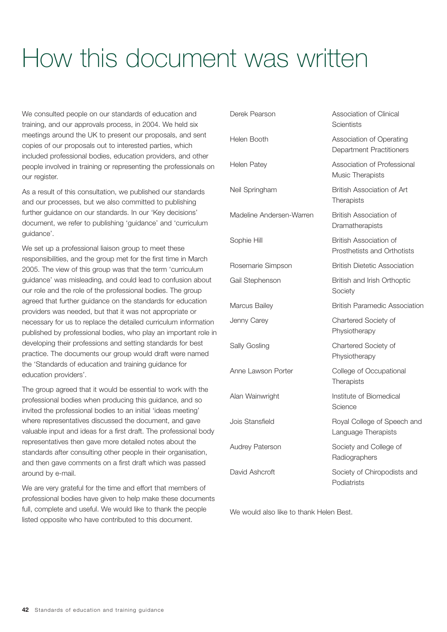# How this document was written

We consulted people on our standards of education and training, and our approvals process, in 2004. We held six meetings around the UK to present our proposals, and sent copies of our proposals out to interested parties, which included professional bodies, education providers, and other people involved in training or representing the professionals on our register.

As a result of this consultation, we published our standards and our processes, but we also committed to publishing further guidance on our standards. In our 'Key decisions' document, we refer to publishing 'guidance' and 'curriculum guidance'.

We set up a professional liaison group to meet these responsibilities, and the group met for the first time in March 2005. The view of this group was that the term 'curriculum guidance' was misleading, and could lead to confusion about our role and the role of the professional bodies. The group agreed that further guidance on the standards for education providers was needed, but that it was not appropriate or necessary for us to replace the detailed curriculum information published by professional bodies, who play an important role in developing their professions and setting standards for best practice. The documents our group would draft were named the 'Standards of education and training guidance for education providers'.

The group agreed that it would be essential to work with the professional bodies when producing this guidance, and so invited the professional bodies to an initial 'ideas meeting' where representatives discussed the document, and gave valuable input and ideas for a first draft. The professional body representatives then gave more detailed notes about the standards after consulting other people in their organisation, and then gave comments on a first draft which was passed around by e-mail.

We are very grateful for the time and effort that members of professional bodies have given to help make these documents full, complete and useful. We would like to thank the people listed opposite who have contributed to this document.

| Derek Pearson            | Association of Clinical<br><b>Scientists</b>                 |
|--------------------------|--------------------------------------------------------------|
| Helen Booth              | Association of Operating<br><b>Department Practitioners</b>  |
| Helen Patey              | Association of Professional<br>Music Therapists              |
| Neil Springham           | British Association of Art<br>Therapists                     |
| Madeline Andersen-Warren | <b>British Association of</b><br>Dramatherapists             |
| Sophie Hill              | <b>British Association of</b><br>Prosthetists and Orthotists |
| Rosemarie Simpson        | <b>British Dietetic Association</b>                          |
| Gail Stephenson          | British and Irish Orthoptic<br>Society                       |
| Marcus Bailey            | <b>British Paramedic Association</b>                         |
| Jenny Carey              | Chartered Society of<br>Physiotherapy                        |
| Sally Gosling            | Chartered Society of<br>Physiotherapy                        |
| Anne Lawson Porter       | College of Occupational<br>Therapists                        |
| Alan Wainwright          | Institute of Biomedical<br>Science                           |
| Jois Stansfield          | Royal College of Speech and<br>Language Therapists           |
| <b>Audrey Paterson</b>   | Society and College of<br>Radiographers                      |
| David Ashcroft           | Society of Chiropodists and<br>Podiatrists                   |

We would also like to thank Helen Best.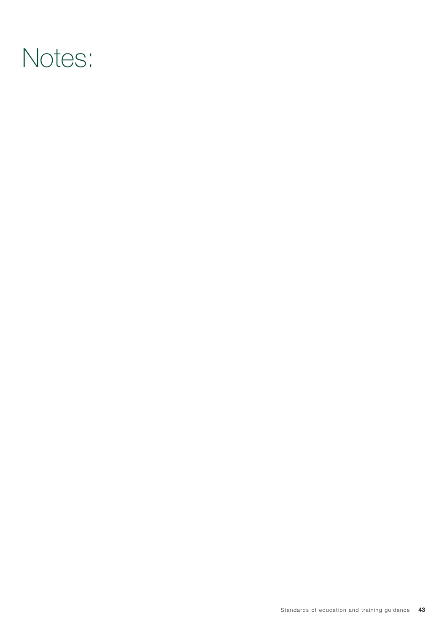# Notes: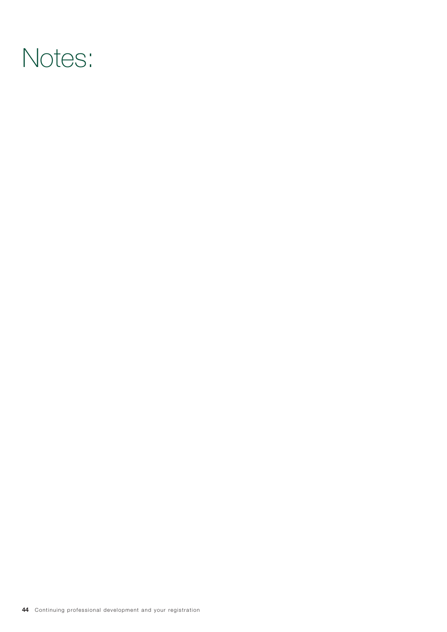# Notes: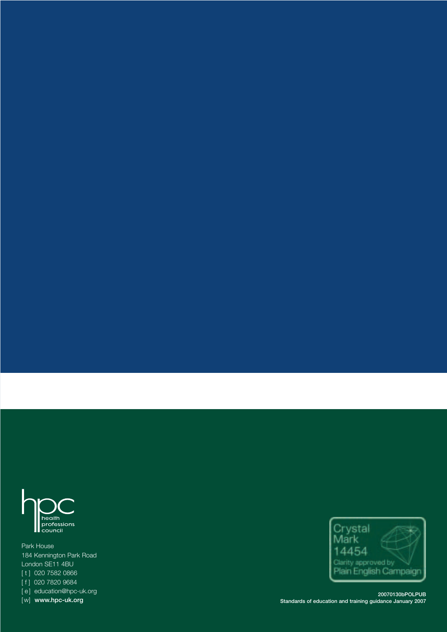

Park House 184 Kennington Park Road London SE11 4BU [ t ] 020 7582 0866 [ f ] 020 7820 9684 [e] education@hpc-uk.org [w] www.hpc-uk.org



20070130bPOLPUB Standards of education and training guidance January 2007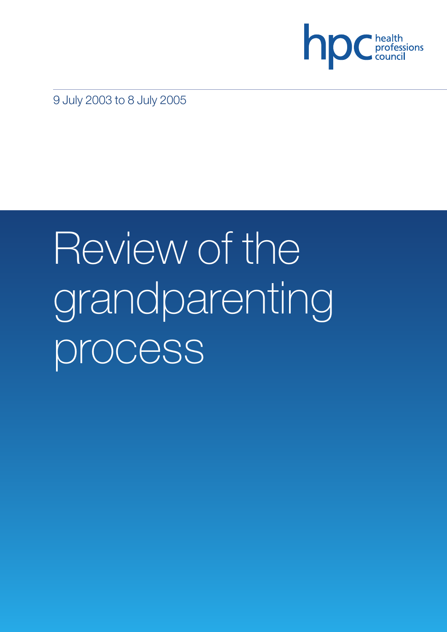

9 July 2003 to 8 July 2005

# Review of the grandparenting process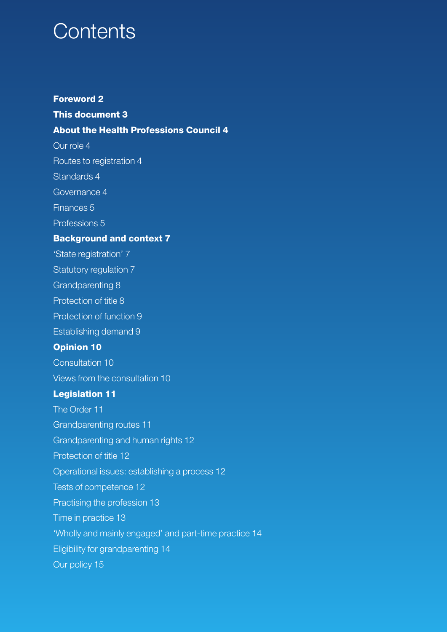# **Contents**

## **Foreword 2**

## **This document 3**

## **About the Health Professions Council 4**

Our role 4

Routes to registration 4

Standards 4

Governance 4

Finances 5

Professions 5

## **Background and context 7**

'State registration' 7

Statutory regulation 7

Grandparenting 8

Protection of title 8

Protection of function 9

Establishing demand 9

## **Opinion 10**

Consultation 10

Views from the consultation 10

## **Legislation 11**

The Order 11

Grandparenting routes 11

Grandparenting and human rights 12

Protection of title 12

Operational issues: establishing a process 12

Tests of competence 12

Practising the profession 13

Time in practice 13

'Wholly and mainly engaged' and part-time practice 14

Eligibility for grandparenting 14

Our policy 15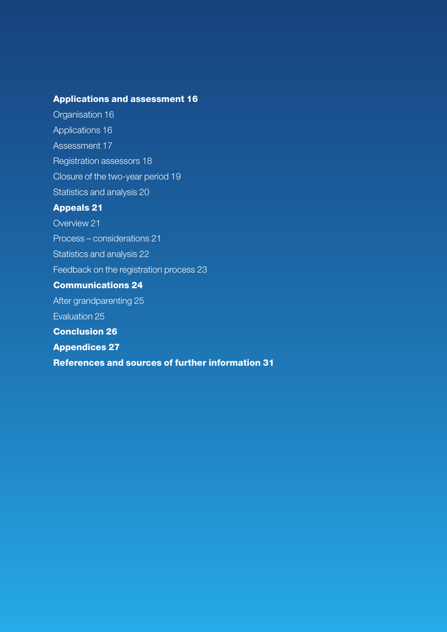# **Applications and assessment 16**

Organisation 16 Applications 16 Assessment 17 Registration assessors 18 Closure of the two-year period 19 Statistics and analysis 20 **Appeals 21**

Overview 21

Process – considerations 21

Statistics and analysis 22

Feedback on the registration process 23

## **Communications 24**

After grandparenting 25

Evaluation 25

**Conclusion 26**

**Appendices 27**

**References and sources of further information 31**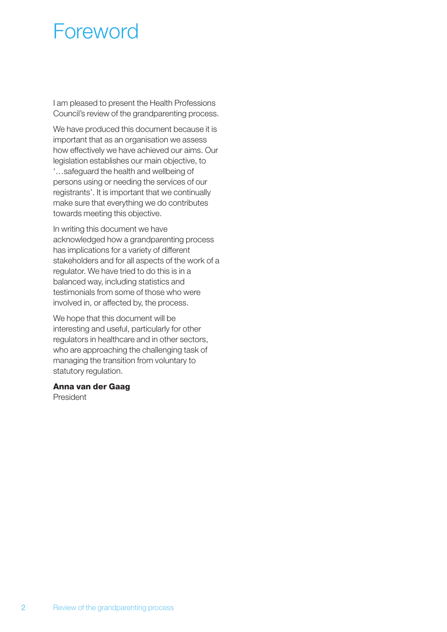# Foreword

I am pleased to present the Health Professions Council's review of the grandparenting process.

We have produced this document because it is important that as an organisation we assess how effectively we have achieved our aims. Our legislation establishes our main objective, to '…safeguard the health and wellbeing of persons using or needing the services of our registrants'. It is important that we continually make sure that everything we do contributes towards meeting this objective.

In writing this document we have acknowledged how a grandparenting process has implications for a variety of different stakeholders and for all aspects of the work of a regulator. We have tried to do this is in a balanced way, including statistics and testimonials from some of those who were involved in, or affected by, the process.

We hope that this document will be interesting and useful, particularly for other regulators in healthcare and in other sectors, who are approaching the challenging task of managing the transition from voluntary to statutory regulation.

#### **Anna van der Gaag**

President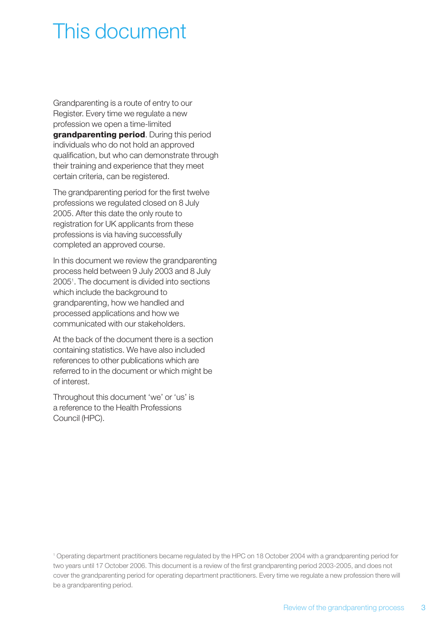# This document

Grandparenting is a route of entry to our Register. Every time we regulate a new profession we open a time-limited **grandparenting period**. During this period individuals who do not hold an approved qualification, but who can demonstrate through their training and experience that they meet certain criteria, can be registered.

The grandparenting period for the first twelve professions we regulated closed on 8 July 2005. After this date the only route to registration for UK applicants from these professions is via having successfully completed an approved course.

In this document we review the grandparenting process held between 9 July 2003 and 8 July 20051 . The document is divided into sections which include the background to grandparenting, how we handled and processed applications and how we communicated with our stakeholders.

At the back of the document there is a section containing statistics. We have also included references to other publications which are referred to in the document or which might be of interest.

Throughout this document 'we' or 'us' is a reference to the Health Professions Council (HPC).

<sup>1</sup> Operating department practitioners became regulated by the HPC on 18 October 2004 with a grandparenting period for two years until 17 October 2006. This document is a review of the first grandparenting period 2003-2005, and does not cover the grandparenting period for operating department practitioners. Every time we regulate a new profession there will be a grandparenting period.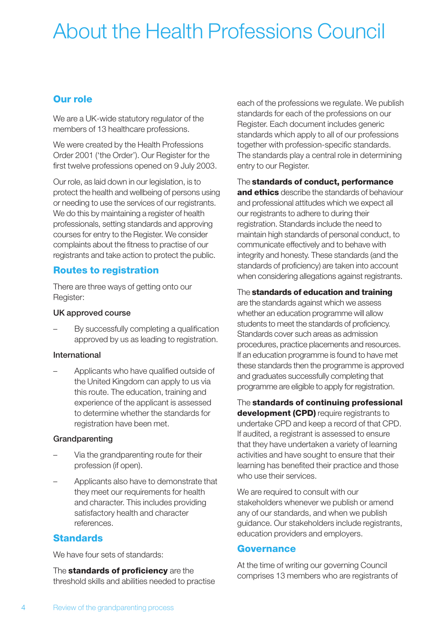# About the Health Professions Council

# **Our role**

We are a UK-wide statutory regulator of the members of 13 healthcare professions.

We were created by the Health Professions Order 2001 ('the Order'). Our Register for the first twelve professions opened on 9 July 2003.

Our role, as laid down in our legislation, is to protect the health and wellbeing of persons using or needing to use the services of our registrants. We do this by maintaining a register of health professionals, setting standards and approving courses for entry to the Register. We consider complaints about the fitness to practise of our registrants and take action to protect the public.

# **Routes to registration**

There are three ways of getting onto our Register:

#### UK approved course

– By successfully completing a qualification approved by us as leading to registration.

#### International

– Applicants who have qualified outside of the United Kingdom can apply to us via this route. The education, training and experience of the applicant is assessed to determine whether the standards for registration have been met.

#### Grandparenting

- Via the grandparenting route for their profession (if open).
- Applicants also have to demonstrate that they meet our requirements for health and character. This includes providing satisfactory health and character references.

## **Standards**

We have four sets of standards:

The **standards of proficiency** are the threshold skills and abilities needed to practise each of the professions we regulate. We publish standards for each of the professions on our Register. Each document includes generic standards which apply to all of our professions together with profession-specific standards. The standards play a central role in determining entry to our Register.

#### The **standards of conduct, performance**

**and ethics** describe the standards of behaviour and professional attitudes which we expect all our registrants to adhere to during their registration. Standards include the need to maintain high standards of personal conduct, to communicate effectively and to behave with integrity and honesty. These standards (and the standards of proficiency) are taken into account when considering allegations against registrants.

#### The **standards of education and training**

are the standards against which we assess whether an education programme will allow students to meet the standards of proficiency. Standards cover such areas as admission procedures, practice placements and resources. If an education programme is found to have met these standards then the programme is approved and graduates successfully completing that programme are eligible to apply for registration.

The **standards of continuing professional development (CPD)** require registrants to undertake CPD and keep a record of that CPD. If audited, a registrant is assessed to ensure that they have undertaken a variety of learning activities and have sought to ensure that their learning has benefited their practice and those who use their services.

We are required to consult with our stakeholders whenever we publish or amend any of our standards, and when we publish guidance. Our stakeholders include registrants, education providers and employers.

## **Governance**

At the time of writing our governing Council comprises 13 members who are registrants of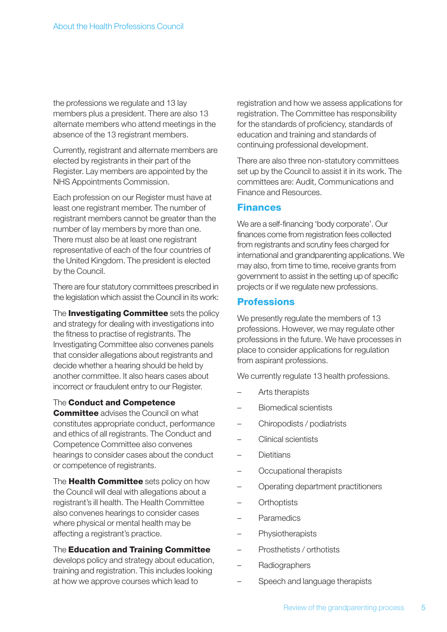the professions we regulate and 13 lay members plus a president. There are also 13 alternate members who attend meetings in the absence of the 13 registrant members.

Currently, registrant and alternate members are elected by registrants in their part of the Register. Lay members are appointed by the NHS Appointments Commission.

Each profession on our Register must have at least one registrant member. The number of registrant members cannot be greater than the number of lay members by more than one. There must also be at least one registrant representative of each of the four countries of the United Kingdom. The president is elected by the Council.

There are four statutory committees prescribed in the legislation which assist the Council in its work:

The **Investigating Committee** sets the policy and strategy for dealing with investigations into the fitness to practise of registrants. The Investigating Committee also convenes panels that consider allegations about registrants and decide whether a hearing should be held by another committee. It also hears cases about incorrect or fraudulent entry to our Register.

#### The **Conduct and Competence**

**Committee** advises the Council on what constitutes appropriate conduct, performance and ethics of all registrants. The Conduct and Competence Committee also convenes hearings to consider cases about the conduct or competence of registrants.

The **Health Committee** sets policy on how the Council will deal with allegations about a registrant's ill health. The Health Committee also convenes hearings to consider cases where physical or mental health may be affecting a registrant's practice.

#### The **Education and Training Committee**

develops policy and strategy about education, training and registration. This includes looking at how we approve courses which lead to

registration and how we assess applications for registration. The Committee has responsibility for the standards of proficiency, standards of education and training and standards of continuing professional development.

There are also three non-statutory committees set up by the Council to assist it in its work. The committees are: Audit, Communications and Finance and Resources.

## **Finances**

We are a self-financing 'body corporate'. Our finances come from registration fees collected from registrants and scrutiny fees charged for international and grandparenting applications. We may also, from time to time, receive grants from government to assist in the setting up of specific projects or if we regulate new professions.

## **Professions**

We presently regulate the members of 13 professions. However, we may regulate other professions in the future. We have processes in place to consider applications for regulation from aspirant professions.

We currently regulate 13 health professions.

- Arts therapists
- Biomedical scientists
- Chiropodists / podiatrists
- Clinical scientists
- **Dietitians**
- Occupational therapists
- Operating department practitioners
- Orthoptists
- **Paramedics**
- Physiotherapists
- Prosthetists / orthotists
- Radiographers
- Speech and language therapists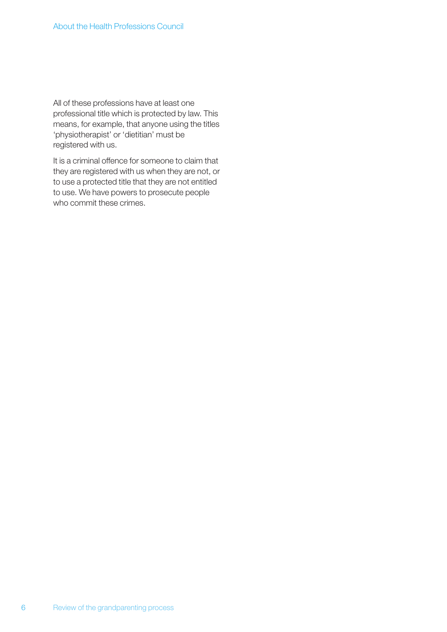All of these professions have at least one professional title which is protected by law. This means, for example, that anyone using the titles 'physiotherapist' or 'dietitian' must be registered with us.

It is a criminal offence for someone to claim that they are registered with us when they are not, or to use a protected title that they are not entitled to use. We have powers to prosecute people who commit these crimes.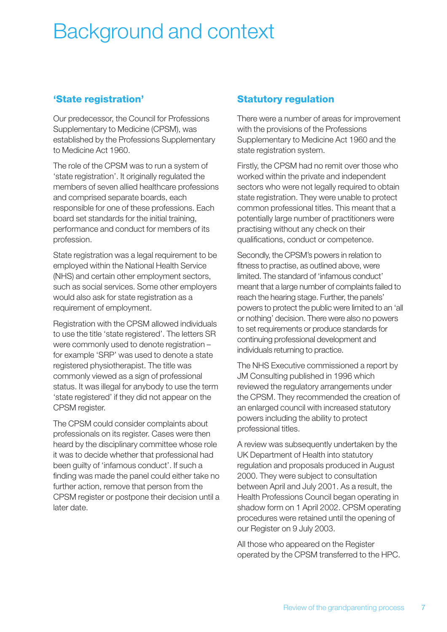# Background and context

## **'State registration'**

Our predecessor, the Council for Professions Supplementary to Medicine (CPSM), was established by the Professions Supplementary to Medicine Act 1960.

The role of the CPSM was to run a system of 'state registration'. It originally regulated the members of seven allied healthcare professions and comprised separate boards, each responsible for one of these professions. Each board set standards for the initial training, performance and conduct for members of its profession.

State registration was a legal requirement to be employed within the National Health Service (NHS) and certain other employment sectors, such as social services. Some other employers would also ask for state registration as a requirement of employment.

Registration with the CPSM allowed individuals to use the title 'state registered'. The letters SR were commonly used to denote registration – for example 'SRP' was used to denote a state registered physiotherapist. The title was commonly viewed as a sign of professional status. It was illegal for anybody to use the term 'state registered' if they did not appear on the CPSM register.

The CPSM could consider complaints about professionals on its register. Cases were then heard by the disciplinary committee whose role it was to decide whether that professional had been guilty of 'infamous conduct'. If such a finding was made the panel could either take no further action, remove that person from the CPSM register or postpone their decision until a later date.

## **Statutory regulation**

There were a number of areas for improvement with the provisions of the Professions Supplementary to Medicine Act 1960 and the state registration system.

Firstly, the CPSM had no remit over those who worked within the private and independent sectors who were not legally required to obtain state registration. They were unable to protect common professional titles. This meant that a potentially large number of practitioners were practising without any check on their qualifications, conduct or competence.

Secondly, the CPSM's powers in relation to fitness to practise, as outlined above, were limited. The standard of 'infamous conduct' meant that a large number of complaints failed to reach the hearing stage. Further, the panels' powers to protect the public were limited to an 'all or nothing' decision. There were also no powers to set requirements or produce standards for continuing professional development and individuals returning to practice.

The NHS Executive commissioned a report by JM Consulting published in 1996 which reviewed the regulatory arrangements under the CPSM. They recommended the creation of an enlarged council with increased statutory powers including the ability to protect professional titles.

A review was subsequently undertaken by the UK Department of Health into statutory regulation and proposals produced in August 2000. They were subject to consultation between April and July 2001. As a result, the Health Professions Council began operating in shadow form on 1 April 2002. CPSM operating procedures were retained until the opening of our Register on 9 July 2003.

All those who appeared on the Register operated by the CPSM transferred to the HPC.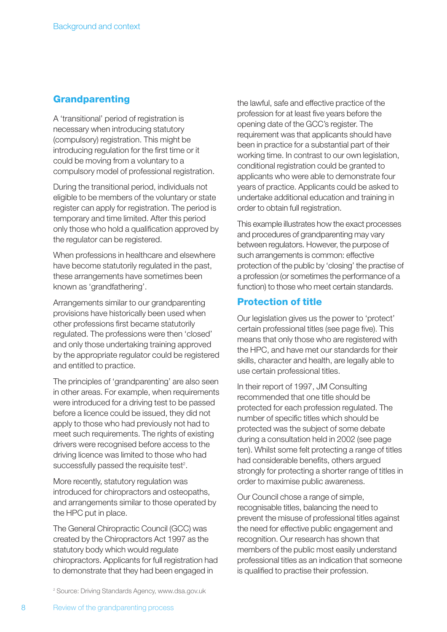#### **Grandparenting**

A 'transitional' period of registration is necessary when introducing statutory (compulsory) registration. This might be introducing regulation for the first time or it could be moving from a voluntary to a compulsory model of professional registration.

During the transitional period, individuals not eligible to be members of the voluntary or state register can apply for registration. The period is temporary and time limited. After this period only those who hold a qualification approved by the regulator can be registered.

When professions in healthcare and elsewhere have become statutorily regulated in the past, these arrangements have sometimes been known as 'grandfathering'.

Arrangements similar to our grandparenting provisions have historically been used when other professions first became statutorily regulated. The professions were then 'closed' and only those undertaking training approved by the appropriate regulator could be registered and entitled to practice.

The principles of 'grandparenting' are also seen in other areas. For example, when requirements were introduced for a driving test to be passed before a licence could be issued, they did not apply to those who had previously not had to meet such requirements. The rights of existing drivers were recognised before access to the driving licence was limited to those who had successfully passed the requisite test<sup>2</sup>.

More recently, statutory regulation was introduced for chiropractors and osteopaths, and arrangements similar to those operated by the HPC put in place.

The General Chiropractic Council (GCC) was created by the Chiropractors Act 1997 as the statutory body which would regulate chiropractors. Applicants for full registration had to demonstrate that they had been engaged in

the lawful, safe and effective practice of the profession for at least five years before the opening date of the GCC's register. The requirement was that applicants should have been in practice for a substantial part of their working time. In contrast to our own legislation, conditional registration could be granted to applicants who were able to demonstrate four years of practice. Applicants could be asked to undertake additional education and training in order to obtain full registration.

This example illustrates how the exact processes and procedures of grandparenting may vary between regulators. However, the purpose of such arrangements is common: effective protection of the public by 'closing' the practise of a profession (or sometimes the performance of a function) to those who meet certain standards.

#### **Protection of title**

Our legislation gives us the power to 'protect' certain professional titles (see page five). This means that only those who are registered with the HPC, and have met our standards for their skills, character and health, are legally able to use certain professional titles.

In their report of 1997, JM Consulting recommended that one title should be protected for each profession regulated. The number of specific titles which should be protected was the subject of some debate during a consultation held in 2002 (see page ten). Whilst some felt protecting a range of titles had considerable benefits, others argued strongly for protecting a shorter range of titles in order to maximise public awareness.

Our Council chose a range of simple, recognisable titles, balancing the need to prevent the misuse of professional titles against the need for effective public engagement and recognition. Our research has shown that members of the public most easily understand professional titles as an indication that someone is qualified to practise their profession.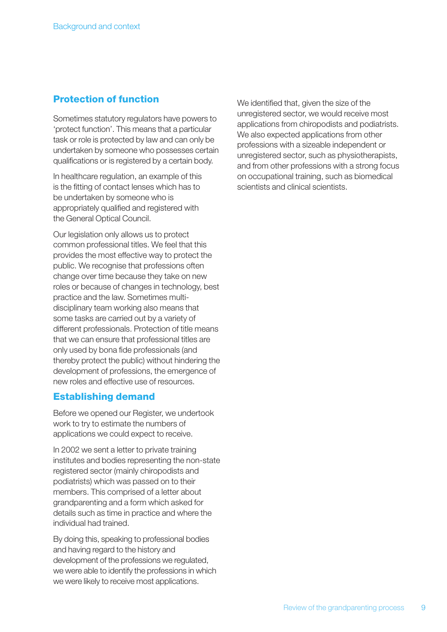## **Protection of function**

Sometimes statutory regulators have powers to 'protect function'. This means that a particular task or role is protected by law and can only be undertaken by someone who possesses certain qualifications or is registered by a certain body.

In healthcare regulation, an example of this is the fitting of contact lenses which has to be undertaken by someone who is appropriately qualified and registered with the General Optical Council.

Our legislation only allows us to protect common professional titles. We feel that this provides the most effective way to protect the public. We recognise that professions often change over time because they take on new roles or because of changes in technology, best practice and the law. Sometimes multidisciplinary team working also means that some tasks are carried out by a variety of different professionals. Protection of title means that we can ensure that professional titles are only used by bona fide professionals (and thereby protect the public) without hindering the development of professions, the emergence of new roles and effective use of resources.

### **Establishing demand**

Before we opened our Register, we undertook work to try to estimate the numbers of applications we could expect to receive.

In 2002 we sent a letter to private training institutes and bodies representing the non-state registered sector (mainly chiropodists and podiatrists) which was passed on to their members. This comprised of a letter about grandparenting and a form which asked for details such as time in practice and where the individual had trained.

By doing this, speaking to professional bodies and having regard to the history and development of the professions we regulated, we were able to identify the professions in which we were likely to receive most applications.

We identified that, given the size of the unregistered sector, we would receive most applications from chiropodists and podiatrists. We also expected applications from other professions with a sizeable independent or unregistered sector, such as physiotherapists, and from other professions with a strong focus on occupational training, such as biomedical scientists and clinical scientists.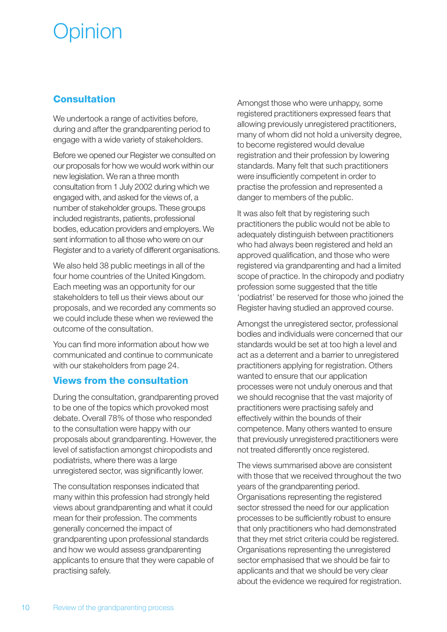# pinion

## **Consultation**

We undertook a range of activities before, during and after the grandparenting period to engage with a wide variety of stakeholders.

Before we opened our Register we consulted on our proposals for how we would work within our new legislation. We ran a three month consultation from 1 July 2002 during which we engaged with, and asked for the views of, a number of stakeholder groups. These groups included registrants, patients, professional bodies, education providers and employers. We sent information to all those who were on our Register and to a variety of different organisations.

We also held 38 public meetings in all of the four home countries of the United Kingdom. Each meeting was an opportunity for our stakeholders to tell us their views about our proposals, and we recorded any comments so we could include these when we reviewed the outcome of the consultation.

You can find more information about how we communicated and continue to communicate with our stakeholders from page 24.

### **Views from the consultation**

During the consultation, grandparenting proved to be one of the topics which provoked most debate. Overall 78% of those who responded to the consultation were happy with our proposals about grandparenting. However, the level of satisfaction amongst chiropodists and podiatrists, where there was a large unregistered sector, was significantly lower.

The consultation responses indicated that many within this profession had strongly held views about grandparenting and what it could mean for their profession. The comments generally concerned the impact of grandparenting upon professional standards and how we would assess grandparenting applicants to ensure that they were capable of practising safely.

Amongst those who were unhappy, some registered practitioners expressed fears that allowing previously unregistered practitioners, many of whom did not hold a university degree, to become registered would devalue registration and their profession by lowering standards. Many felt that such practitioners were insufficiently competent in order to practise the profession and represented a danger to members of the public.

It was also felt that by registering such practitioners the public would not be able to adequately distinguish between practitioners who had always been registered and held an approved qualification, and those who were registered via grandparenting and had a limited scope of practice. In the chiropody and podiatry profession some suggested that the title 'podiatrist' be reserved for those who joined the Register having studied an approved course.

Amongst the unregistered sector, professional bodies and individuals were concerned that our standards would be set at too high a level and act as a deterrent and a barrier to unregistered practitioners applying for registration. Others wanted to ensure that our application processes were not unduly onerous and that we should recognise that the vast majority of practitioners were practising safely and effectively within the bounds of their competence. Many others wanted to ensure that previously unregistered practitioners were not treated differently once registered.

The views summarised above are consistent with those that we received throughout the two years of the grandparenting period. Organisations representing the registered sector stressed the need for our application processes to be sufficiently robust to ensure that only practitioners who had demonstrated that they met strict criteria could be registered. Organisations representing the unregistered sector emphasised that we should be fair to applicants and that we should be very clear about the evidence we required for registration.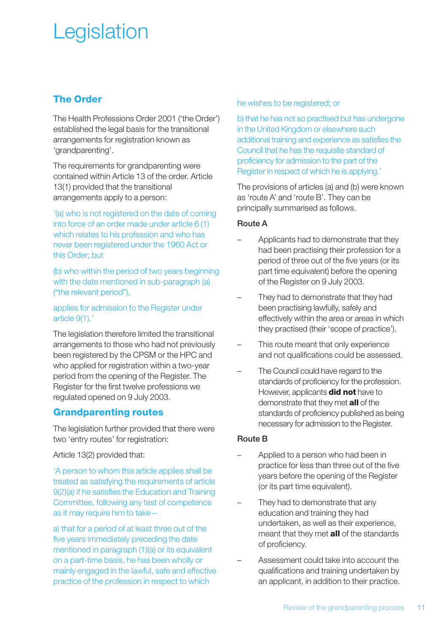# **Legislation**

## **The Order**

The Health Professions Order 2001 ('the Order') established the legal basis for the transitional arrangements for registration known as 'grandparenting'.

The requirements for grandparenting were contained within Article 13 of the order. Article 13(1) provided that the transitional arrangements apply to a person:

'(a) who is not registered on the date of coming into force of an order made under article 6 (1) which relates to his profession and who has never been registered under the 1960 Act or this Order; but

(b) who within the period of two years beginning with the date mentioned in sub-paragraph (a) ("the relevant period"),

applies for admission to the Register under article 9(1).'

The legislation therefore limited the transitional arrangements to those who had not previously been registered by the CPSM or the HPC and who applied for registration within a two-year period from the opening of the Register. The Register for the first twelve professions we regulated opened on 9 July 2003.

### **Grandparenting routes**

The legislation further provided that there were two 'entry routes' for registration:

Article 13(2) provided that:

'A person to whom this article applies shall be treated as satisfying the requirements of article 9(2)(a) if he satisfies the Education and Training Committee, following any test of competence as it may require him to take –

a) that for a period of at least three out of the five years immediately preceding the date mentioned in paragraph (1)(a) or its equivalent on a part-time basis, he has been wholly or mainly engaged in the lawful, safe and effective practice of the profession in respect to which

he wishes to be registered; or

b) that he has not so practised but has undergone in the United Kingdom or elsewhere such additional training and experience as satisfies the Council that he has the requisite standard of proficiency for admission to the part of the Register in respect of which he is applying.'

The provisions of articles (a) and (b) were known as 'route A' and 'route B'. They can be principally summarised as follows.

#### Route A

- Applicants had to demonstrate that they had been practising their profession for a period of three out of the five years (or its part time equivalent) before the opening of the Register on 9 July 2003.
- They had to demonstrate that they had been practising lawfully, safely and effectively within the area or areas in which they practised (their 'scope of practice').
- This route meant that only experience and not qualifications could be assessed.
- The Council could have regard to the standards of proficiency for the profession. However, applicants **did not** have to demonstrate that they met **all** of the standards of proficiency published as being necessary for admission to the Register.

#### Route B

- Applied to a person who had been in practice for less than three out of the five years before the opening of the Register (or its part time equivalent).
- They had to demonstrate that any education and training they had undertaken, as well as their experience, meant that they met **all** of the standards of proficiency.
- Assessment could take into account the qualifications and training undertaken by an applicant, in addition to their practice.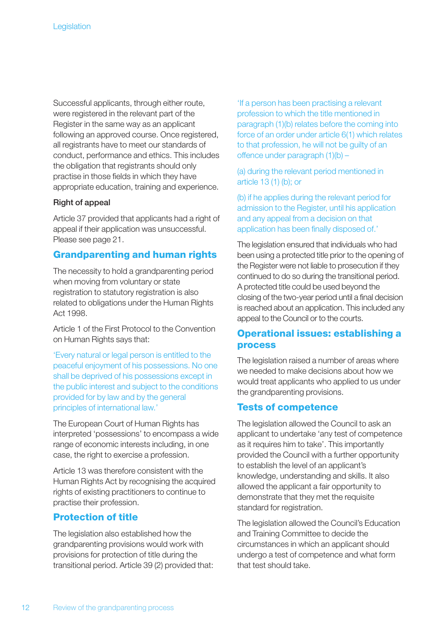Successful applicants, through either route, were registered in the relevant part of the Register in the same way as an applicant following an approved course. Once registered, all registrants have to meet our standards of conduct, performance and ethics. This includes the obligation that registrants should only practise in those fields in which they have appropriate education, training and experience.

#### Right of appeal

Article 37 provided that applicants had a right of appeal if their application was unsuccessful. Please see page 21.

#### **Grandparenting and human rights**

The necessity to hold a grandparenting period when moving from voluntary or state registration to statutory registration is also related to obligations under the Human Rights Act 1998.

Article 1 of the First Protocol to the Convention on Human Rights says that:

'Every natural or legal person is entitled to the peaceful enjoyment of his possessions. No one shall be deprived of his possessions except in the public interest and subject to the conditions provided for by law and by the general principles of international law.'

The European Court of Human Rights has interpreted 'possessions' to encompass a wide range of economic interests including, in one case, the right to exercise a profession.

Article 13 was therefore consistent with the Human Rights Act by recognising the acquired rights of existing practitioners to continue to practise their profession.

#### **Protection of title**

The legislation also established how the grandparenting provisions would work with provisions for protection of title during the transitional period. Article 39 (2) provided that: 'If a person has been practising a relevant profession to which the title mentioned in paragraph (1)(b) relates before the coming into force of an order under article 6(1) which relates to that profession, he will not be guilty of an offence under paragraph (1)(b) –

(a) during the relevant period mentioned in article 13 (1) (b); or

(b) if he applies during the relevant period for admission to the Register, until his application and any appeal from a decision on that application has been finally disposed of.'

The legislation ensured that individuals who had been using a protected title prior to the opening of the Register were not liable to prosecution if they continued to do so during the transitional period. A protected title could be used beyond the closing of the two-year period until a final decision is reached about an application. This included any appeal to the Council or to the courts.

### **Operational issues: establishing a process**

The legislation raised a number of areas where we needed to make decisions about how we would treat applicants who applied to us under the grandparenting provisions.

#### **Tests of competence**

The legislation allowed the Council to ask an applicant to undertake 'any test of competence as it requires him to take'. This importantly provided the Council with a further opportunity to establish the level of an applicant's knowledge, understanding and skills. It also allowed the applicant a fair opportunity to demonstrate that they met the requisite standard for registration.

The legislation allowed the Council's Education and Training Committee to decide the circumstances in which an applicant should undergo a test of competence and what form that test should take.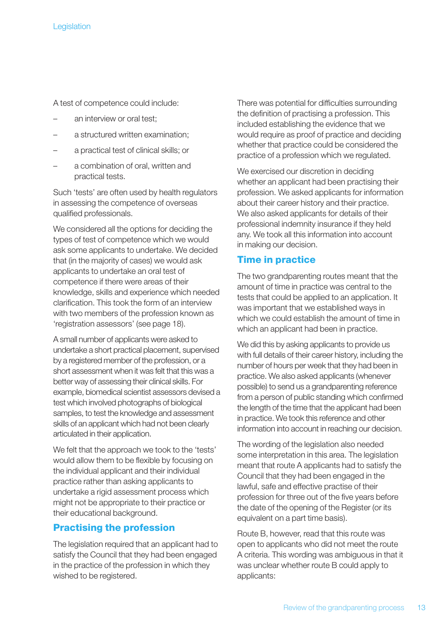A test of competence could include:

- an interview or oral test;
- a structured written examination;
- a practical test of clinical skills; or
- a combination of oral, written and practical tests.

Such 'tests' are often used by health regulators in assessing the competence of overseas qualified professionals.

We considered all the options for deciding the types of test of competence which we would ask some applicants to undertake. We decided that (in the majority of cases) we would ask applicants to undertake an oral test of competence if there were areas of their knowledge, skills and experience which needed clarification. This took the form of an interview with two members of the profession known as 'registration assessors' (see page 18).

A small number of applicants were asked to undertake a short practical placement, supervised by a registered member of the profession, or a short assessment when it was felt that this was a better way of assessing their clinical skills. For example, biomedical scientist assessors devised a test which involved photographs of biological samples, to test the knowledge and assessment skills of an applicant which had not been clearly articulated in their application.

We felt that the approach we took to the 'tests' would allow them to be flexible by focusing on the individual applicant and their individual practice rather than asking applicants to undertake a rigid assessment process which might not be appropriate to their practice or their educational background.

### **Practising the profession**

The legislation required that an applicant had to satisfy the Council that they had been engaged in the practice of the profession in which they wished to be registered.

There was potential for difficulties surrounding the definition of practising a profession. This included establishing the evidence that we would require as proof of practice and deciding whether that practice could be considered the practice of a profession which we regulated.

We exercised our discretion in deciding whether an applicant had been practising their profession. We asked applicants for information about their career history and their practice. We also asked applicants for details of their professional indemnity insurance if they held any. We took all this information into account in making our decision.

#### **Time in practice**

The two grandparenting routes meant that the amount of time in practice was central to the tests that could be applied to an application. It was important that we established ways in which we could establish the amount of time in which an applicant had been in practice.

We did this by asking applicants to provide us with full details of their career history, including the number of hours per week that they had been in practice. We also asked applicants (whenever possible) to send us a grandparenting reference from a person of public standing which confirmed the length of the time that the applicant had been in practice. We took this reference and other information into account in reaching our decision.

The wording of the legislation also needed some interpretation in this area. The legislation meant that route A applicants had to satisfy the Council that they had been engaged in the lawful, safe and effective practise of their profession for three out of the five years before the date of the opening of the Register (or its equivalent on a part time basis).

Route B, however, read that this route was open to applicants who did not meet the route A criteria. This wording was ambiguous in that it was unclear whether route B could apply to applicants: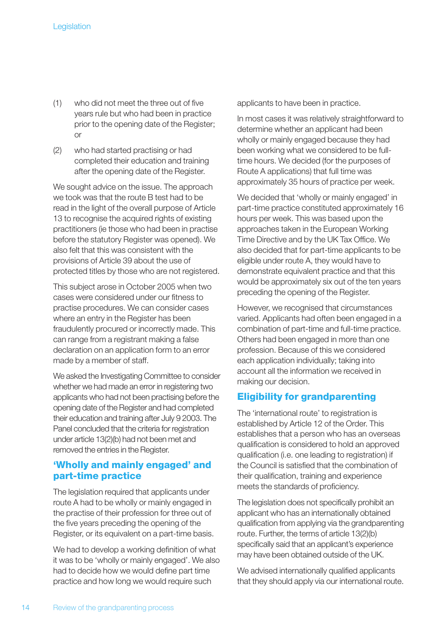- (1) who did not meet the three out of five years rule but who had been in practice prior to the opening date of the Register; or
- (2) who had started practising or had completed their education and training after the opening date of the Register.

We sought advice on the issue. The approach we took was that the route B test had to be read in the light of the overall purpose of Article 13 to recognise the acquired rights of existing practitioners (ie those who had been in practise before the statutory Register was opened). We also felt that this was consistent with the provisions of Article 39 about the use of protected titles by those who are not registered.

This subject arose in October 2005 when two cases were considered under our fitness to practise procedures. We can consider cases where an entry in the Register has been fraudulently procured or incorrectly made. This can range from a registrant making a false declaration on an application form to an error made by a member of staff.

We asked the Investigating Committee to consider whether we had made an error in registering two applicants who had not been practising before the opening date of the Register and had completed their education and training after July 9 2003. The Panel concluded that the criteria for registration under article 13(2)(b) had not been met and removed the entries in the Register.

### **'Wholly and mainly engaged' and part-time practice**

The legislation required that applicants under route A had to be wholly or mainly engaged in the practise of their profession for three out of the five years preceding the opening of the Register, or its equivalent on a part-time basis.

We had to develop a working definition of what it was to be 'wholly or mainly engaged'. We also had to decide how we would define part time practice and how long we would require such

applicants to have been in practice.

In most cases it was relatively straightforward to determine whether an applicant had been wholly or mainly engaged because they had been working what we considered to be fulltime hours. We decided (for the purposes of Route A applications) that full time was approximately 35 hours of practice per week.

We decided that 'wholly or mainly engaged' in part-time practice constituted approximately 16 hours per week. This was based upon the approaches taken in the European Working Time Directive and by the UK Tax Office. We also decided that for part-time applicants to be eligible under route A, they would have to demonstrate equivalent practice and that this would be approximately six out of the ten years preceding the opening of the Register.

However, we recognised that circumstances varied. Applicants had often been engaged in a combination of part-time and full-time practice. Others had been engaged in more than one profession. Because of this we considered each application individually; taking into account all the information we received in making our decision.

## **Eligibility for grandparenting**

The 'international route' to registration is established by Article 12 of the Order. This establishes that a person who has an overseas qualification is considered to hold an approved qualification (i.e. one leading to registration) if the Council is satisfied that the combination of their qualification, training and experience meets the standards of proficiency.

The legislation does not specifically prohibit an applicant who has an internationally obtained qualification from applying via the grandparenting route. Further, the terms of article 13(2)(b) specifically said that an applicant's experience may have been obtained outside of the UK.

We advised internationally qualified applicants that they should apply via our international route.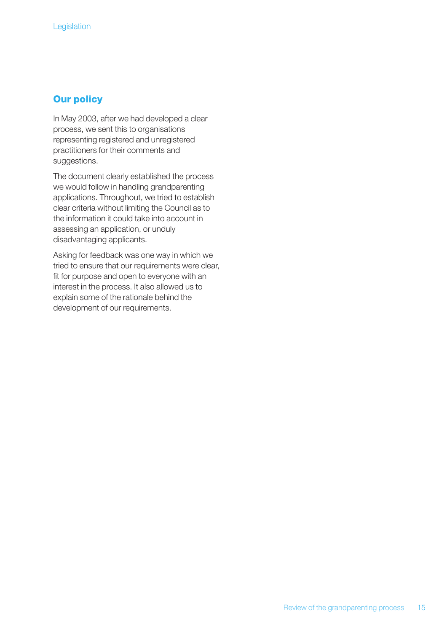#### **Our policy**

In May 2003, after we had developed a clear process, we sent this to organisations representing registered and unregistered practitioners for their comments and suggestions.

The document clearly established the process we would follow in handling grandparenting applications. Throughout, we tried to establish clear criteria without limiting the Council as to the information it could take into account in assessing an application, or unduly disadvantaging applicants.

Asking for feedback was one way in which we tried to ensure that our requirements were clear, fit for purpose and open to everyone with an interest in the process. It also allowed us to explain some of the rationale behind the development of our requirements.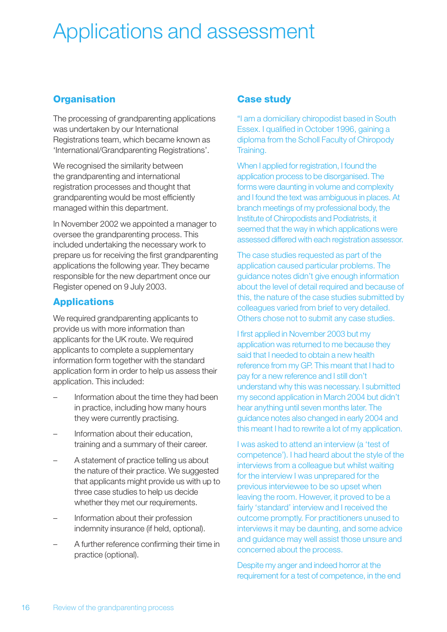# Applications and assessment

## **Organisation**

The processing of grandparenting applications was undertaken by our International Registrations team, which became known as 'International/Grandparenting Registrations'.

We recognised the similarity between the grandparenting and international registration processes and thought that grandparenting would be most efficiently managed within this department.

In November 2002 we appointed a manager to oversee the grandparenting process. This included undertaking the necessary work to prepare us for receiving the first grandparenting applications the following year. They became responsible for the new department once our Register opened on 9 July 2003.

# **Applications**

We required grandparenting applicants to provide us with more information than applicants for the UK route. We required applicants to complete a supplementary information form together with the standard application form in order to help us assess their application. This included:

- Information about the time they had been in practice, including how many hours they were currently practising.
- Information about their education. training and a summary of their career.
- A statement of practice telling us about the nature of their practice. We suggested that applicants might provide us with up to three case studies to help us decide whether they met our requirements.
- Information about their profession indemnity insurance (if held, optional).
- A further reference confirming their time in practice (optional).

## **Case study**

"I am a domiciliary chiropodist based in South Essex. I qualified in October 1996, gaining a diploma from the Scholl Faculty of Chiropody Training.

When I applied for registration, I found the application process to be disorganised. The forms were daunting in volume and complexity and I found the text was ambiguous in places. At branch meetings of my professional body, the Institute of Chiropodists and Podiatrists, it seemed that the way in which applications were assessed differed with each registration assessor.

The case studies requested as part of the application caused particular problems. The guidance notes didn't give enough information about the level of detail required and because of this, the nature of the case studies submitted by colleagues varied from brief to very detailed. Others chose not to submit any case studies.

I first applied in November 2003 but my application was returned to me because they said that I needed to obtain a new health reference from my GP. This meant that I had to pay for a new reference and I still don't understand why this was necessary. I submitted my second application in March 2004 but didn't hear anything until seven months later. The guidance notes also changed in early 2004 and this meant I had to rewrite a lot of my application.

I was asked to attend an interview (a 'test of competence'). I had heard about the style of the interviews from a colleague but whilst waiting for the interview I was unprepared for the previous interviewee to be so upset when leaving the room. However, it proved to be a fairly 'standard' interview and I received the outcome promptly. For practitioners unused to interviews it may be daunting, and some advice and guidance may well assist those unsure and concerned about the process.

Despite my anger and indeed horror at the requirement for a test of competence, in the end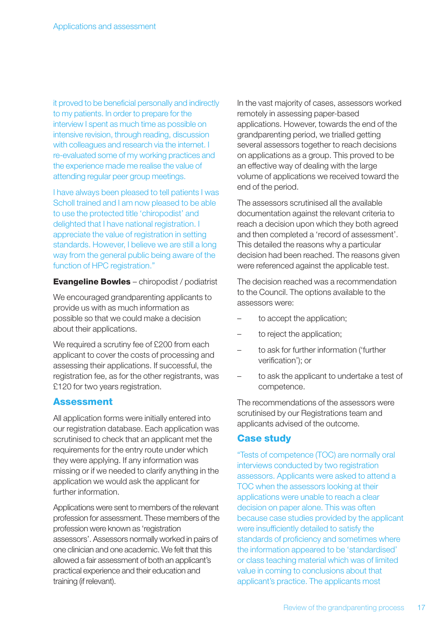it proved to be beneficial personally and indirectly to my patients. In order to prepare for the interview I spent as much time as possible on intensive revision, through reading, discussion with colleagues and research via the internet. I re-evaluated some of my working practices and the experience made me realise the value of attending regular peer group meetings.

I have always been pleased to tell patients I was Scholl trained and I am now pleased to be able to use the protected title 'chiropodist' and delighted that I have national registration. I appreciate the value of registration in setting standards. However, I believe we are still a long way from the general public being aware of the function of HPC registration."

**Evangeline Bowles** – chiropodist / podiatrist

We encouraged grandparenting applicants to provide us with as much information as possible so that we could make a decision about their applications.

We required a scrutiny fee of £200 from each applicant to cover the costs of processing and assessing their applications. If successful, the registration fee, as for the other registrants, was £120 for two years registration.

#### **Assessment**

All application forms were initially entered into our registration database. Each application was scrutinised to check that an applicant met the requirements for the entry route under which they were applying. If any information was missing or if we needed to clarify anything in the application we would ask the applicant for further information.

Applications were sent to members of the relevant profession for assessment. These members of the profession were known as 'registration assessors'. Assessors normally worked in pairs of one clinician and one academic. We felt that this allowed a fair assessment of both an applicant's practical experience and their education and training (if relevant).

In the vast majority of cases, assessors worked remotely in assessing paper-based applications. However, towards the end of the grandparenting period, we trialled getting several assessors together to reach decisions on applications as a group. This proved to be an effective way of dealing with the large volume of applications we received toward the end of the period.

The assessors scrutinised all the available documentation against the relevant criteria to reach a decision upon which they both agreed and then completed a 'record of assessment'. This detailed the reasons why a particular decision had been reached. The reasons given were referenced against the applicable test.

The decision reached was a recommendation to the Council. The options available to the assessors were:

- to accept the application;
- to reject the application;
- to ask for further information ('further verification'); or
- to ask the applicant to undertake a test of competence.

The recommendations of the assessors were scrutinised by our Registrations team and applicants advised of the outcome.

### **Case study**

"Tests of competence (TOC) are normally oral interviews conducted by two registration assessors. Applicants were asked to attend a TOC when the assessors looking at their applications were unable to reach a clear decision on paper alone. This was often because case studies provided by the applicant were insufficiently detailed to satisfy the standards of proficiency and sometimes where the information appeared to be 'standardised' or class teaching material which was of limited value in coming to conclusions about that applicant's practice. The applicants most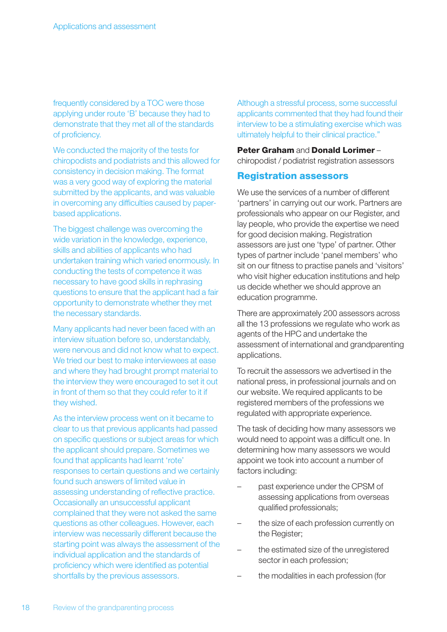frequently considered by a TOC were those applying under route 'B' because they had to demonstrate that they met all of the standards of proficiency.

We conducted the majority of the tests for chiropodists and podiatrists and this allowed for consistency in decision making. The format was a very good way of exploring the material submitted by the applicants, and was valuable in overcoming any difficulties caused by paperbased applications.

The biggest challenge was overcoming the wide variation in the knowledge, experience, skills and abilities of applicants who had undertaken training which varied enormously. In conducting the tests of competence it was necessary to have good skills in rephrasing questions to ensure that the applicant had a fair opportunity to demonstrate whether they met the necessary standards.

Many applicants had never been faced with an interview situation before so, understandably, were nervous and did not know what to expect. We tried our best to make interviewees at ease and where they had brought prompt material to the interview they were encouraged to set it out in front of them so that they could refer to it if they wished.

As the interview process went on it became to clear to us that previous applicants had passed on specific questions or subject areas for which the applicant should prepare. Sometimes we found that applicants had learnt 'rote' responses to certain questions and we certainly found such answers of limited value in assessing understanding of reflective practice. Occasionally an unsuccessful applicant complained that they were not asked the same questions as other colleagues. However, each interview was necessarily different because the starting point was always the assessment of the individual application and the standards of proficiency which were identified as potential shortfalls by the previous assessors.

Although a stressful process, some successful applicants commented that they had found their interview to be a stimulating exercise which was ultimately helpful to their clinical practice."

#### **Peter Graham** and **Donald Lorimer** –

chiropodist / podiatrist registration assessors

#### **Registration assessors**

We use the services of a number of different 'partners' in carrying out our work. Partners are professionals who appear on our Register, and lay people, who provide the expertise we need for good decision making. Registration assessors are just one 'type' of partner. Other types of partner include 'panel members' who sit on our fitness to practise panels and 'visitors' who visit higher education institutions and help us decide whether we should approve an education programme.

There are approximately 200 assessors across all the 13 professions we regulate who work as agents of the HPC and undertake the assessment of international and grandparenting applications.

To recruit the assessors we advertised in the national press, in professional journals and on our website. We required applicants to be registered members of the professions we regulated with appropriate experience.

The task of deciding how many assessors we would need to appoint was a difficult one. In determining how many assessors we would appoint we took into account a number of factors including:

- past experience under the CPSM of assessing applications from overseas qualified professionals;
- the size of each profession currently on the Register;
- the estimated size of the unregistered sector in each profession;
- the modalities in each profession (for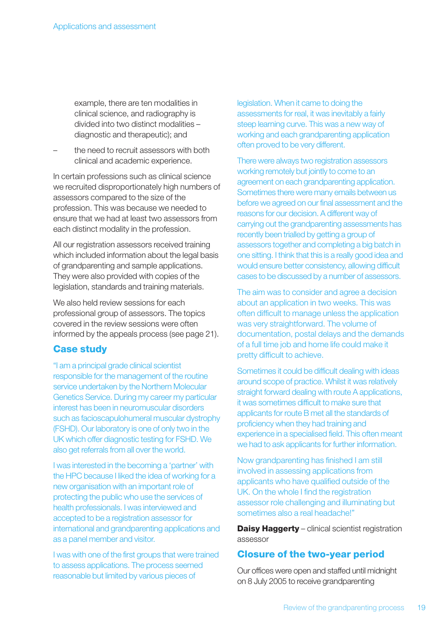example, there are ten modalities in clinical science, and radiography is divided into two distinct modalities – diagnostic and therapeutic); and

– the need to recruit assessors with both clinical and academic experience.

In certain professions such as clinical science we recruited disproportionately high numbers of assessors compared to the size of the profession. This was because we needed to ensure that we had at least two assessors from each distinct modality in the profession.

All our registration assessors received training which included information about the legal basis of grandparenting and sample applications. They were also provided with copies of the legislation, standards and training materials.

We also held review sessions for each professional group of assessors. The topics covered in the review sessions were often informed by the appeals process (see page 21).

### **Case study**

"I am a principal grade clinical scientist responsible for the management of the routine service undertaken by the Northern Molecular Genetics Service. During my career my particular interest has been in neuromuscular disorders such as facioscapulohumeral muscular dystrophy (FSHD). Our laboratory is one of only two in the UK which offer diagnostic testing for FSHD. We also get referrals from all over the world.

I was interested in the becoming a 'partner' with the HPC because I liked the idea of working for a new organisation with an important role of protecting the public who use the services of health professionals. I was interviewed and accepted to be a registration assessor for international and grandparenting applications and as a panel member and visitor.

I was with one of the first groups that were trained to assess applications. The process seemed reasonable but limited by various pieces of

legislation. When it came to doing the assessments for real, it was inevitably a fairly steep learning curve. This was a new way of working and each grandparenting application often proved to be very different.

There were always two registration assessors working remotely but jointly to come to an agreement on each grandparenting application. Sometimes there were many emails between us before we agreed on our final assessment and the reasons for our decision. A different way of carrying out the grandparenting assessments has recently been trialled by getting a group of assessors together and completing a big batch in one sitting. I think that this is a really good idea and would ensure better consistency, allowing difficult cases to be discussed by a number of assessors.

The aim was to consider and agree a decision about an application in two weeks. This was often difficult to manage unless the application was very straightforward. The volume of documentation, postal delays and the demands of a full time job and home life could make it pretty difficult to achieve.

Sometimes it could be difficult dealing with ideas around scope of practice. Whilst it was relatively straight forward dealing with route A applications, it was sometimes difficult to make sure that applicants for route B met all the standards of proficiency when they had training and experience in a specialised field. This often meant we had to ask applicants for further information.

Now grandparenting has finished I am still involved in assessing applications from applicants who have qualified outside of the UK. On the whole I find the registration assessor role challenging and illuminating but sometimes also a real headache!"

**Daisy Haggerty** – clinical scientist registration assessor

#### **Closure of the two-year period**

Our offices were open and staffed until midnight on 8 July 2005 to receive grandparenting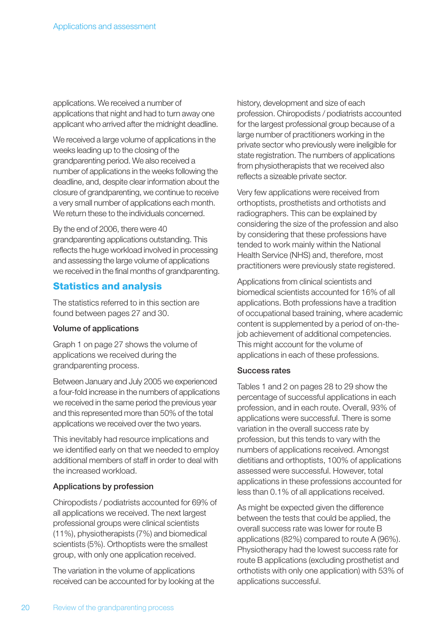applications. We received a number of applications that night and had to turn away one applicant who arrived after the midnight deadline.

We received a large volume of applications in the weeks leading up to the closing of the grandparenting period. We also received a number of applications in the weeks following the deadline, and, despite clear information about the closure of grandparenting, we continue to receive a very small number of applications each month. We return these to the individuals concerned.

By the end of 2006, there were 40 grandparenting applications outstanding. This reflects the huge workload involved in processing and assessing the large volume of applications we received in the final months of grandparenting.

### **Statistics and analysis**

The statistics referred to in this section are found between pages 27 and 30.

#### Volume of applications

Graph 1 on page 27 shows the volume of applications we received during the grandparenting process.

Between January and July 2005 we experienced a four-fold increase in the numbers of applications we received in the same period the previous year and this represented more than 50% of the total applications we received over the two years.

This inevitably had resource implications and we identified early on that we needed to employ additional members of staff in order to deal with the increased workload.

#### Applications by profession

Chiropodists / podiatrists accounted for 69% of all applications we received. The next largest professional groups were clinical scientists (11%), physiotherapists (7%) and biomedical scientists (5%). Orthoptists were the smallest group, with only one application received.

The variation in the volume of applications received can be accounted for by looking at the history, development and size of each profession. Chiropodists / podiatrists accounted for the largest professional group because of a large number of practitioners working in the private sector who previously were ineligible for state registration. The numbers of applications from physiotherapists that we received also reflects a sizeable private sector.

Very few applications were received from orthoptists, prosthetists and orthotists and radiographers. This can be explained by considering the size of the profession and also by considering that these professions have tended to work mainly within the National Health Service (NHS) and, therefore, most practitioners were previously state registered.

Applications from clinical scientists and biomedical scientists accounted for 16% of all applications. Both professions have a tradition of occupational based training, where academic content is supplemented by a period of on-thejob achievement of additional competencies. This might account for the volume of applications in each of these professions.

#### Success rates

Tables 1 and 2 on pages 28 to 29 show the percentage of successful applications in each profession, and in each route. Overall, 93% of applications were successful. There is some variation in the overall success rate by profession, but this tends to vary with the numbers of applications received. Amongst dietitians and orthoptists, 100% of applications assessed were successful. However, total applications in these professions accounted for less than 0.1% of all applications received.

As might be expected given the difference between the tests that could be applied, the overall success rate was lower for route B applications (82%) compared to route A (96%). Physiotherapy had the lowest success rate for route B applications (excluding prosthetist and orthotists with only one application) with 53% of applications successful.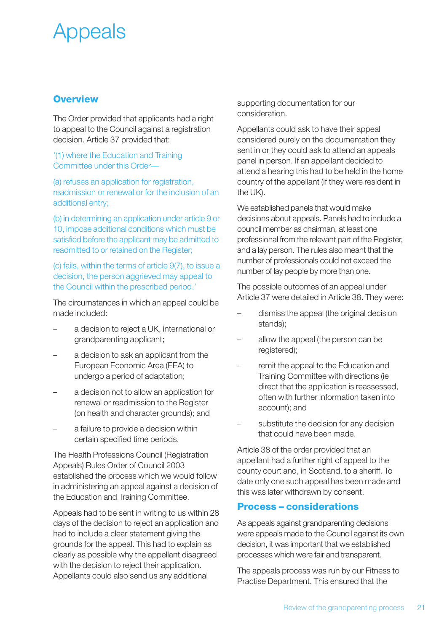# Appeals

### **Overview**

The Order provided that applicants had a right to appeal to the Council against a registration decision. Article 37 provided that:

#### '(1) where the Education and Training Committee under this Order—

(a) refuses an application for registration, readmission or renewal or for the inclusion of an additional entry;

(b) in determining an application under article 9 or 10, impose additional conditions which must be satisfied before the applicant may be admitted to readmitted to or retained on the Register;

(c) fails, within the terms of article 9(7), to issue a decision, the person aggrieved may appeal to the Council within the prescribed period.'

The circumstances in which an appeal could be made included:

- a decision to reject a UK, international or grandparenting applicant;
- a decision to ask an applicant from the European Economic Area (EEA) to undergo a period of adaptation;
- a decision not to allow an application for renewal or readmission to the Register (on health and character grounds); and
- a failure to provide a decision within certain specified time periods.

The Health Professions Council (Registration Appeals) Rules Order of Council 2003 established the process which we would follow in administering an appeal against a decision of the Education and Training Committee.

Appeals had to be sent in writing to us within 28 days of the decision to reject an application and had to include a clear statement giving the grounds for the appeal. This had to explain as clearly as possible why the appellant disagreed with the decision to reject their application. Appellants could also send us any additional

supporting documentation for our consideration.

Appellants could ask to have their appeal considered purely on the documentation they sent in or they could ask to attend an appeals panel in person. If an appellant decided to attend a hearing this had to be held in the home country of the appellant (if they were resident in the UK).

We established panels that would make decisions about appeals. Panels had to include a council member as chairman, at least one professional from the relevant part of the Register, and a lay person. The rules also meant that the number of professionals could not exceed the number of lay people by more than one.

The possible outcomes of an appeal under Article 37 were detailed in Article 38. They were:

- dismiss the appeal (the original decision stands);
- allow the appeal (the person can be registered);
- remit the appeal to the Education and Training Committee with directions (ie direct that the application is reassessed, often with further information taken into account); and
- substitute the decision for any decision that could have been made.

Article 38 of the order provided that an appellant had a further right of appeal to the county court and, in Scotland, to a sheriff. To date only one such appeal has been made and this was later withdrawn by consent.

### **Process – considerations**

As appeals against grandparenting decisions were appeals made to the Council against its own decision, it was important that we established processes which were fair and transparent.

The appeals process was run by our Fitness to Practise Department. This ensured that the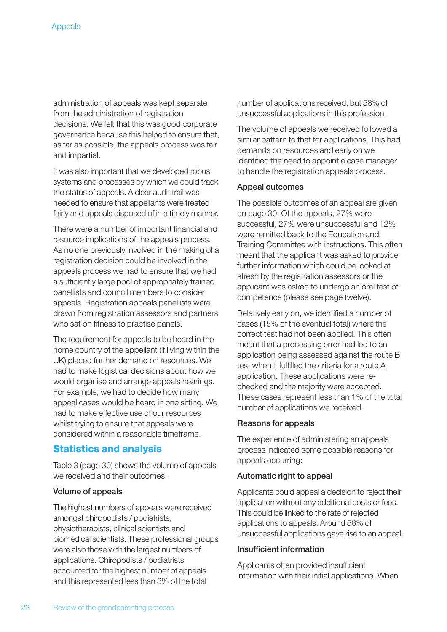administration of appeals was kept separate from the administration of registration decisions. We felt that this was good corporate governance because this helped to ensure that, as far as possible, the appeals process was fair and impartial.

It was also important that we developed robust systems and processes by which we could track the status of appeals. A clear audit trail was needed to ensure that appellants were treated fairly and appeals disposed of in a timely manner.

There were a number of important financial and resource implications of the appeals process. As no one previously involved in the making of a registration decision could be involved in the appeals process we had to ensure that we had a sufficiently large pool of appropriately trained panellists and council members to consider appeals. Registration appeals panellists were drawn from registration assessors and partners who sat on fitness to practise panels.

The requirement for appeals to be heard in the home country of the appellant (if living within the UK) placed further demand on resources. We had to make logistical decisions about how we would organise and arrange appeals hearings. For example, we had to decide how many appeal cases would be heard in one sitting. We had to make effective use of our resources whilst trying to ensure that appeals were considered within a reasonable timeframe.

### **Statistics and analysis**

Table 3 (page 30) shows the volume of appeals we received and their outcomes.

#### Volume of appeals

The highest numbers of appeals were received amongst chiropodists / podiatrists, physiotherapists, clinical scientists and biomedical scientists. These professional groups were also those with the largest numbers of applications. Chiropodists / podiatrists accounted for the highest number of appeals and this represented less than 3% of the total

number of applications received, but 58% of unsuccessful applications in this profession.

The volume of appeals we received followed a similar pattern to that for applications. This had demands on resources and early on we identified the need to appoint a case manager to handle the registration appeals process.

#### Appeal outcomes

The possible outcomes of an appeal are given on page 30. Of the appeals, 27% were successful, 27% were unsuccessful and 12% were remitted back to the Education and Training Committee with instructions. This often meant that the applicant was asked to provide further information which could be looked at afresh by the registration assessors or the applicant was asked to undergo an oral test of competence (please see page twelve).

Relatively early on, we identified a number of cases (15% of the eventual total) where the correct test had not been applied. This often meant that a processing error had led to an application being assessed against the route B test when it fulfilled the criteria for a route A application. These applications were rechecked and the majority were accepted. These cases represent less than 1% of the total number of applications we received.

#### Reasons for appeals

The experience of administering an appeals process indicated some possible reasons for appeals occurring:

#### Automatic right to appeal

Applicants could appeal a decision to reject their application without any additional costs or fees. This could be linked to the rate of rejected applications to appeals. Around 56% of unsuccessful applications gave rise to an appeal.

#### Insufficient information

Applicants often provided insufficient information with their initial applications. When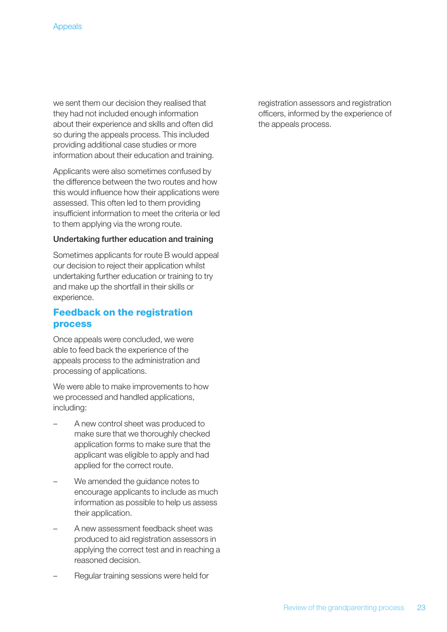we sent them our decision they realised that they had not included enough information about their experience and skills and often did so during the appeals process. This included providing additional case studies or more information about their education and training.

Applicants were also sometimes confused by the difference between the two routes and how this would influence how their applications were assessed. This often led to them providing insufficient information to meet the criteria or led to them applying via the wrong route.

#### Undertaking further education and training

Sometimes applicants for route B would appeal our decision to reject their application whilst undertaking further education or training to try and make up the shortfall in their skills or experience.

### **Feedback on the registration process**

Once appeals were concluded, we were able to feed back the experience of the appeals process to the administration and processing of applications.

We were able to make improvements to how we processed and handled applications, including:

- A new control sheet was produced to make sure that we thoroughly checked application forms to make sure that the applicant was eligible to apply and had applied for the correct route.
- We amended the guidance notes to encourage applicants to include as much information as possible to help us assess their application.
- A new assessment feedback sheet was produced to aid registration assessors in applying the correct test and in reaching a reasoned decision.
- Regular training sessions were held for

registration assessors and registration officers, informed by the experience of the appeals process.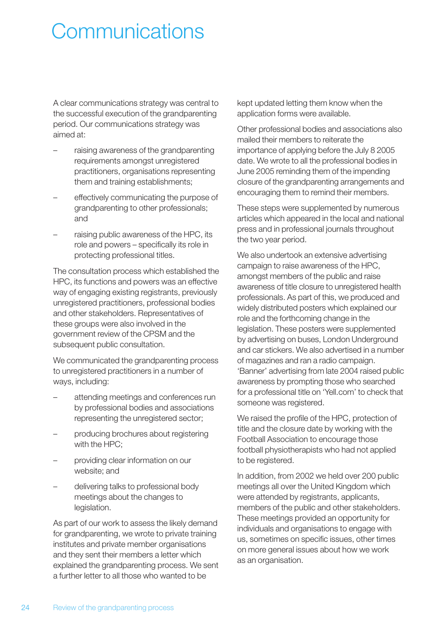# **Communications**

A clear communications strategy was central to the successful execution of the grandparenting period. Our communications strategy was aimed at:

- raising awareness of the grandparenting requirements amongst unregistered practitioners, organisations representing them and training establishments;
- effectively communicating the purpose of grandparenting to other professionals; and
- raising public awareness of the HPC, its role and powers – specifically its role in protecting professional titles.

The consultation process which established the HPC, its functions and powers was an effective way of engaging existing registrants, previously unregistered practitioners, professional bodies and other stakeholders. Representatives of these groups were also involved in the government review of the CPSM and the subsequent public consultation.

We communicated the grandparenting process to unregistered practitioners in a number of ways, including:

- attending meetings and conferences run by professional bodies and associations representing the unregistered sector;
- producing brochures about registering with the HPC;
- providing clear information on our website; and
- delivering talks to professional body meetings about the changes to legislation.

As part of our work to assess the likely demand for grandparenting, we wrote to private training institutes and private member organisations and they sent their members a letter which explained the grandparenting process. We sent a further letter to all those who wanted to be

kept updated letting them know when the application forms were available.

Other professional bodies and associations also mailed their members to reiterate the importance of applying before the July 8 2005 date. We wrote to all the professional bodies in June 2005 reminding them of the impending closure of the grandparenting arrangements and encouraging them to remind their members.

These steps were supplemented by numerous articles which appeared in the local and national press and in professional journals throughout the two year period.

We also undertook an extensive advertising campaign to raise awareness of the HPC, amongst members of the public and raise awareness of title closure to unregistered health professionals. As part of this, we produced and widely distributed posters which explained our role and the forthcoming change in the legislation. These posters were supplemented by advertising on buses, London Underground and car stickers. We also advertised in a number of magazines and ran a radio campaign. 'Banner' advertising from late 2004 raised public awareness by prompting those who searched for a professional title on 'Yell.com' to check that someone was registered.

We raised the profile of the HPC, protection of title and the closure date by working with the Football Association to encourage those football physiotherapists who had not applied to be registered.

In addition, from 2002 we held over 200 public meetings all over the United Kingdom which were attended by registrants, applicants, members of the public and other stakeholders. These meetings provided an opportunity for individuals and organisations to engage with us, sometimes on specific issues, other times on more general issues about how we work as an organisation.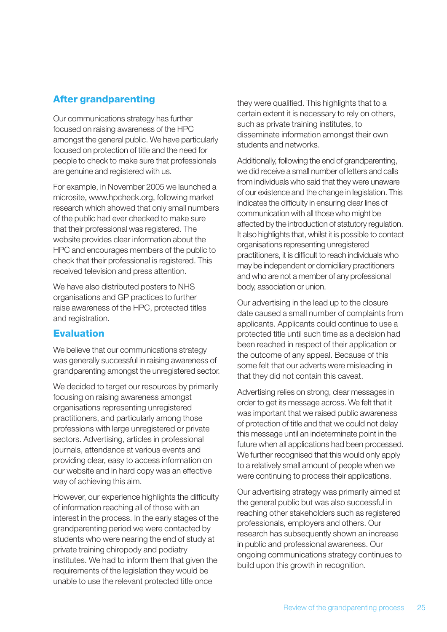## **After grandparenting**

Our communications strategy has further focused on raising awareness of the HPC amongst the general public. We have particularly focused on protection of title and the need for people to check to make sure that professionals are genuine and registered with us.

For example, in November 2005 we launched a microsite, www.hpcheck.org, following market research which showed that only small numbers of the public had ever checked to make sure that their professional was registered. The website provides clear information about the HPC and encourages members of the public to check that their professional is registered. This received television and press attention.

We have also distributed posters to NHS organisations and GP practices to further raise awareness of the HPC, protected titles and registration.

## **Evaluation**

We believe that our communications strategy was generally successful in raising awareness of grandparenting amongst the unregistered sector.

We decided to target our resources by primarily focusing on raising awareness amongst organisations representing unregistered practitioners, and particularly among those professions with large unregistered or private sectors. Advertising, articles in professional journals, attendance at various events and providing clear, easy to access information on our website and in hard copy was an effective way of achieving this aim.

However, our experience highlights the difficulty of information reaching all of those with an interest in the process. In the early stages of the grandparenting period we were contacted by students who were nearing the end of study at private training chiropody and podiatry institutes. We had to inform them that given the requirements of the legislation they would be unable to use the relevant protected title once

they were qualified. This highlights that to a certain extent it is necessary to rely on others, such as private training institutes, to disseminate information amongst their own students and networks.

Additionally, following the end of grandparenting, we did receive a small number of letters and calls from individuals who said that they were unaware of our existence and the change in legislation. This indicates the difficulty in ensuring clear lines of communication with all those who might be affected by the introduction of statutory regulation. It also highlights that, whilst it is possible to contact organisations representing unregistered practitioners, it is difficult to reach individuals who may be independent or domiciliary practitioners and who are not a member of any professional body, association or union.

Our advertising in the lead up to the closure date caused a small number of complaints from applicants. Applicants could continue to use a protected title until such time as a decision had been reached in respect of their application or the outcome of any appeal. Because of this some felt that our adverts were misleading in that they did not contain this caveat.

Advertising relies on strong, clear messages in order to get its message across. We felt that it was important that we raised public awareness of protection of title and that we could not delay this message until an indeterminate point in the future when all applications had been processed. We further recognised that this would only apply to a relatively small amount of people when we were continuing to process their applications.

Our advertising strategy was primarily aimed at the general public but was also successful in reaching other stakeholders such as registered professionals, employers and others. Our research has subsequently shown an increase in public and professional awareness. Our ongoing communications strategy continues to build upon this growth in recognition.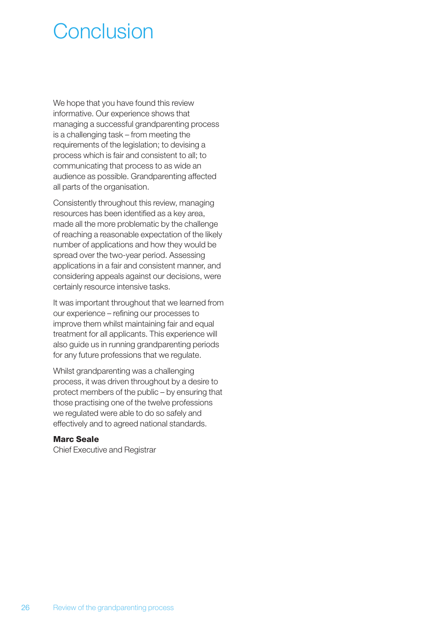# Conclusion

We hope that you have found this review informative. Our experience shows that managing a successful grandparenting process is a challenging task – from meeting the requirements of the legislation; to devising a process which is fair and consistent to all; to communicating that process to as wide an audience as possible. Grandparenting affected all parts of the organisation.

Consistently throughout this review, managing resources has been identified as a key area, made all the more problematic by the challenge of reaching a reasonable expectation of the likely number of applications and how they would be spread over the two-year period. Assessing applications in a fair and consistent manner, and considering appeals against our decisions, were certainly resource intensive tasks.

It was important throughout that we learned from our experience – refining our processes to improve them whilst maintaining fair and equal treatment for all applicants. This experience will also guide us in running grandparenting periods for any future professions that we regulate.

Whilst grandparenting was a challenging process, it was driven throughout by a desire to protect members of the public – by ensuring that those practising one of the twelve professions we regulated were able to do so safely and effectively and to agreed national standards.

#### **Marc Seale**

Chief Executive and Registrar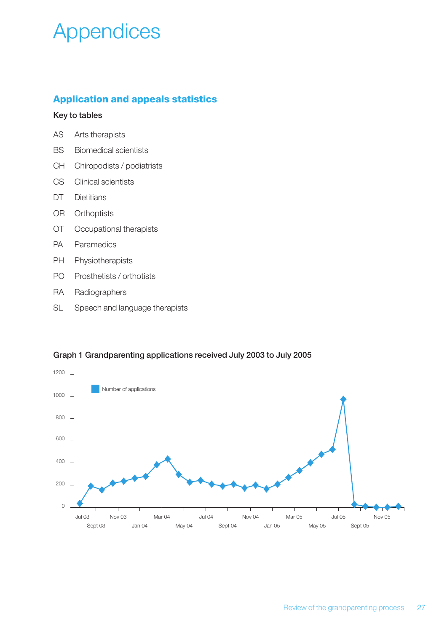# Appendices

## **Application and appeals statistics**

#### Key to tables

| AS | Arts therapists |
|----|-----------------|
|----|-----------------|

- BS Biomedical scientists
- CH Chiropodists / podiatrists
- CS Clinical scientists
- DT Dietitians
- OR Orthoptists
- OT Occupational therapists
- PA Paramedics
- PH Physiotherapists
- PO Prosthetists / orthotists
- RA Radiographers
- SL Speech and language therapists



#### Graph 1 Grandparenting applications received July 2003 to July 2005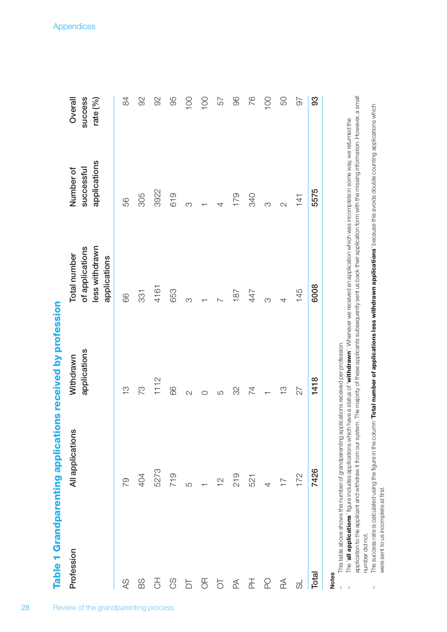Table 1 Grandparenting applications received by profession **Table 1 Grandparenting applications received by profession**

2 8

| Profession                                       | All applications                                      | Withdrawn     | <b>Total number</b>                               | Number of                  | Overall               |
|--------------------------------------------------|-------------------------------------------------------|---------------|---------------------------------------------------|----------------------------|-----------------------|
|                                                  |                                                       | applications  | less withdrawn<br>of applications<br>applications | applications<br>successful | success<br>rate $(%)$ |
| $\infty$                                         | 79                                                    | $\frac{1}{2}$ | 89                                                | 56                         | 84                    |
| SG                                               | 404                                                   | 73            | 331                                               | 305                        | 92                    |
| $\overline{\mathbb{S}}$                          | 5273                                                  | 1112          | 4161                                              | 3922                       | $\Im$                 |
| 8S                                               | 719                                                   | 66            | 653                                               | 619                        | 95                    |
| $\overline{\square}$                             | ъ<br>С                                                | N             | က                                                 | က                          | 100                   |
| $\frac{1}{2}$                                    | $ \frac{\alpha}{2}$                                   |               |                                                   |                            | 100                   |
| $\overline{O}$                                   |                                                       | ယ             | $\overline{C}$                                    | 4                          | 57                    |
| $\mathbb{E}% _{A}^{\mathbb{C}}(\mathbb{R}^{2n})$ | 219                                                   | SS            | 187                                               | 179                        | 96                    |
| $\overline{\Delta}$                              | 521                                                   | 74            | 447                                               | <b>340</b>                 | 76                    |
| $\Omega$                                         | $\begin{array}{cc} & + & \\ & + & \\ & & \end{array}$ |               | $\infty$                                          | $\infty$                   | 100                   |
| $\mathbb A$                                      |                                                       | <u>က</u>      | 4                                                 | $\overline{\mathcal{C}}$   | 50                    |
| $\overline{\mathrm{c}}$                          | 172                                                   | 27            | 145                                               | 141                        | 56                    |
| Total                                            | 7426                                                  | 1418          | 6008                                              | 5575                       | 93                    |
|                                                  |                                                       |               |                                                   |                            |                       |

# **Notes**

 $\bar{1}$ 

This table above shows the number of grandparenting applications received per profession. – This table above shows the number of grandparenting applications received per profession.  $\frac{1}{2}$ 

- application to the applicant and withdrew it from our system. The majority of these applicants subsequently sent us back their application form with the missing information. However, a small application to the applicant and withdrew it from our system. The majority of these applicants subsequently sent us back their application form with the missing information. However, a small The 'all applications' figure includes applications which have a status of 'withdrawn'. Whenever we received an application which was incomplete in some way, we returned the – The '**all applications**' figure includes applications which have a status of '**withdrawn**'. Whenever we received an application which was incomplete in some way, we returned the number did not. number did not. j
- The success rate is calculated using the figure in the column "Total number of applications less withdrawn applications' because this avoids double counting applications which The success rate is calculated using the figure in the column "**Total number of applications less withdrawn applications'** because this avoids double counting applications which were sent to us incomplete at first. were sent to us incomplete at first.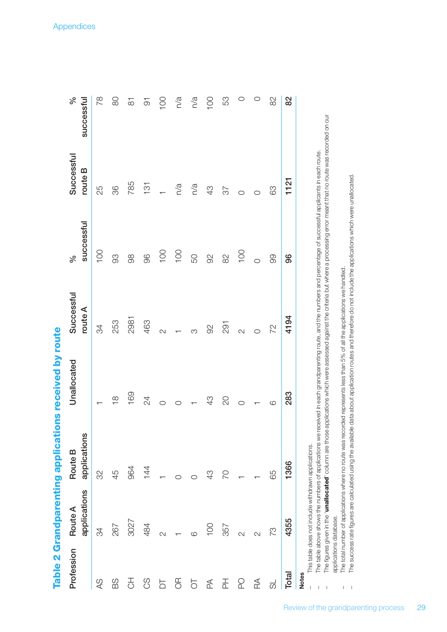| l      |
|--------|
|        |
|        |
|        |
|        |
|        |
|        |
|        |
|        |
|        |
|        |
|        |
|        |
|        |
|        |
| ı      |
|        |
|        |
| ֚֚֬    |
|        |
|        |
|        |
|        |
|        |
|        |
|        |
| Ĭ<br>j |
|        |
|        |
|        |

| Profession   | applications<br>Route A                             | applications<br>Route B                                                                                                                                                                                                                                                                                                                                           | Unallocated        | Successful<br>route A | successful<br>వ్ | Successful<br>route B | వ్<br>successful   |
|--------------|-----------------------------------------------------|-------------------------------------------------------------------------------------------------------------------------------------------------------------------------------------------------------------------------------------------------------------------------------------------------------------------------------------------------------------------|--------------------|-----------------------|------------------|-----------------------|--------------------|
| $\infty$     | 34                                                  | 32                                                                                                                                                                                                                                                                                                                                                                |                    | 34                    | 100              | 25                    | 78                 |
| 88           | 267                                                 | 45                                                                                                                                                                                                                                                                                                                                                                | $\frac{\infty}{1}$ | 253                   | 88               | 36                    | 80                 |
| 공            | 3027                                                | 964                                                                                                                                                                                                                                                                                                                                                               | 169                | 2981                  | 88               | 785                   | $\overline{\circ}$ |
| ပ္ပ          | 484                                                 | 144                                                                                                                                                                                                                                                                                                                                                               | 24                 | 463                   | 96               | $\frac{1}{3}$         | $\overline{5}$     |
| 5            | $\sim$                                              |                                                                                                                                                                                                                                                                                                                                                                   | $\circ$            | $\sim$                | 100              |                       | 100                |
| ЭŘ           |                                                     |                                                                                                                                                                                                                                                                                                                                                                   | O                  |                       | 100              | n/a                   | n/a                |
| 5            | ဖ                                                   |                                                                                                                                                                                                                                                                                                                                                                   |                    | ∞                     | 50               | n/a                   | n/a                |
| ₫            | 100                                                 | 43                                                                                                                                                                                                                                                                                                                                                                | 43                 | 92                    | 92               | 43                    | 100                |
| 곲            | 357                                                 | 20                                                                                                                                                                                                                                                                                                                                                                | QO                 | 291                   | 82               | 37                    | 53                 |
| ဥ            | $\overline{\mathcal{C}}$                            |                                                                                                                                                                                                                                                                                                                                                                   | O                  | $\sim$                | 100              | O                     | $\circ$            |
| RA           | $\sim$                                              |                                                                                                                                                                                                                                                                                                                                                                   |                    | $\circ$               | $\circ$          |                       | $\circ$            |
| ಕ            | 73                                                  | 65                                                                                                                                                                                                                                                                                                                                                                | 6                  | 72                    | 80               | 89                    | 82                 |
| Total        | 4355                                                | 1366                                                                                                                                                                                                                                                                                                                                                              | 283                | 4194                  | 96               | 1121                  | 82                 |
| <b>Notes</b> | This table does not include withdrawn applications. | The figures given in the " <b>unallocated</b> " column are those applications which were assessed against the criteria but where a processing error meant that no route was recorded on our<br>The table above shows the numbers of applications we received in each grandparenting route, and the numbers and percentage of successful applicants in each route. |                    |                       |                  |                       |                    |
|              |                                                     |                                                                                                                                                                                                                                                                                                                                                                   |                    |                       |                  |                       |                    |

The figures given in the "**unallocated**" column are those applications which were assessed against the criteria but where a processing error meant that no route was recorded on our – The figures given in the '**unallocated**' column are those applications which were assessed against the criteria but where a processing error meant that no route was recorded on our The table above shows the numbers of applications we received in each grandparenting route, and the numbers and percentage of successful applicants in each route. – The table above shows the numbers of applications we received in each grandparenting route, and the numbers and percentage of successful applicants in each route.

The total number of applications where no route was recorded represents less than 5% of all the applications we handled. applications database. applications database.

– The total number of applications where no route was recorded represents less than 5% of all the applications we handled.

The success rate figures are calculated using the available data about application routes and therefore do not include the applications which were unallocated. – The success rate figures are calculated using the available data about application routes and therefore do not include the applications which were unallocated.

 $\sim 1-1$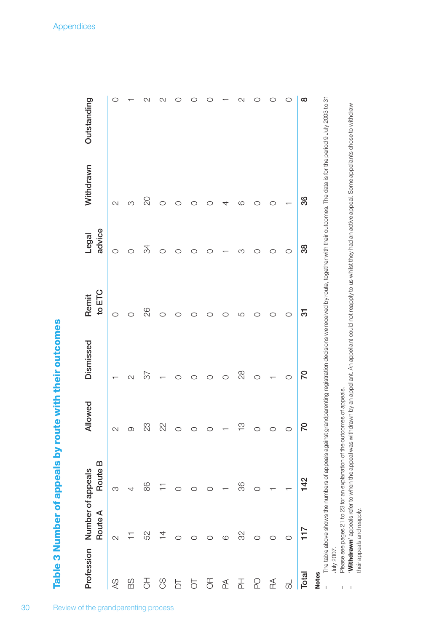Table 3 Number of appeals by route with their outcomes **Table 3 Number of appeals by route with their outcomes**

3 0

|                         | Profession Number of appeals |         | Allowed        | Dismissed | Remit  | Legal  | Withdrawn                                                                                                                                                                                   | Outstanding |
|-------------------------|------------------------------|---------|----------------|-----------|--------|--------|---------------------------------------------------------------------------------------------------------------------------------------------------------------------------------------------|-------------|
|                         | Route A                      | Route B |                |           | to ETC | advice |                                                                                                                                                                                             |             |
| $\infty$                | $\sim$                       | S       |                |           | O      | O      | 2                                                                                                                                                                                           | C           |
| 88                      |                              | 4       |                | N         | ◯      |        | Μ                                                                                                                                                                                           |             |
| 공                       | 52                           | 86      | 23             | 25        | 82     | 34     | S                                                                                                                                                                                           | N           |
| $\mathcal{S}$           | $\overline{4}$               |         | 22             |           | ◯      | ◯      |                                                                                                                                                                                             | ∾           |
| $\overline{D}$          |                              |         |                |           |        | ౧      |                                                                                                                                                                                             |             |
| $\overline{C}$          |                              |         |                |           |        |        |                                                                                                                                                                                             |             |
| $\frac{1}{2}$           |                              |         |                | ౧         |        |        |                                                                                                                                                                                             |             |
| $\mathbb{Z}$            | $\circ$                      |         |                | O         |        |        |                                                                                                                                                                                             |             |
| 곱                       | 32                           | 36      | $\overline{c}$ | 28        | LO     | ∞      | ဖ                                                                                                                                                                                           | C           |
| Q                       | O                            | $\circ$ |                | O         |        |        |                                                                                                                                                                                             |             |
| $\mathbb R$             |                              |         |                |           | O      | O      |                                                                                                                                                                                             |             |
| $\overline{\mathrm{c}}$ | O                            |         |                | O         | O      | O      |                                                                                                                                                                                             |             |
| <b>Total</b>            | 117                          | 142     | $\circ$        | 70        | 5      | 38     | 36                                                                                                                                                                                          | $\infty$    |
| <b>Notes</b>            |                              |         |                |           |        |        | The table above shows the numbers of appeals against grandparenting registration decisions we received by route, together with their outcomes. The data is for the period 9 July 2003 to 31 |             |

July 2007.

 $\bar{1}=1$ 

their appeals and reapply.

their appeals and reapply.

– Please see pages 21 to 23 for an explanation of the outcomes of appeals.

Please see pages 21 to 23 for an explanation of the outcomes of appeals.

'**Withdrawn**' appeals refer to when the appeal was withdrawn by an appellant. An appellant could not reapply to us whilst they had an active appeal. Some appellants chose to withdraw

Withdrawn' appeals refer to when the appeal was withdrawn by an appellant. An appellant could not reapply to us whilst they had an active appeal. Some appellants chose to withdraw

**Appendices** i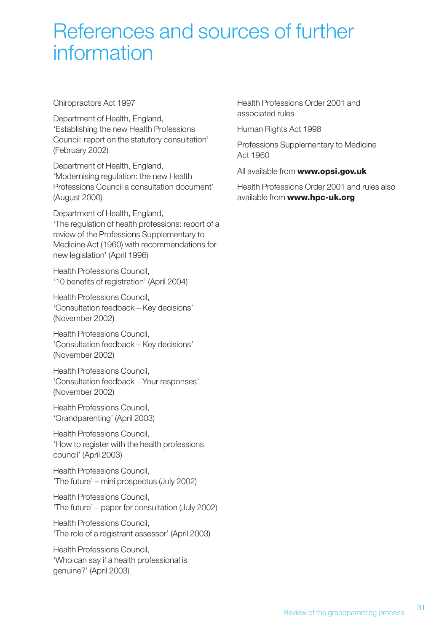# References and sources of further information

Chiropractors Act 1997

Department of Health, England, 'Establishing the new Health Professions Council: report on the statutory consultation' (February 2002)

Department of Health, England, 'Modernising regulation: the new Health Professions Council a consultation document' (August 2000)

Department of Health, England, 'The regulation of health professions: report of a review of the Professions Supplementary to Medicine Act (1960) with recommendations for new legislation' (April 1996)

Health Professions Council, '10 benefits of registration' (April 2004)

Health Professions Council, 'Consultation feedback – Key decisions' (November 2002)

Health Professions Council, 'Consultation feedback – Key decisions' (November 2002)

Health Professions Council, 'Consultation feedback – Your responses' (November 2002)

Health Professions Council, 'Grandparenting' (April 2003)

Health Professions Council, 'How to register with the health professions council' (April 2003)

Health Professions Council, 'The future' – mini prospectus (July 2002)

Health Professions Council, 'The future' – paper for consultation (July 2002)

Health Professions Council, 'The role of a registrant assessor' (April 2003)

Health Professions Council, 'Who can say if a health professional is genuine?' (April 2003)

Health Professions Order 2001 and associated rules

Human Rights Act 1998

Professions Supplementary to Medicine Act 1960

All available from **www.opsi.gov.uk**

Health Professions Order 2001 and rules also available from **www.hpc-uk.org**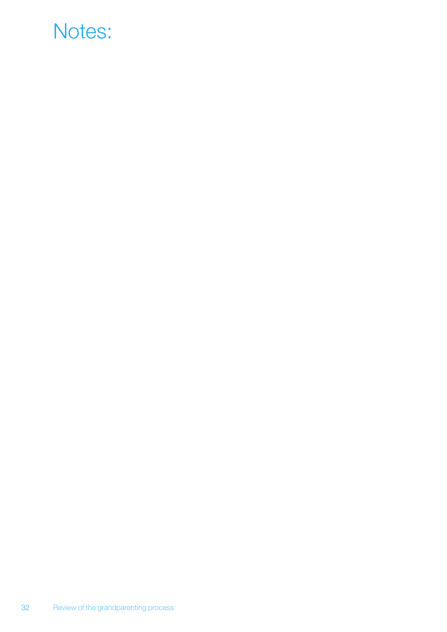# Notes: